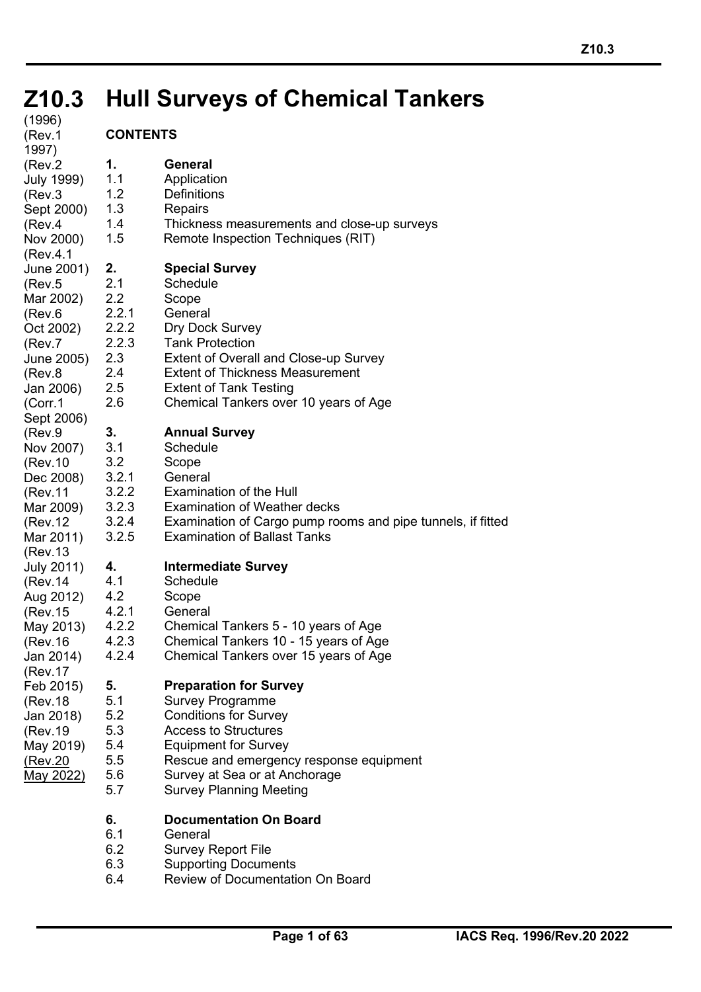# **Z10.3 Hull Surveys of Chemical Tankers Z10.3**

Thickness measurements and close-up surveys

Remote Inspection Techniques (RIT)

Extent of Overall and Close-up Survey **Extent of Thickness Measurement** 

2.6 Chemical Tankers over 10 years of Age

Examination of Cargo pump rooms and pipe tunnels, if fitted

**1. General Application Definitions Repairs** 

**2. Special Survey**

Dry Dock Survey **Tank Protection** 

**3. Annual Survey Schedule Scope General** 

**Extent of Tank Testing** 

Examination of the Hull

**4. Intermediate Survey**

**5. Preparation for Survey** Survey Programme 5.2 Conditions for Survey Access to Structures Equipment for Survey

**Schedule Scope General** 

**Examination of Weather decks** 

**Examination of Ballast Tanks** 

4.2.2 Chemical Tankers 5 - 10 years of Age 4.2.3 Chemical Tankers 10 - 15 years of Age 4.2.4 Chemical Tankers over 15 years of Age

**Schedule Scope General** 

| (1996)<br>(Rev.1                                                                                                               | <b>CONTENTS</b>                                                         |                                                          |
|--------------------------------------------------------------------------------------------------------------------------------|-------------------------------------------------------------------------|----------------------------------------------------------|
| 1997)<br>(Rev.2<br>July 1999)<br>(Rev.3<br>Sept 2000)<br>(Rev.4<br>Nov 2000)                                                   | 1.<br>1.1<br>1.2<br>1.3<br>1.4<br>1.5                                   | Gε<br>Аp<br>De<br>Re<br>Th<br>Re                         |
| (Rev.4.1<br>June 2001)<br>(Rev.5<br>Mar 2002)<br>(Rev.6<br>Oct 2002)<br>(Rev.7<br>June 2005)<br>(Rev.8<br>Jan 2006)<br>(Corr.1 | 2.<br>2.1<br>2.2<br>2.2.1<br>2.2.2<br>2.2.3<br>2.3<br>2.4<br>2.5<br>2.6 | Sp<br>Sc<br>Sc<br>Gε<br>Dr<br>Ta<br>Ex<br>Ex<br>Ex<br>Cr |
| Sept 2006)<br>(Rev.9<br>Nov 2007)<br>(Rev.10<br>Dec 2008)<br>(Rev.11<br>Mar 2009)<br>(Rev.12<br>Mar 2011)                      | 3.<br>3.1<br>3.2<br>3.2.1<br>3.2.2<br>3.2.3<br>3.2.4<br>3.2.5           | Ar<br>Sc<br>Sc<br>Gε<br>Ex<br>Ex<br>Ex<br>Ex             |
| (Rev.13<br>July 2011)<br>(Rev.14<br>Aug 2012)<br>(Rev.15<br>May 2013)<br>(Rev.16<br>Jan 2014)                                  | 4.<br>4.1<br>4.2<br>4.2.1<br>4.2.2<br>4.2.3<br>4.2.4                    | Int<br>Sc<br>Sc<br>Gε<br>Сŀ<br>Cŀ<br>Cr                  |
| (Rev.17<br>Feb 2015)<br>(Rev.18<br>Jan 2018)<br>(Rev.19<br>May 2019)<br>(Rev.20<br><u>May 2022)</u>                            | 5.<br>5.1<br>5.2<br>5.3<br>5.4<br>5.5<br>5.6<br>5.7                     | Pr<br>Sι<br>Сc<br>Ac<br>Ec<br>Re<br>Sι<br>Sι             |

#### Rescue and emergency response equipment

- Survey at Sea or at Anchorage
	- Survey Planning Meeting

# **6. Documentation On Board**

**General** 

֦

- 6.2 Survey Report File
- 6.3 Supporting Documents
- 6.4 Review of Documentation On Board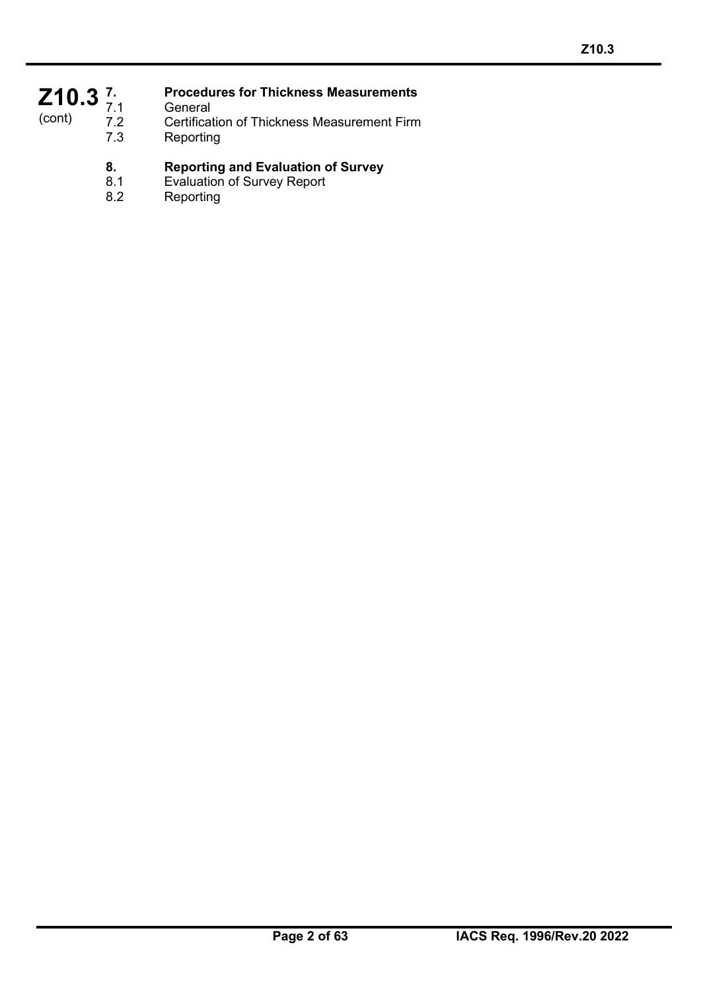## Z<sub>10.3</sub><sup>7</sup><sub>7.1</sub> (cont)

## **7. Procedures for Thickness Measurements**

- 7.1 General<br>7.2 Certificat
- 7.2 Certification of Thickness Measurement Firm<br>7.3 Reporting
	- **Reporting**

# **8. Reporting and Evaluation of Survey**

- 8.1 Evaluation of Survey Report<br>8.2 Reporting
- **Reporting**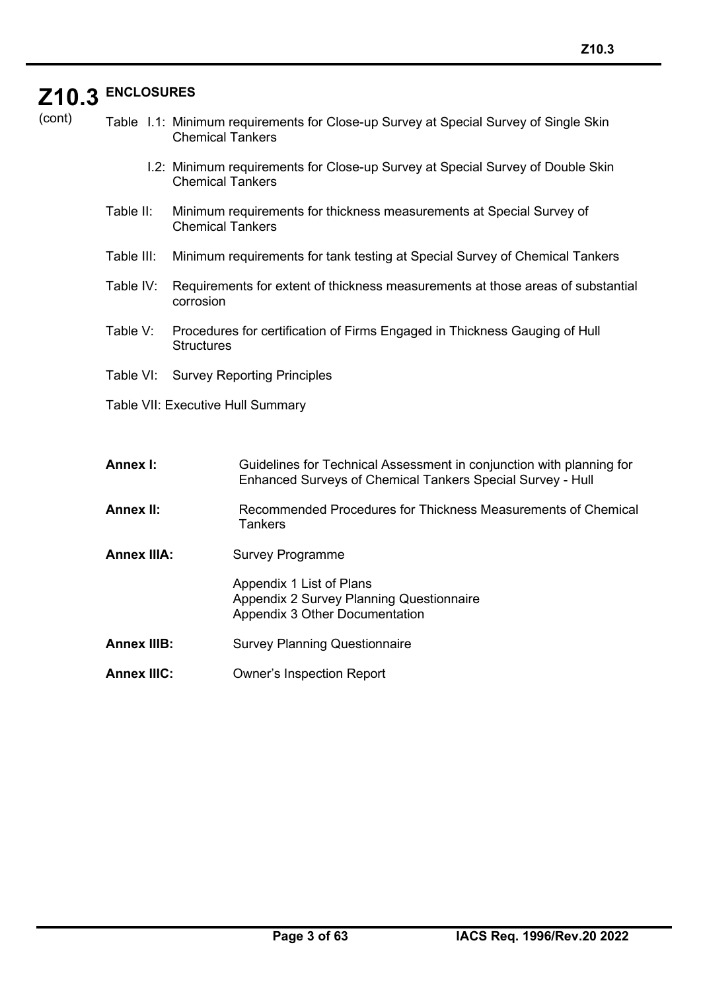# **Z10.3 ENCLOSURES**

| cont)<br>( |  |
|------------|--|

Table I.1: Minimum requirements for Close-up Survey at Special Survey of Single Skin Chemical Tankers

- I.2: Minimum requirements for Close-up Survey at Special Survey of Double Skin Chemical Tankers
- Table II: Minimum requirements for thickness measurements at Special Survey of Chemical Tankers
- Table III: Minimum requirements for tank testing at Special Survey of Chemical Tankers
- Table IV: Requirements for extent of thickness measurements at those areas of substantial corrosion
- Table V: Procedures for certification of Firms Engaged in Thickness Gauging of Hull **Structures**
- Table VI: Survey Reporting Principles
- Table VII: Executive Hull Summary

| Annex I: | Guidelines for Technical Assessment in conjunction with planning for |
|----------|----------------------------------------------------------------------|
|          | Enhanced Surveys of Chemical Tankers Special Survey - Hull           |

- **Annex II:** Recommended Procedures for Thickness Measurements of Chemical **Tankers**
- **Annex IIIA:** Survey Programme

Appendix 1 List of Plans Appendix 2 Survey Planning Questionnaire Appendix 3 Other Documentation

- **Annex IIIB:** Survey Planning Questionnaire
- **Annex IIIC:** Owner's Inspection Report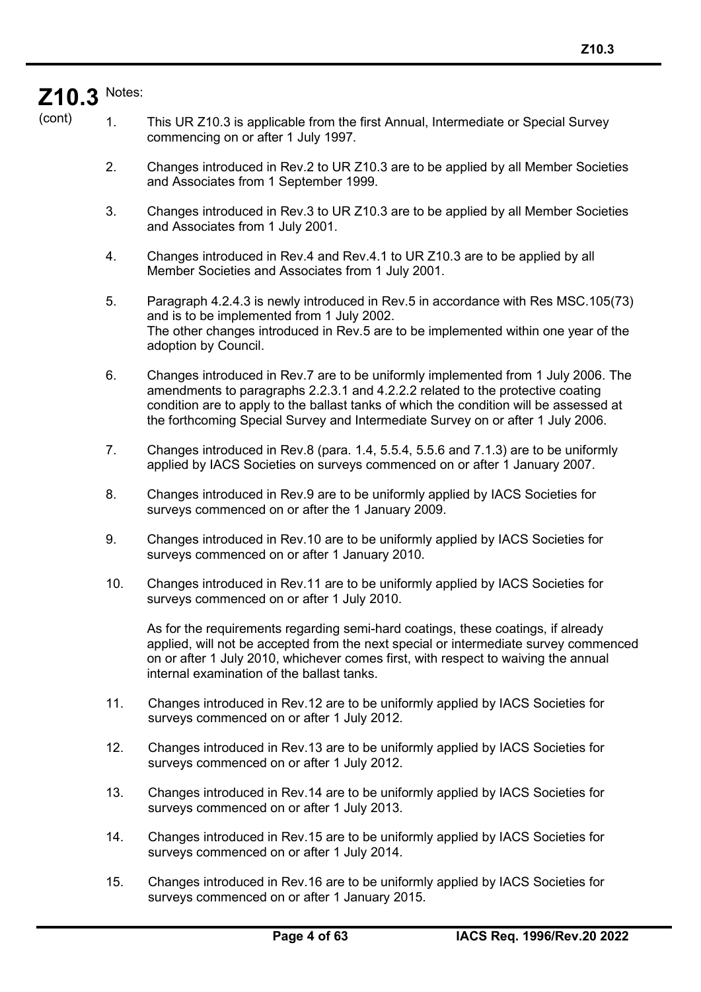# **Z10.3** Notes:

(cont)

1. This UR Z10.3 is applicable from the first Annual, Intermediate or Special Survey commencing on or after 1 July 1997.

- 2. Changes introduced in Rev.2 to UR Z10.3 are to be applied by all Member Societies and Associates from 1 September 1999.
- 3. Changes introduced in Rev.3 to UR Z10.3 are to be applied by all Member Societies and Associates from 1 July 2001.
- 4. Changes introduced in Rev.4 and Rev.4.1 to UR Z10.3 are to be applied by all Member Societies and Associates from 1 July 2001.
- 5. Paragraph 4.2.4.3 is newly introduced in Rev.5 in accordance with Res MSC.105(73) and is to be implemented from 1 July 2002. The other changes introduced in Rev.5 are to be implemented within one year of the adoption by Council.
- 6. Changes introduced in Rev.7 are to be uniformly implemented from 1 July 2006. The amendments to paragraphs 2.2.3.1 and 4.2.2.2 related to the protective coating condition are to apply to the ballast tanks of which the condition will be assessed at the forthcoming Special Survey and Intermediate Survey on or after 1 July 2006.
- 7. Changes introduced in Rev.8 (para. 1.4, 5.5.4, 5.5.6 and 7.1.3) are to be uniformly applied by IACS Societies on surveys commenced on or after 1 January 2007.
- 8. Changes introduced in Rev.9 are to be uniformly applied by IACS Societies for surveys commenced on or after the 1 January 2009.
- 9. Changes introduced in Rev.10 are to be uniformly applied by IACS Societies for surveys commenced on or after 1 January 2010.
- 10. Changes introduced in Rev.11 are to be uniformly applied by IACS Societies for surveys commenced on or after 1 July 2010.

As for the requirements regarding semi-hard coatings, these coatings, if already applied, will not be accepted from the next special or intermediate survey commenced on or after 1 July 2010, whichever comes first, with respect to waiving the annual internal examination of the ballast tanks.

- 11. Changes introduced in Rev.12 are to be uniformly applied by IACS Societies for surveys commenced on or after 1 July 2012.
- 12. Changes introduced in Rev.13 are to be uniformly applied by IACS Societies for surveys commenced on or after 1 July 2012.
- 13. Changes introduced in Rev.14 are to be uniformly applied by IACS Societies for surveys commenced on or after 1 July 2013.
- 14. Changes introduced in Rev.15 are to be uniformly applied by IACS Societies for surveys commenced on or after 1 July 2014.
- 15. Changes introduced in Rev.16 are to be uniformly applied by IACS Societies for surveys commenced on or after 1 January 2015.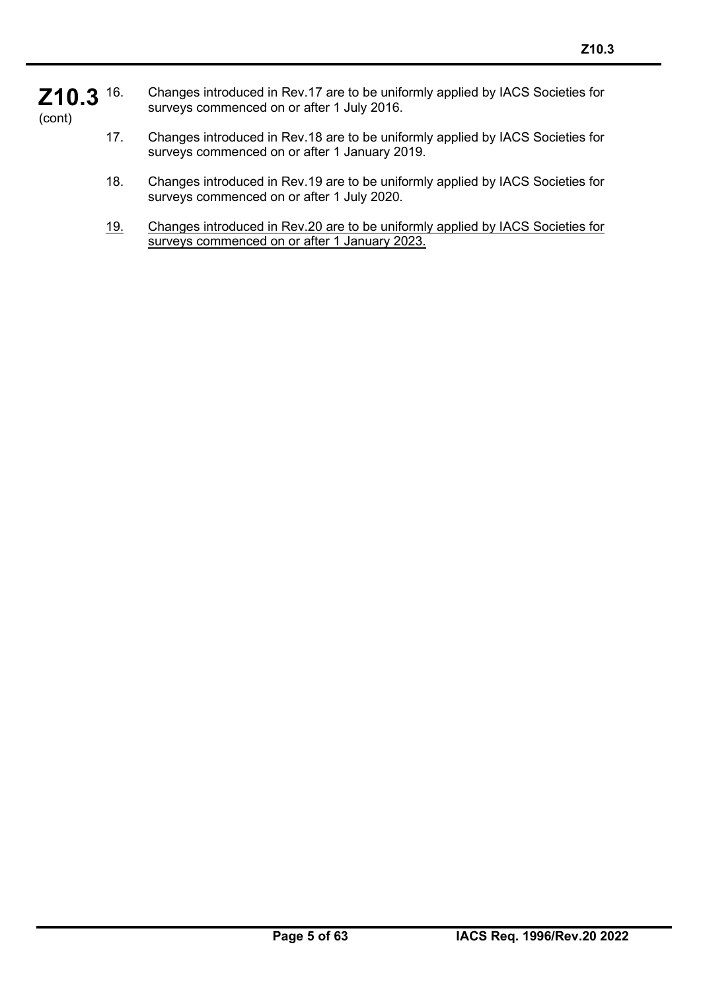- **Z10.3** (cont) 16. Changes introduced in Rev.17 are to be uniformly applied by IACS Societies for surveys commenced on or after 1 July 2016.
	- 17. Changes introduced in Rev.18 are to be uniformly applied by IACS Societies for surveys commenced on or after 1 January 2019.
	- 18. Changes introduced in Rev.19 are to be uniformly applied by IACS Societies for surveys commenced on or after 1 July 2020.
	- 19. Changes introduced in Rev.20 are to be uniformly applied by IACS Societies for surveys commenced on or after 1 January 2023.

֦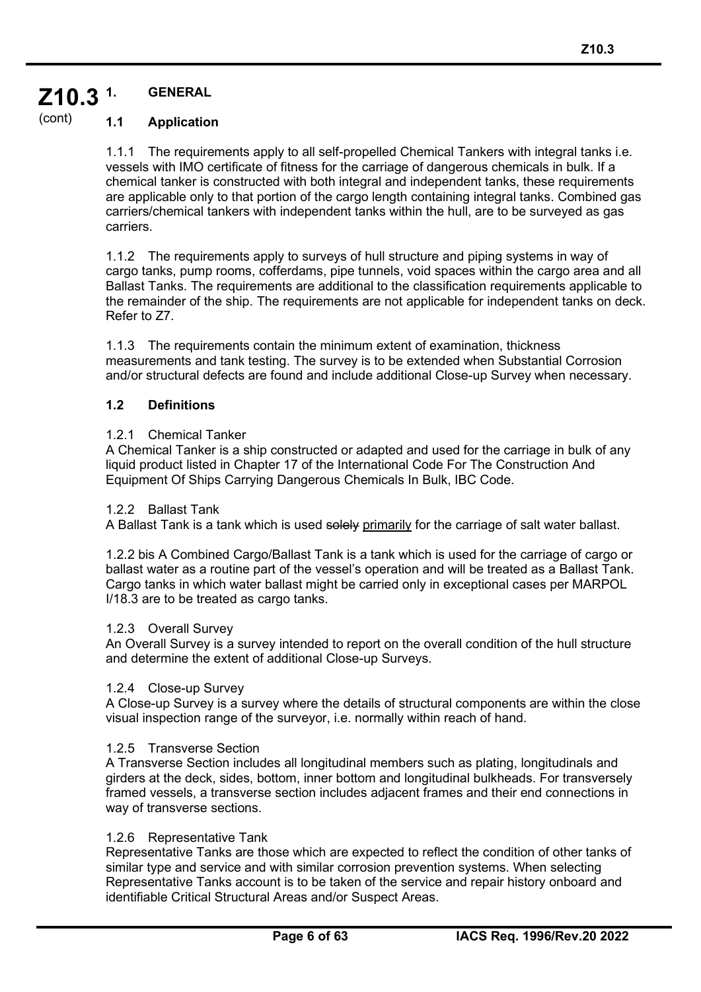#### **Z10.3 1. GENERAL**

#### (cont) **1.1 Application**

1.1.1 The requirements apply to all self-propelled Chemical Tankers with integral tanks i.e. vessels with IMO certificate of fitness for the carriage of dangerous chemicals in bulk. If a chemical tanker is constructed with both integral and independent tanks, these requirements are applicable only to that portion of the cargo length containing integral tanks. Combined gas carriers/chemical tankers with independent tanks within the hull, are to be surveyed as gas carriers.

1.1.2 The requirements apply to surveys of hull structure and piping systems in way of cargo tanks, pump rooms, cofferdams, pipe tunnels, void spaces within the cargo area and all Ballast Tanks. The requirements are additional to the classification requirements applicable to the remainder of the ship. The requirements are not applicable for independent tanks on deck. Refer to Z7.

1.1.3 The requirements contain the minimum extent of examination, thickness measurements and tank testing. The survey is to be extended when Substantial Corrosion and/or structural defects are found and include additional Close-up Survey when necessary.

## **1.2 Definitions**

## 1.2.1 Chemical Tanker

A Chemical Tanker is a ship constructed or adapted and used for the carriage in bulk of any liquid product listed in Chapter 17 of the International Code For The Construction And Equipment Of Ships Carrying Dangerous Chemicals In Bulk, IBC Code.

#### 1.2.2 Ballast Tank

A Ballast Tank is a tank which is used solely primarily for the carriage of salt water ballast.

1.2.2 bis A Combined Cargo/Ballast Tank is a tank which is used for the carriage of cargo or ballast water as a routine part of the vessel's operation and will be treated as a Ballast Tank. Cargo tanks in which water ballast might be carried only in exceptional cases per MARPOL I/18.3 are to be treated as cargo tanks.

#### 1.2.3 Overall Survey

An Overall Survey is a survey intended to report on the overall condition of the hull structure and determine the extent of additional Close-up Surveys.

#### 1.2.4 Close-up Survey

A Close-up Survey is a survey where the details of structural components are within the close visual inspection range of the surveyor, i.e. normally within reach of hand.

#### 1.2.5 Transverse Section

A Transverse Section includes all longitudinal members such as plating, longitudinals and girders at the deck, sides, bottom, inner bottom and longitudinal bulkheads. For transversely framed vessels, a transverse section includes adjacent frames and their end connections in way of transverse sections.

#### 1.2.6 Representative Tank

֦

Representative Tanks are those which are expected to reflect the condition of other tanks of similar type and service and with similar corrosion prevention systems. When selecting Representative Tanks account is to be taken of the service and repair history onboard and identifiable Critical Structural Areas and/or Suspect Areas.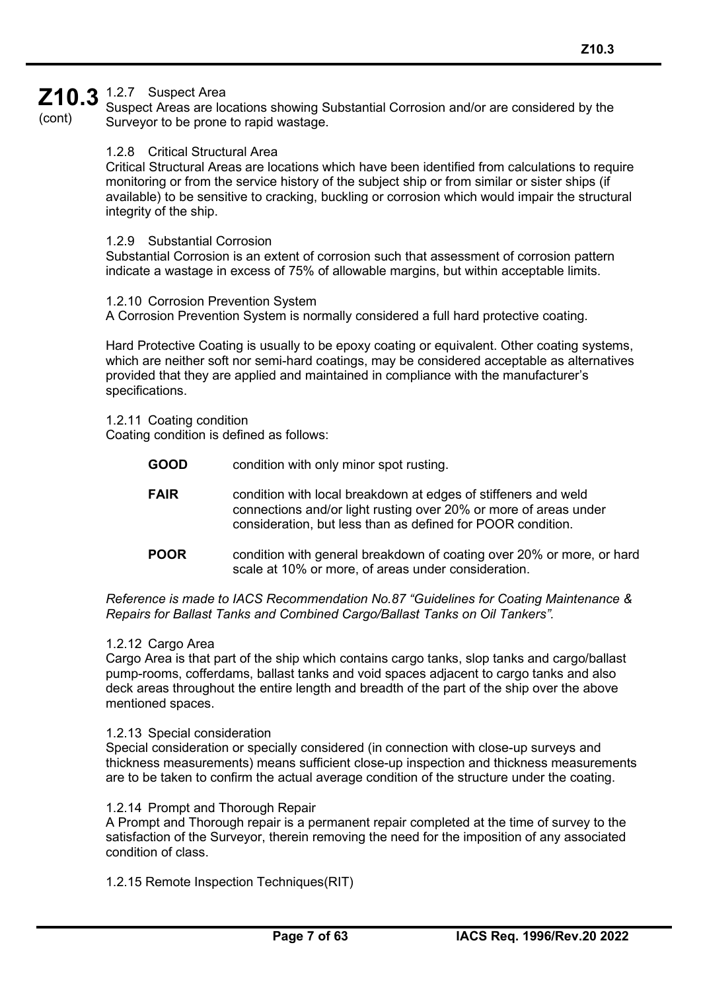# **Z10.3** 1.2.7 Suspect Area

(cont)

Suspect Areas are locations showing Substantial Corrosion and/or are considered by the Surveyor to be prone to rapid wastage.

#### 1.2.8 Critical Structural Area

Critical Structural Areas are locations which have been identified from calculations to require monitoring or from the service history of the subject ship or from similar or sister ships (if available) to be sensitive to cracking, buckling or corrosion which would impair the structural integrity of the ship.

#### 1.2.9 Substantial Corrosion

Substantial Corrosion is an extent of corrosion such that assessment of corrosion pattern indicate a wastage in excess of 75% of allowable margins, but within acceptable limits.

#### 1.2.10 Corrosion Prevention System

A Corrosion Prevention System is normally considered a full hard protective coating.

Hard Protective Coating is usually to be epoxy coating or equivalent. Other coating systems, which are neither soft nor semi-hard coatings, may be considered acceptable as alternatives provided that they are applied and maintained in compliance with the manufacturer's specifications.

1.2.11 Coating condition Coating condition is defined as follows:

- **GOOD** condition with only minor spot rusting.
- **FAIR** condition with local breakdown at edges of stiffeners and weld connections and/or light rusting over 20% or more of areas under consideration, but less than as defined for POOR condition.
- **POOR** condition with general breakdown of coating over 20% or more, or hard scale at 10% or more, of areas under consideration.

*Reference is made to IACS Recommendation No.87 "Guidelines for Coating Maintenance & Repairs for Ballast Tanks and Combined Cargo/Ballast Tanks on Oil Tankers".*

#### 1.2.12 Cargo Area

Cargo Area is that part of the ship which contains cargo tanks, slop tanks and cargo/ballast pump-rooms, cofferdams, ballast tanks and void spaces adjacent to cargo tanks and also deck areas throughout the entire length and breadth of the part of the ship over the above mentioned spaces.

#### 1.2.13 Special consideration

Special consideration or specially considered (in connection with close-up surveys and thickness measurements) means sufficient close-up inspection and thickness measurements are to be taken to confirm the actual average condition of the structure under the coating.

#### 1.2.14 Prompt and Thorough Repair

A Prompt and Thorough repair is a permanent repair completed at the time of survey to the satisfaction of the Surveyor, therein removing the need for the imposition of any associated condition of class.

1.2.15 Remote Inspection Techniques(RIT)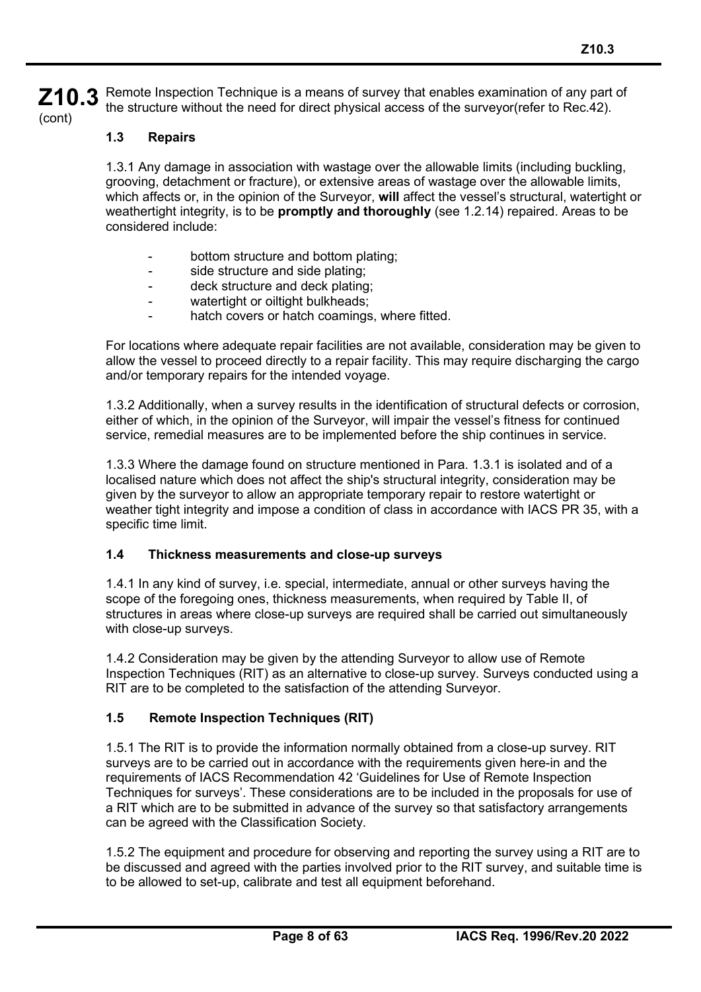**Z10.3** (cont) Remote Inspection Technique is a means of survey that enables examination of any part of the structure without the need for direct physical access of the surveyor(refer to Rec.42).

## **1.3 Repairs**

1.3.1 Any damage in association with wastage over the allowable limits (including buckling, grooving, detachment or fracture), or extensive areas of wastage over the allowable limits, which affects or, in the opinion of the Surveyor, **will** affect the vessel's structural, watertight or weathertight integrity, is to be **promptly and thoroughly** (see 1.2.14) repaired. Areas to be considered include:

- bottom structure and bottom plating;
- side structure and side plating;
- deck structure and deck plating;
- watertight or oiltight bulkheads;
- hatch covers or hatch coamings, where fitted.

For locations where adequate repair facilities are not available, consideration may be given to allow the vessel to proceed directly to a repair facility. This may require discharging the cargo and/or temporary repairs for the intended voyage.

1.3.2 Additionally, when a survey results in the identification of structural defects or corrosion, either of which, in the opinion of the Surveyor, will impair the vessel's fitness for continued service, remedial measures are to be implemented before the ship continues in service.

1.3.3 Where the damage found on structure mentioned in Para. 1.3.1 is isolated and of a localised nature which does not affect the ship's structural integrity, consideration may be given by the surveyor to allow an appropriate temporary repair to restore watertight or weather tight integrity and impose a condition of class in accordance with IACS PR 35, with a specific time limit.

#### **1.4 Thickness measurements and close-up surveys**

1.4.1 In any kind of survey, i.e. special, intermediate, annual or other surveys having the scope of the foregoing ones, thickness measurements, when required by Table II, of structures in areas where close-up surveys are required shall be carried out simultaneously with close-up surveys.

1.4.2 Consideration may be given by the attending Surveyor to allow use of Remote Inspection Techniques (RIT) as an alternative to close-up survey. Surveys conducted using a RIT are to be completed to the satisfaction of the attending Surveyor.

#### **1.5 Remote Inspection Techniques (RIT)**

1.5.1 The RIT is to provide the information normally obtained from a close-up survey. RIT surveys are to be carried out in accordance with the requirements given here-in and the requirements of IACS Recommendation 42 'Guidelines for Use of Remote Inspection Techniques for surveys'. These considerations are to be included in the proposals for use of a RIT which are to be submitted in advance of the survey so that satisfactory arrangements can be agreed with the Classification Society.

1.5.2 The equipment and procedure for observing and reporting the survey using a RIT are to be discussed and agreed with the parties involved prior to the RIT survey, and suitable time is to be allowed to set-up, calibrate and test all equipment beforehand.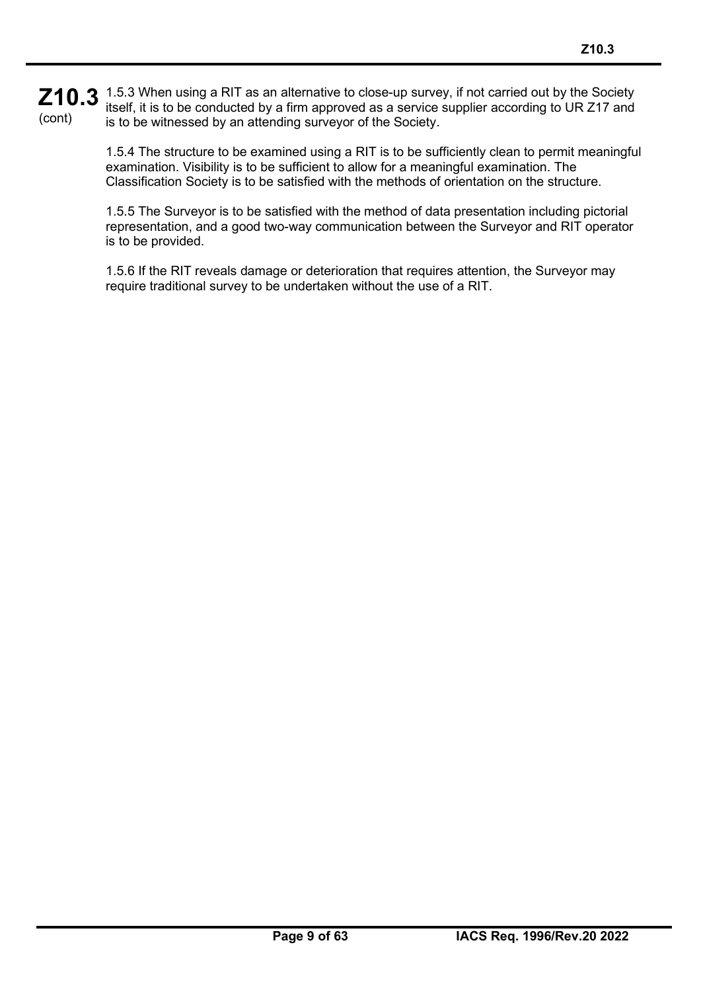#### **Z10.3** 1.5.3 When using a RIT as an alternative to close-up survey, if not carried out by the Society **Z10.3** itself, it is to be conducted by a firm approved as a service supplier according to UR Z17 and (cont) itself, it is to be conducted by a firm approved as a service supplier according to UR Z17 and is to be witnessed by an attending surveyor of the Society.

1.5.4 The structure to be examined using a RIT is to be sufficiently clean to permit meaningful examination. Visibility is to be sufficient to allow for a meaningful examination. The Classification Society is to be satisfied with the methods of orientation on the structure.

1.5.5 The Surveyor is to be satisfied with the method of data presentation including pictorial representation, and a good two-way communication between the Surveyor and RIT operator is to be provided.

1.5.6 If the RIT reveals damage or deterioration that requires attention, the Surveyor may require traditional survey to be undertaken without the use of a RIT.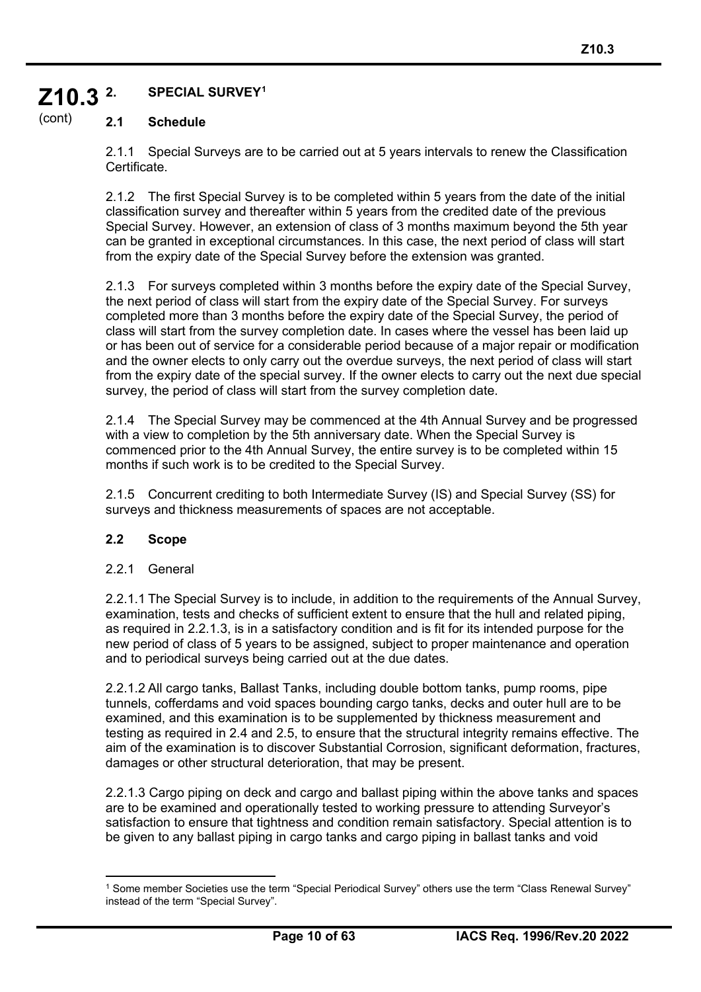#### **Z10.3 2. SPECIAL SURVEY[1](#page-9-0)**

#### (cont) **2.1 Schedule**

2.1.1 Special Surveys are to be carried out at 5 years intervals to renew the Classification Certificate.

2.1.2 The first Special Survey is to be completed within 5 years from the date of the initial classification survey and thereafter within 5 years from the credited date of the previous Special Survey. However, an extension of class of 3 months maximum beyond the 5th year can be granted in exceptional circumstances. In this case, the next period of class will start from the expiry date of the Special Survey before the extension was granted.

2.1.3 For surveys completed within 3 months before the expiry date of the Special Survey, the next period of class will start from the expiry date of the Special Survey. For surveys completed more than 3 months before the expiry date of the Special Survey, the period of class will start from the survey completion date. In cases where the vessel has been laid up or has been out of service for a considerable period because of a major repair or modification and the owner elects to only carry out the overdue surveys, the next period of class will start from the expiry date of the special survey. If the owner elects to carry out the next due special survey, the period of class will start from the survey completion date.

2.1.4 The Special Survey may be commenced at the 4th Annual Survey and be progressed with a view to completion by the 5th anniversary date. When the Special Survey is commenced prior to the 4th Annual Survey, the entire survey is to be completed within 15 months if such work is to be credited to the Special Survey.

2.1.5 Concurrent crediting to both Intermediate Survey (IS) and Special Survey (SS) for surveys and thickness measurements of spaces are not acceptable.

#### **2.2 Scope**

#### 2.2.1 General

2.2.1.1 The Special Survey is to include, in addition to the requirements of the Annual Survey, examination, tests and checks of sufficient extent to ensure that the hull and related piping, as required in 2.2.1.3, is in a satisfactory condition and is fit for its intended purpose for the new period of class of 5 years to be assigned, subject to proper maintenance and operation and to periodical surveys being carried out at the due dates.

2.2.1.2 All cargo tanks, Ballast Tanks, including double bottom tanks, pump rooms, pipe tunnels, cofferdams and void spaces bounding cargo tanks, decks and outer hull are to be examined, and this examination is to be supplemented by thickness measurement and testing as required in 2.4 and 2.5, to ensure that the structural integrity remains effective. The aim of the examination is to discover Substantial Corrosion, significant deformation, fractures, damages or other structural deterioration, that may be present.

2.2.1.3 Cargo piping on deck and cargo and ballast piping within the above tanks and spaces are to be examined and operationally tested to working pressure to attending Surveyor's satisfaction to ensure that tightness and condition remain satisfactory. Special attention is to be given to any ballast piping in cargo tanks and cargo piping in ballast tanks and void

<span id="page-9-0"></span><sup>1</sup> Some member Societies use the term "Special Periodical Survey" others use the term "Class Renewal Survey" instead of the term "Special Survey".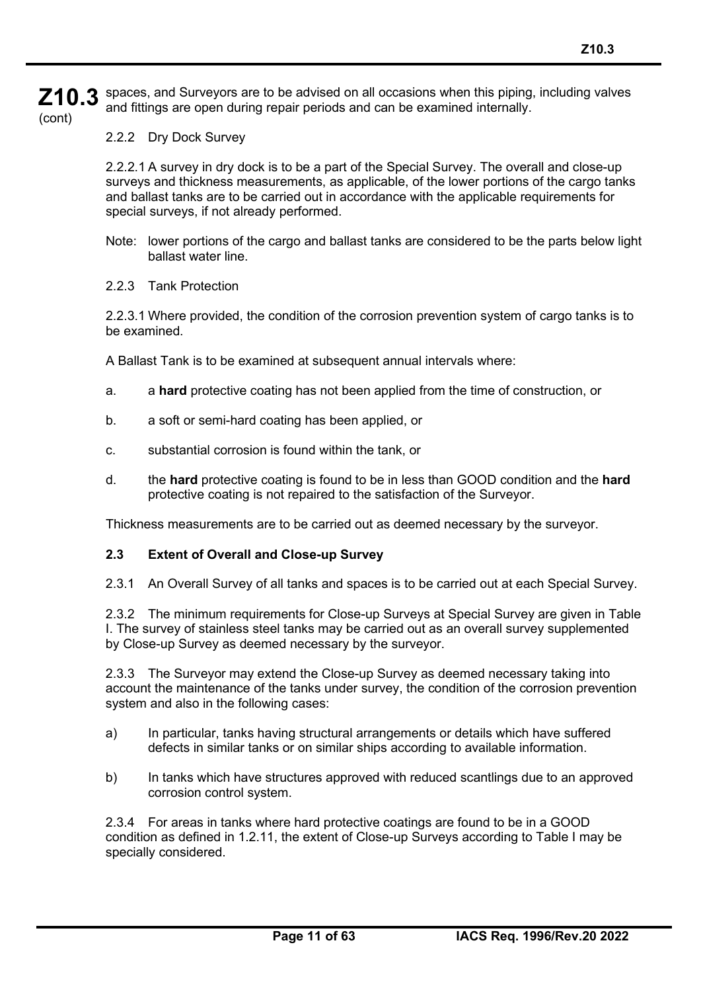**Z10.3** (cont) spaces, and Surveyors are to be advised on all occasions when this piping, including valves and fittings are open during repair periods and can be examined internally.

2.2.2 Dry Dock Survey

2.2.2.1 A survey in dry dock is to be a part of the Special Survey. The overall and close-up surveys and thickness measurements, as applicable, of the lower portions of the cargo tanks and ballast tanks are to be carried out in accordance with the applicable requirements for special surveys, if not already performed.

- Note: lower portions of the cargo and ballast tanks are considered to be the parts below light ballast water line.
- 2.2.3 Tank Protection

2.2.3.1 Where provided, the condition of the corrosion prevention system of cargo tanks is to be examined.

A Ballast Tank is to be examined at subsequent annual intervals where:

- a. a **hard** protective coating has not been applied from the time of construction, or
- b. a soft or semi-hard coating has been applied, or
- c. substantial corrosion is found within the tank, or
- d. the **hard** protective coating is found to be in less than GOOD condition and the **hard**  protective coating is not repaired to the satisfaction of the Surveyor.

Thickness measurements are to be carried out as deemed necessary by the surveyor.

#### **2.3 Extent of Overall and Close-up Survey**

2.3.1 An Overall Survey of all tanks and spaces is to be carried out at each Special Survey.

2.3.2 The minimum requirements for Close-up Surveys at Special Survey are given in Table I. The survey of stainless steel tanks may be carried out as an overall survey supplemented by Close-up Survey as deemed necessary by the surveyor.

2.3.3 The Surveyor may extend the Close-up Survey as deemed necessary taking into account the maintenance of the tanks under survey, the condition of the corrosion prevention system and also in the following cases:

- a) In particular, tanks having structural arrangements or details which have suffered defects in similar tanks or on similar ships according to available information.
- b) In tanks which have structures approved with reduced scantlings due to an approved corrosion control system.

2.3.4 For areas in tanks where hard protective coatings are found to be in a GOOD condition as defined in 1.2.11, the extent of Close-up Surveys according to Table I may be specially considered.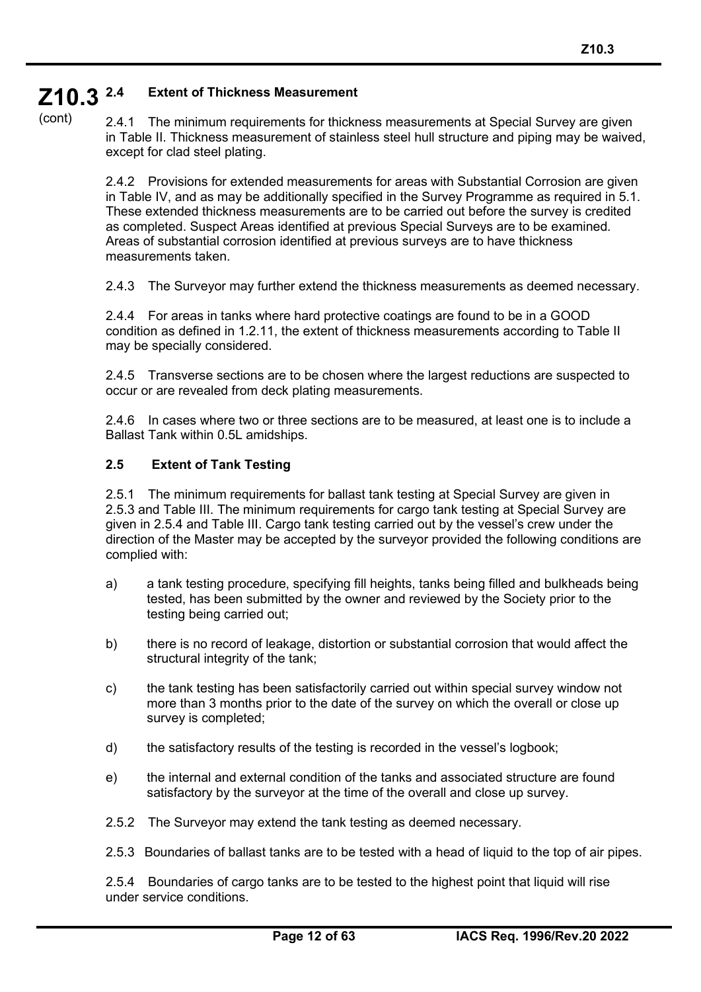#### **Z10.3 2.4 Extent of Thickness Measurement**

(cont)

2.4.1 The minimum requirements for thickness measurements at Special Survey are given in Table II. Thickness measurement of stainless steel hull structure and piping may be waived, except for clad steel plating.

2.4.2 Provisions for extended measurements for areas with Substantial Corrosion are given in Table IV, and as may be additionally specified in the Survey Programme as required in 5.1. These extended thickness measurements are to be carried out before the survey is credited as completed. Suspect Areas identified at previous Special Surveys are to be examined. Areas of substantial corrosion identified at previous surveys are to have thickness measurements taken.

2.4.3 The Surveyor may further extend the thickness measurements as deemed necessary.

2.4.4 For areas in tanks where hard protective coatings are found to be in a GOOD condition as defined in 1.2.11, the extent of thickness measurements according to Table II may be specially considered.

2.4.5 Transverse sections are to be chosen where the largest reductions are suspected to occur or are revealed from deck plating measurements.

2.4.6 In cases where two or three sections are to be measured, at least one is to include a Ballast Tank within 0.5L amidships.

#### **2.5 Extent of Tank Testing**

2.5.1 The minimum requirements for ballast tank testing at Special Survey are given in 2.5.3 and Table III. The minimum requirements for cargo tank testing at Special Survey are given in 2.5.4 and Table III. Cargo tank testing carried out by the vessel's crew under the direction of the Master may be accepted by the surveyor provided the following conditions are complied with:

- a) a tank testing procedure, specifying fill heights, tanks being filled and bulkheads being tested, has been submitted by the owner and reviewed by the Society prior to the testing being carried out;
- b) there is no record of leakage, distortion or substantial corrosion that would affect the structural integrity of the tank;
- c) the tank testing has been satisfactorily carried out within special survey window not more than 3 months prior to the date of the survey on which the overall or close up survey is completed;
- d) the satisfactory results of the testing is recorded in the vessel's logbook;
- e) the internal and external condition of the tanks and associated structure are found satisfactory by the surveyor at the time of the overall and close up survey.
- 2.5.2 The Surveyor may extend the tank testing as deemed necessary.
- 2.5.3 Boundaries of ballast tanks are to be tested with a head of liquid to the top of air pipes.

2.5.4 Boundaries of cargo tanks are to be tested to the highest point that liquid will rise under service conditions.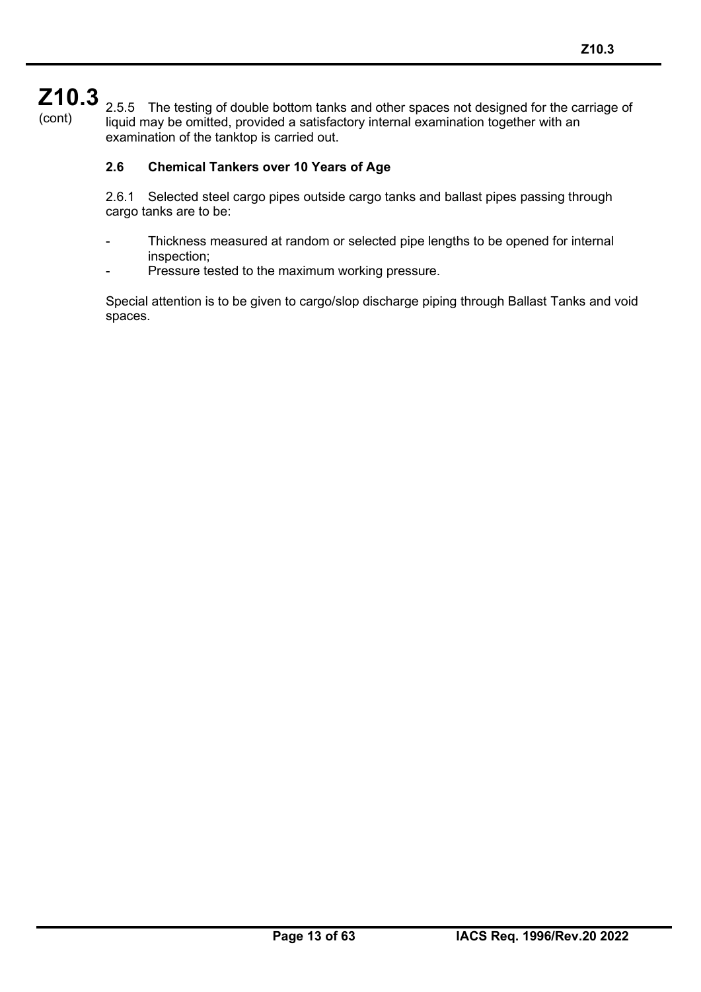2.5.5 The testing of double bottom tanks and other spaces not designed for the carriage of liquid may be omitted, provided a satisfactory internal examination together with an examination of the tanktop is carried out.

## **2.6 Chemical Tankers over 10 Years of Age**

2.6.1 Selected steel cargo pipes outside cargo tanks and ballast pipes passing through cargo tanks are to be:

- Thickness measured at random or selected pipe lengths to be opened for internal inspection;
- Pressure tested to the maximum working pressure.

Special attention is to be given to cargo/slop discharge piping through Ballast Tanks and void spaces.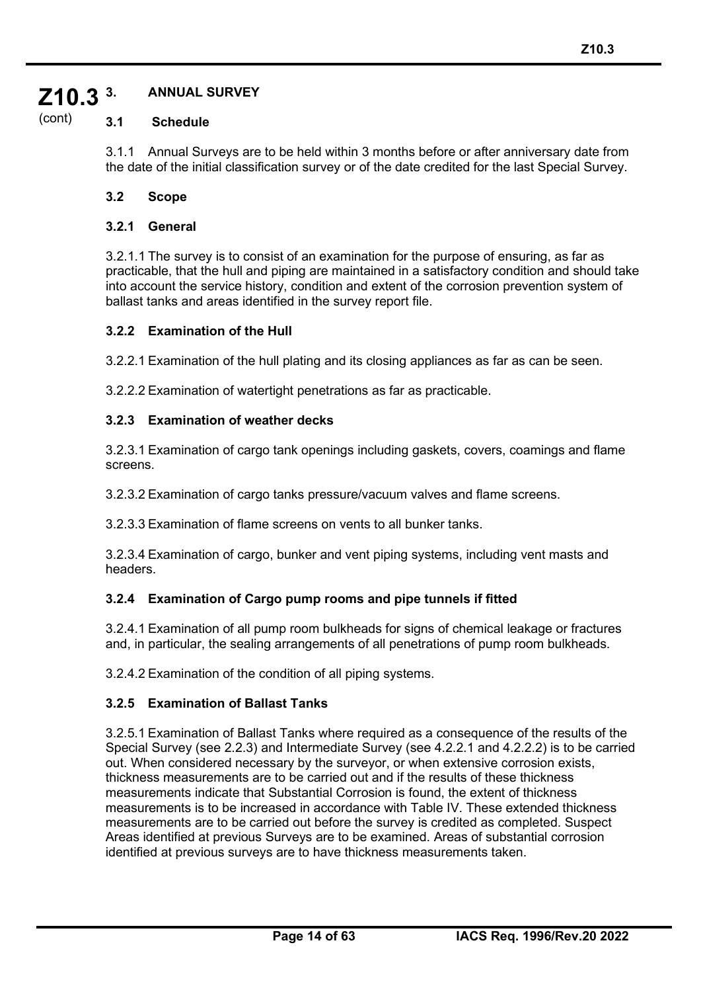#### **Z10.3 3. ANNUAL SURVEY**

#### (cont) **3.1 Schedule**

3.1.1 Annual Surveys are to be held within 3 months before or after anniversary date from the date of the initial classification survey or of the date credited for the last Special Survey.

#### **3.2 Scope**

#### **3.2.1 General**

3.2.1.1 The survey is to consist of an examination for the purpose of ensuring, as far as practicable, that the hull and piping are maintained in a satisfactory condition and should take into account the service history, condition and extent of the corrosion prevention system of ballast tanks and areas identified in the survey report file.

#### **3.2.2 Examination of the Hull**

3.2.2.1 Examination of the hull plating and its closing appliances as far as can be seen.

3.2.2.2 Examination of watertight penetrations as far as practicable.

#### **3.2.3 Examination of weather decks**

3.2.3.1 Examination of cargo tank openings including gaskets, covers, coamings and flame screens.

3.2.3.2 Examination of cargo tanks pressure/vacuum valves and flame screens.

3.2.3.3 Examination of flame screens on vents to all bunker tanks.

3.2.3.4 Examination of cargo, bunker and vent piping systems, including vent masts and headers.

#### **3.2.4 Examination of Cargo pump rooms and pipe tunnels if fitted**

3.2.4.1 Examination of all pump room bulkheads for signs of chemical leakage or fractures and, in particular, the sealing arrangements of all penetrations of pump room bulkheads.

3.2.4.2 Examination of the condition of all piping systems.

#### **3.2.5 Examination of Ballast Tanks**

3.2.5.1 Examination of Ballast Tanks where required as a consequence of the results of the Special Survey (see 2.2.3) and Intermediate Survey (see 4.2.2.1 and 4.2.2.2) is to be carried out. When considered necessary by the surveyor, or when extensive corrosion exists, thickness measurements are to be carried out and if the results of these thickness measurements indicate that Substantial Corrosion is found, the extent of thickness measurements is to be increased in accordance with Table IV. These extended thickness measurements are to be carried out before the survey is credited as completed. Suspect Areas identified at previous Surveys are to be examined. Areas of substantial corrosion identified at previous surveys are to have thickness measurements taken.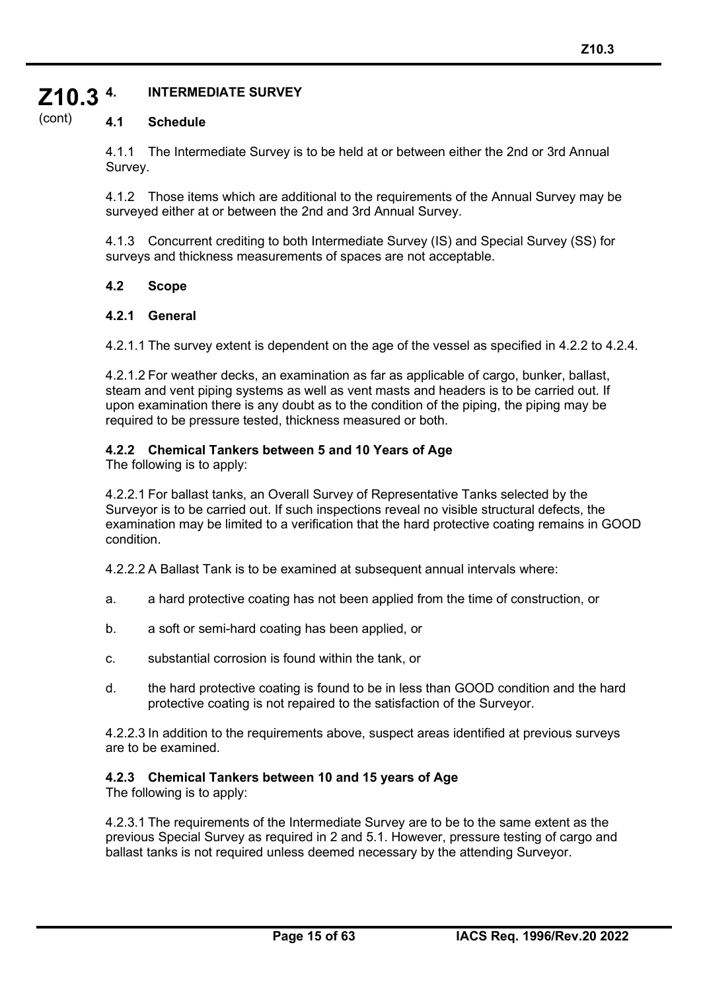#### **Z10.3 4. INTERMEDIATE SURVEY**

#### (cont) **4.1 Schedule**

4.1.1 The Intermediate Survey is to be held at or between either the 2nd or 3rd Annual Survey.

4.1.2 Those items which are additional to the requirements of the Annual Survey may be surveyed either at or between the 2nd and 3rd Annual Survey.

4.1.3 Concurrent crediting to both Intermediate Survey (IS) and Special Survey (SS) for surveys and thickness measurements of spaces are not acceptable.

#### **4.2 Scope**

#### **4.2.1 General**

4.2.1.1 The survey extent is dependent on the age of the vessel as specified in 4.2.2 to 4.2.4.

4.2.1.2 For weather decks, an examination as far as applicable of cargo, bunker, ballast, steam and vent piping systems as well as vent masts and headers is to be carried out. If upon examination there is any doubt as to the condition of the piping, the piping may be required to be pressure tested, thickness measured or both.

#### **4.2.2 Chemical Tankers between 5 and 10 Years of Age**

The following is to apply:

4.2.2.1 For ballast tanks, an Overall Survey of Representative Tanks selected by the Surveyor is to be carried out. If such inspections reveal no visible structural defects, the examination may be limited to a verification that the hard protective coating remains in GOOD condition.

4.2.2.2 A Ballast Tank is to be examined at subsequent annual intervals where:

- a. a hard protective coating has not been applied from the time of construction, or
- b. a soft or semi-hard coating has been applied, or
- c. substantial corrosion is found within the tank, or
- d. the hard protective coating is found to be in less than GOOD condition and the hard protective coating is not repaired to the satisfaction of the Surveyor.

4.2.2.3 In addition to the requirements above, suspect areas identified at previous surveys are to be examined.

#### **4.2.3 Chemical Tankers between 10 and 15 years of Age**

The following is to apply:

4.2.3.1 The requirements of the Intermediate Survey are to be to the same extent as the previous Special Survey as required in 2 and 5.1. However, pressure testing of cargo and ballast tanks is not required unless deemed necessary by the attending Surveyor.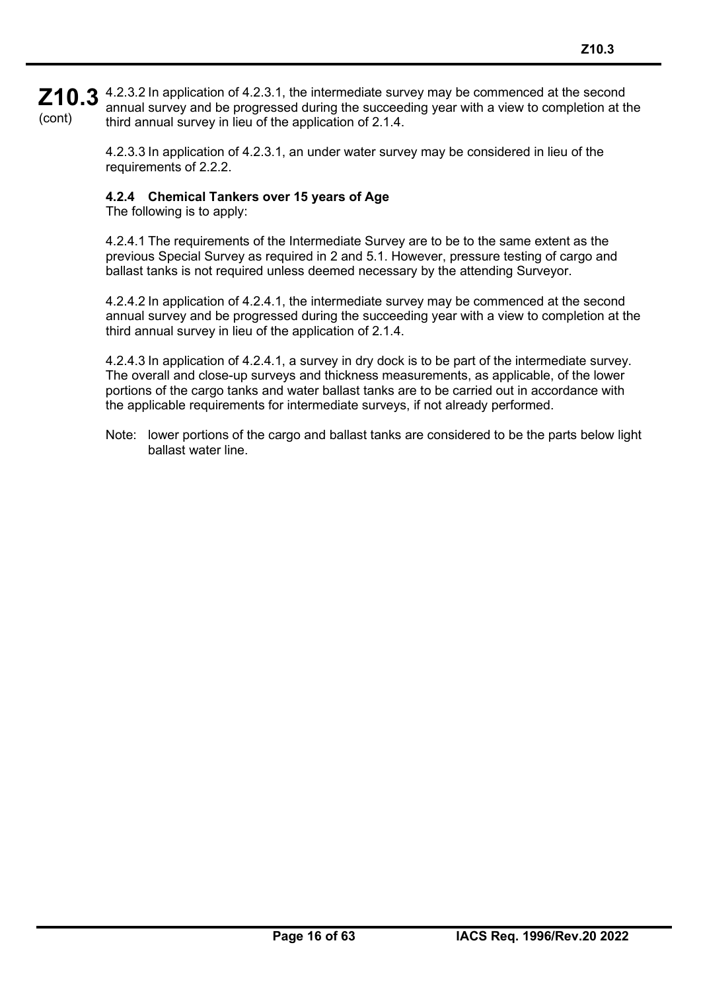**Z10.3** 4.2.3.2 In application of 4.2.3.1, the intermediate survey may be commenced at the second  $\overline{\phantom{a}}$ (cont) annual survey and be progressed during the succeeding year with a view to completion at the third annual survey in lieu of the application of 2.1.4.

> 4.2.3.3 In application of 4.2.3.1, an under water survey may be considered in lieu of the requirements of 2.2.2.

## **4.2.4 Chemical Tankers over 15 years of Age**

The following is to apply:

4.2.4.1 The requirements of the Intermediate Survey are to be to the same extent as the previous Special Survey as required in 2 and 5.1. However, pressure testing of cargo and ballast tanks is not required unless deemed necessary by the attending Surveyor.

4.2.4.2 In application of 4.2.4.1, the intermediate survey may be commenced at the second annual survey and be progressed during the succeeding year with a view to completion at the third annual survey in lieu of the application of 2.1.4.

4.2.4.3 In application of 4.2.4.1, a survey in dry dock is to be part of the intermediate survey. The overall and close-up surveys and thickness measurements, as applicable, of the lower portions of the cargo tanks and water ballast tanks are to be carried out in accordance with the applicable requirements for intermediate surveys, if not already performed.

Note: lower portions of the cargo and ballast tanks are considered to be the parts below light ballast water line.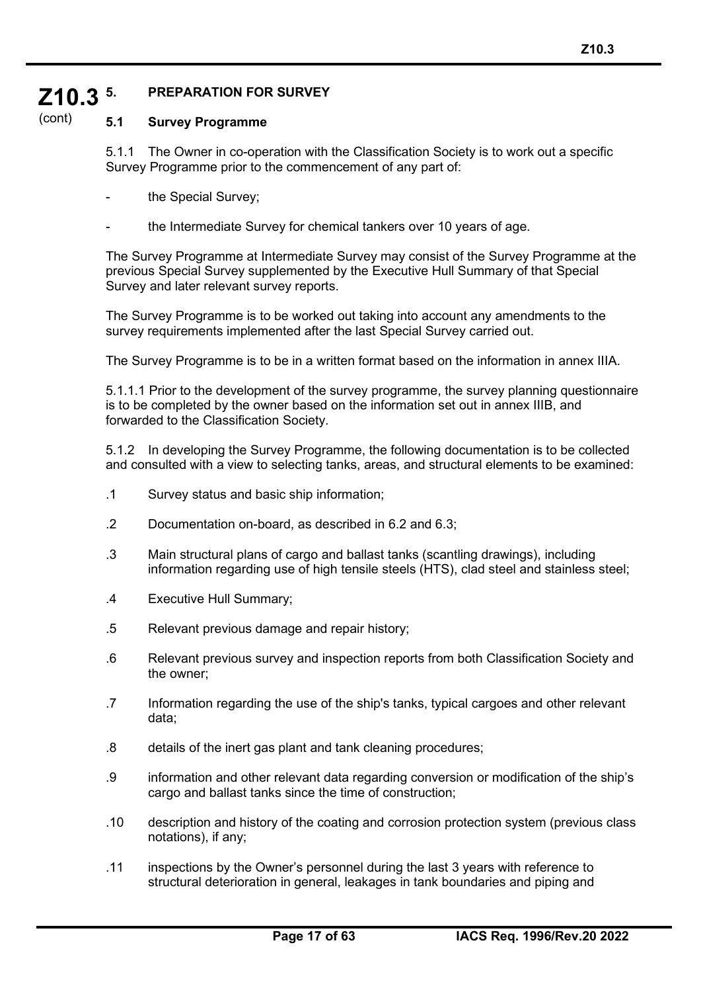#### **Z10.3 5. PREPARATION FOR SURVEY**

#### (cont) **5.1 Survey Programme**

5.1.1 The Owner in co-operation with the Classification Society is to work out a specific Survey Programme prior to the commencement of any part of:

- the Special Survey;
- the Intermediate Survey for chemical tankers over 10 years of age.

The Survey Programme at Intermediate Survey may consist of the Survey Programme at the previous Special Survey supplemented by the Executive Hull Summary of that Special Survey and later relevant survey reports.

The Survey Programme is to be worked out taking into account any amendments to the survey requirements implemented after the last Special Survey carried out.

The Survey Programme is to be in a written format based on the information in annex IIIA.

5.1.1.1 Prior to the development of the survey programme, the survey planning questionnaire is to be completed by the owner based on the information set out in annex IIIB, and forwarded to the Classification Society.

5.1.2 In developing the Survey Programme, the following documentation is to be collected and consulted with a view to selecting tanks, areas, and structural elements to be examined:

- .1 Survey status and basic ship information;
- .2 Documentation on-board, as described in 6.2 and 6.3;
- .3 Main structural plans of cargo and ballast tanks (scantling drawings), including information regarding use of high tensile steels (HTS), clad steel and stainless steel;
- .4 Executive Hull Summary;
- .5 Relevant previous damage and repair history;
- .6 Relevant previous survey and inspection reports from both Classification Society and the owner;
- .7 Information regarding the use of the ship's tanks, typical cargoes and other relevant data;
- .8 details of the inert gas plant and tank cleaning procedures;
- .9 information and other relevant data regarding conversion or modification of the ship's cargo and ballast tanks since the time of construction;
- .10 description and history of the coating and corrosion protection system (previous class notations), if any;
- .11 inspections by the Owner's personnel during the last 3 years with reference to structural deterioration in general, leakages in tank boundaries and piping and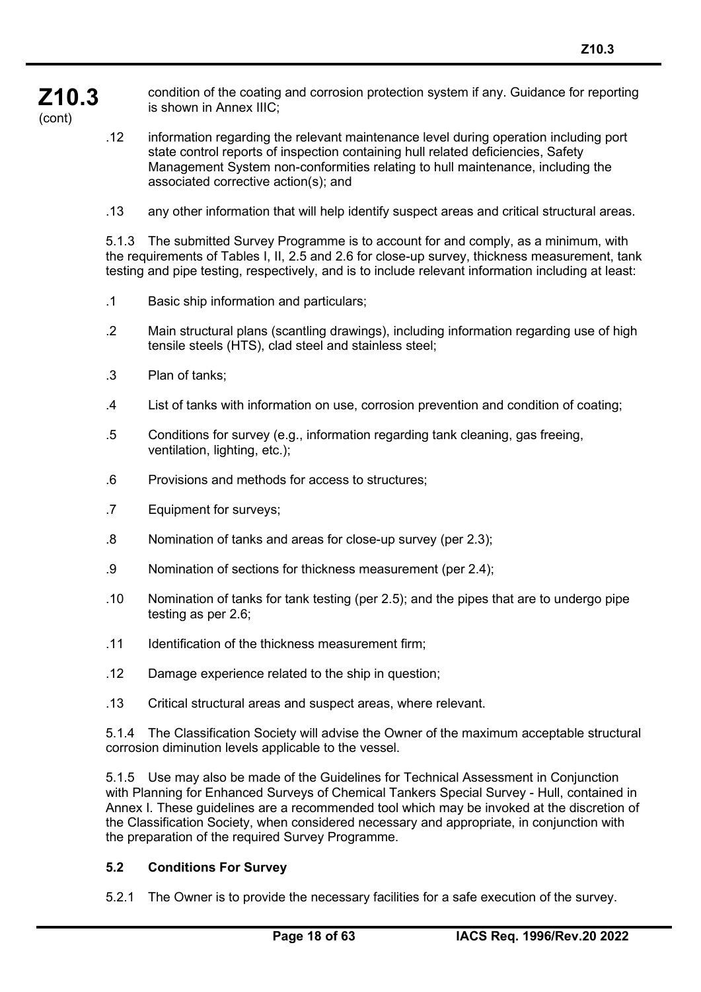**Z10.3** condition of the coating and corrosion protection system if any. Guidance for reporting is shown in Annex IIIC;

(cont)

- .12 information regarding the relevant maintenance level during operation including port state control reports of inspection containing hull related deficiencies, Safety Management System non-conformities relating to hull maintenance, including the associated corrective action(s); and
- .13 any other information that will help identify suspect areas and critical structural areas.

5.1.3 The submitted Survey Programme is to account for and comply, as a minimum, with the requirements of Tables I, II, 2.5 and 2.6 for close-up survey, thickness measurement, tank testing and pipe testing, respectively, and is to include relevant information including at least:

- .1 Basic ship information and particulars;
- .2 Main structural plans (scantling drawings), including information regarding use of high tensile steels (HTS), clad steel and stainless steel;
- .3 Plan of tanks;
- .4 List of tanks with information on use, corrosion prevention and condition of coating;
- .5 Conditions for survey (e.g., information regarding tank cleaning, gas freeing, ventilation, lighting, etc.);
- .6 Provisions and methods for access to structures;
- .7 Equipment for surveys;
- .8 Nomination of tanks and areas for close-up survey (per 2.3);
- .9 Nomination of sections for thickness measurement (per 2.4);
- .10 Nomination of tanks for tank testing (per 2.5); and the pipes that are to undergo pipe testing as per 2.6;
- .11 Identification of the thickness measurement firm;
- .12 Damage experience related to the ship in question;
- .13 Critical structural areas and suspect areas, where relevant.

5.1.4 The Classification Society will advise the Owner of the maximum acceptable structural corrosion diminution levels applicable to the vessel.

5.1.5 Use may also be made of the Guidelines for Technical Assessment in Conjunction with Planning for Enhanced Surveys of Chemical Tankers Special Survey - Hull, contained in Annex I. These guidelines are a recommended tool which may be invoked at the discretion of the Classification Society, when considered necessary and appropriate, in conjunction with the preparation of the required Survey Programme.

#### **5.2 Conditions For Survey**

5.2.1 The Owner is to provide the necessary facilities for a safe execution of the survey.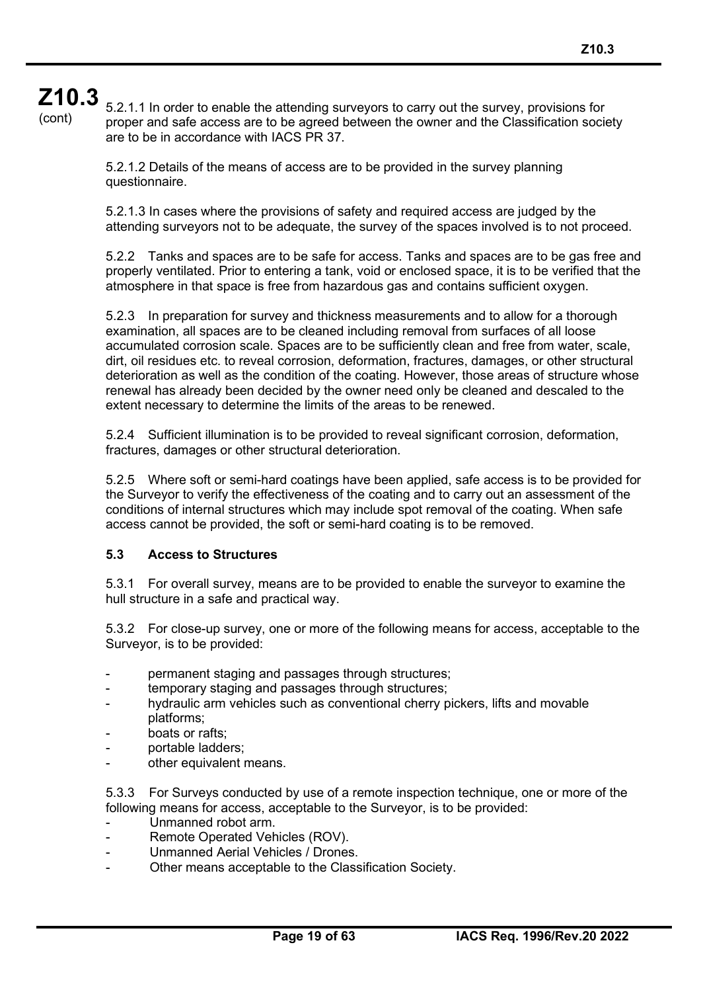(cont)

5.2.1.1 In order to enable the attending surveyors to carry out the survey, provisions for proper and safe access are to be agreed between the owner and the Classification society are to be in accordance with IACS PR 37.

5.2.1.2 Details of the means of access are to be provided in the survey planning questionnaire.

5.2.1.3 In cases where the provisions of safety and required access are judged by the attending surveyors not to be adequate, the survey of the spaces involved is to not proceed.

5.2.2 Tanks and spaces are to be safe for access. Tanks and spaces are to be gas free and properly ventilated. Prior to entering a tank, void or enclosed space, it is to be verified that the atmosphere in that space is free from hazardous gas and contains sufficient oxygen.

5.2.3 In preparation for survey and thickness measurements and to allow for a thorough examination, all spaces are to be cleaned including removal from surfaces of all loose accumulated corrosion scale. Spaces are to be sufficiently clean and free from water, scale, dirt, oil residues etc. to reveal corrosion, deformation, fractures, damages, or other structural deterioration as well as the condition of the coating. However, those areas of structure whose renewal has already been decided by the owner need only be cleaned and descaled to the extent necessary to determine the limits of the areas to be renewed.

5.2.4 Sufficient illumination is to be provided to reveal significant corrosion, deformation, fractures, damages or other structural deterioration.

5.2.5 Where soft or semi-hard coatings have been applied, safe access is to be provided for the Surveyor to verify the effectiveness of the coating and to carry out an assessment of the conditions of internal structures which may include spot removal of the coating. When safe access cannot be provided, the soft or semi-hard coating is to be removed.

#### **5.3 Access to Structures**

5.3.1 For overall survey, means are to be provided to enable the surveyor to examine the hull structure in a safe and practical way.

5.3.2 For close-up survey, one or more of the following means for access, acceptable to the Surveyor, is to be provided:

- permanent staging and passages through structures;
- temporary staging and passages through structures;
- hydraulic arm vehicles such as conventional cherry pickers, lifts and movable platforms;
- boats or rafts:
- portable ladders;
- other equivalent means.

5.3.3 For Surveys conducted by use of a remote inspection technique, one or more of the following means for access, acceptable to the Surveyor, is to be provided:

- Unmanned robot arm.
- Remote Operated Vehicles (ROV).
- Unmanned Aerial Vehicles / Drones.
- Other means acceptable to the Classification Society.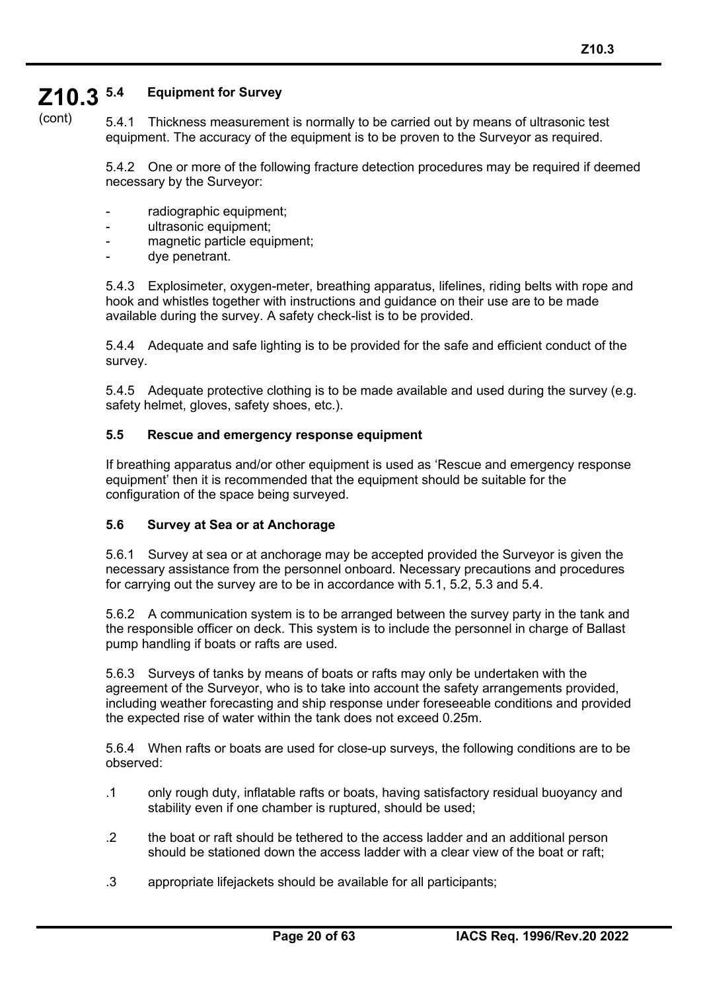#### **Z10.3 5.4 Equipment for Survey**

(cont)

5.4.1 Thickness measurement is normally to be carried out by means of ultrasonic test equipment. The accuracy of the equipment is to be proven to the Surveyor as required.

5.4.2 One or more of the following fracture detection procedures may be required if deemed necessary by the Surveyor:

- radiographic equipment;
- ultrasonic equipment;
- magnetic particle equipment;
- dye penetrant.

5.4.3 Explosimeter, oxygen-meter, breathing apparatus, lifelines, riding belts with rope and hook and whistles together with instructions and guidance on their use are to be made available during the survey. A safety check-list is to be provided.

5.4.4 Adequate and safe lighting is to be provided for the safe and efficient conduct of the survey.

5.4.5 Adequate protective clothing is to be made available and used during the survey (e.g. safety helmet, gloves, safety shoes, etc.).

#### **5.5 Rescue and emergency response equipment**

If breathing apparatus and/or other equipment is used as 'Rescue and emergency response equipment' then it is recommended that the equipment should be suitable for the configuration of the space being surveyed.

#### **5.6 Survey at Sea or at Anchorage**

5.6.1 Survey at sea or at anchorage may be accepted provided the Surveyor is given the necessary assistance from the personnel onboard. Necessary precautions and procedures for carrying out the survey are to be in accordance with 5.1, 5.2, 5.3 and 5.4.

5.6.2 A communication system is to be arranged between the survey party in the tank and the responsible officer on deck. This system is to include the personnel in charge of Ballast pump handling if boats or rafts are used.

5.6.3 Surveys of tanks by means of boats or rafts may only be undertaken with the agreement of the Surveyor, who is to take into account the safety arrangements provided, including weather forecasting and ship response under foreseeable conditions and provided the expected rise of water within the tank does not exceed 0.25m.

5.6.4 When rafts or boats are used for close-up surveys, the following conditions are to be observed:

- .1 only rough duty, inflatable rafts or boats, having satisfactory residual buoyancy and stability even if one chamber is ruptured, should be used;
- .2 the boat or raft should be tethered to the access ladder and an additional person should be stationed down the access ladder with a clear view of the boat or raft;
- .3 appropriate lifejackets should be available for all participants;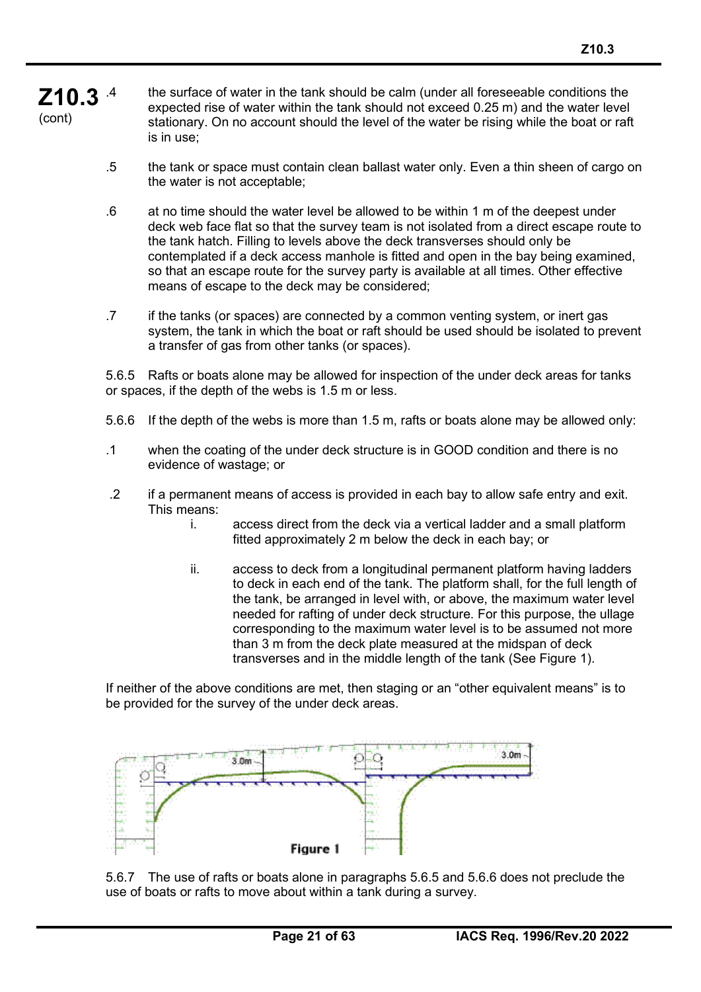#### **Z10.3** (cont) the surface of water in the tank should be calm (under all foreseeable conditions the expected rise of water within the tank should not exceed 0.25 m) and the water level stationary. On no account should the level of the water be rising while the boat or raft is in use;

- .5 the tank or space must contain clean ballast water only. Even a thin sheen of cargo on the water is not acceptable;
- .6 at no time should the water level be allowed to be within 1 m of the deepest under deck web face flat so that the survey team is not isolated from a direct escape route to the tank hatch. Filling to levels above the deck transverses should only be contemplated if a deck access manhole is fitted and open in the bay being examined, so that an escape route for the survey party is available at all times. Other effective means of escape to the deck may be considered;
- .7 if the tanks (or spaces) are connected by a common venting system, or inert gas system, the tank in which the boat or raft should be used should be isolated to prevent a transfer of gas from other tanks (or spaces).

5.6.5 Rafts or boats alone may be allowed for inspection of the under deck areas for tanks or spaces, if the depth of the webs is 1.5 m or less.

- 5.6.6 If the depth of the webs is more than 1.5 m, rafts or boats alone may be allowed only:
- .1 when the coating of the under deck structure is in GOOD condition and there is no evidence of wastage; or
- .2 if a permanent means of access is provided in each bay to allow safe entry and exit. This means:
	- i. access direct from the deck via a vertical ladder and a small platform fitted approximately 2 m below the deck in each bay; or
	- ii. access to deck from a longitudinal permanent platform having ladders to deck in each end of the tank. The platform shall, for the full length of the tank, be arranged in level with, or above, the maximum water level needed for rafting of under deck structure. For this purpose, the ullage corresponding to the maximum water level is to be assumed not more than 3 m from the deck plate measured at the midspan of deck transverses and in the middle length of the tank (See Figure 1).

If neither of the above conditions are met, then staging or an "other equivalent means" is to be provided for the survey of the under deck areas.



5.6.7 The use of rafts or boats alone in paragraphs 5.6.5 and 5.6.6 does not preclude the use of boats or rafts to move about within a tank during a survey.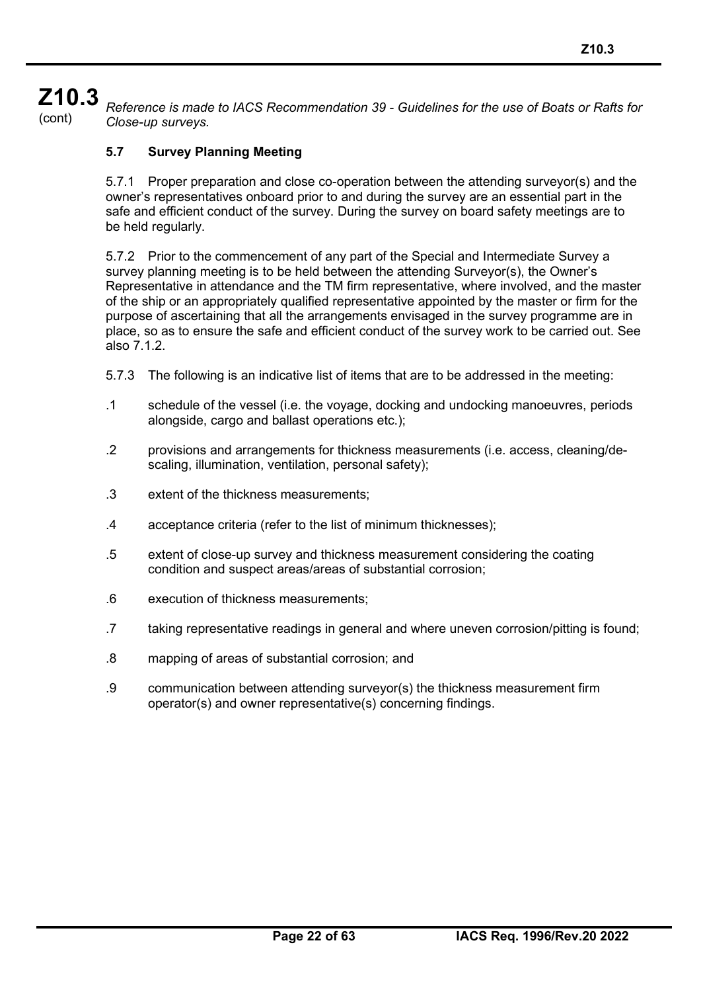# **Z10.3**

(cont) *Reference is made to IACS Recommendation 39 - Guidelines for the use of Boats or Rafts for Close-up surveys.*

## **5.7 Survey Planning Meeting**

5.7.1 Proper preparation and close co-operation between the attending surveyor(s) and the owner's representatives onboard prior to and during the survey are an essential part in the safe and efficient conduct of the survey. During the survey on board safety meetings are to be held regularly.

5.7.2 Prior to the commencement of any part of the Special and Intermediate Survey a survey planning meeting is to be held between the attending Surveyor(s), the Owner's Representative in attendance and the TM firm representative, where involved, and the master of the ship or an appropriately qualified representative appointed by the master or firm for the purpose of ascertaining that all the arrangements envisaged in the survey programme are in place, so as to ensure the safe and efficient conduct of the survey work to be carried out. See also 7.1.2.

- 5.7.3 The following is an indicative list of items that are to be addressed in the meeting:
- .1 schedule of the vessel (i.e. the voyage, docking and undocking manoeuvres, periods alongside, cargo and ballast operations etc.);
- .2 provisions and arrangements for thickness measurements (i.e. access, cleaning/descaling, illumination, ventilation, personal safety);
- .3 extent of the thickness measurements;
- .4 acceptance criteria (refer to the list of minimum thicknesses);
- .5 extent of close-up survey and thickness measurement considering the coating condition and suspect areas/areas of substantial corrosion;
- .6 execution of thickness measurements;
- .7 taking representative readings in general and where uneven corrosion/pitting is found;
- .8 mapping of areas of substantial corrosion; and
- .9 communication between attending surveyor(s) the thickness measurement firm operator(s) and owner representative(s) concerning findings.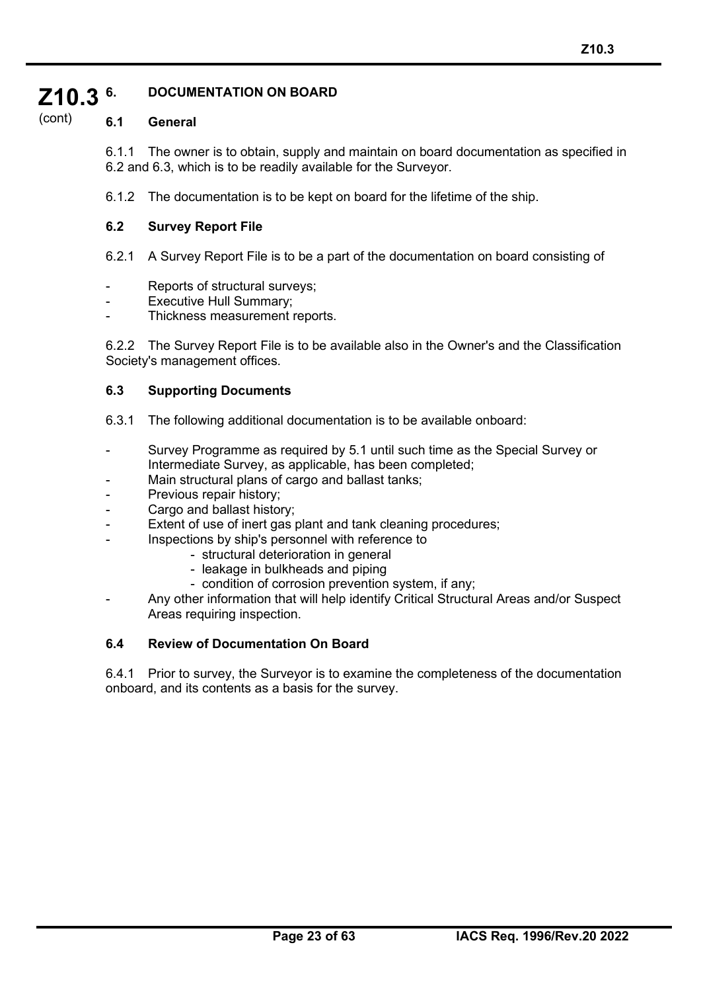#### **Z10.3 6. DOCUMENTATION ON BOARD**

#### (cont) **6.1 General**

6.1.1 The owner is to obtain, supply and maintain on board documentation as specified in 6.2 and 6.3, which is to be readily available for the Surveyor.

6.1.2 The documentation is to be kept on board for the lifetime of the ship.

#### **6.2 Survey Report File**

6.2.1 A Survey Report File is to be a part of the documentation on board consisting of

- Reports of structural surveys;
- Executive Hull Summary;
- Thickness measurement reports.

6.2.2 The Survey Report File is to be available also in the Owner's and the Classification Society's management offices.

#### **6.3 Supporting Documents**

- 6.3.1 The following additional documentation is to be available onboard:
- Survey Programme as required by 5.1 until such time as the Special Survey or Intermediate Survey, as applicable, has been completed;
- Main structural plans of cargo and ballast tanks;
- Previous repair history;
- Cargo and ballast history;
- Extent of use of inert gas plant and tank cleaning procedures;
- Inspections by ship's personnel with reference to
	- structural deterioration in general
	- leakage in bulkheads and piping
	- condition of corrosion prevention system, if any;
- Any other information that will help identify Critical Structural Areas and/or Suspect Areas requiring inspection.

#### **6.4 Review of Documentation On Board**

6.4.1 Prior to survey, the Surveyor is to examine the completeness of the documentation onboard, and its contents as a basis for the survey.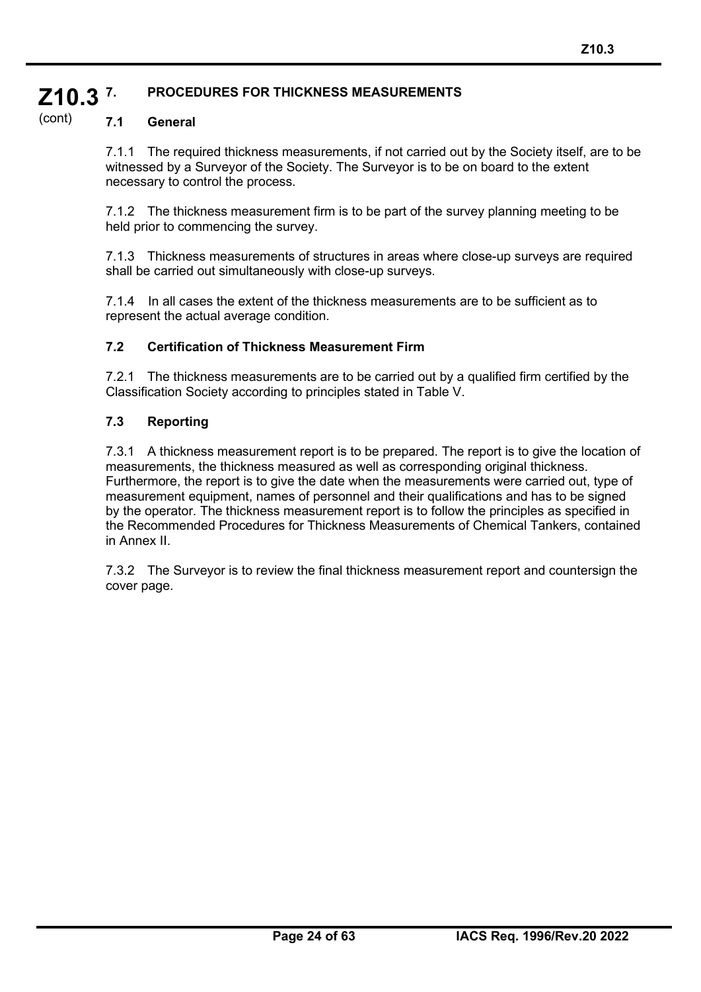#### **Z10.3 7. PROCEDURES FOR THICKNESS MEASUREMENTS**

#### (cont) **7.1 General**

7.1.1 The required thickness measurements, if not carried out by the Society itself, are to be witnessed by a Surveyor of the Society. The Surveyor is to be on board to the extent necessary to control the process.

7.1.2 The thickness measurement firm is to be part of the survey planning meeting to be held prior to commencing the survey.

7.1.3 Thickness measurements of structures in areas where close-up surveys are required shall be carried out simultaneously with close-up surveys.

7.1.4 In all cases the extent of the thickness measurements are to be sufficient as to represent the actual average condition.

#### **7.2 Certification of Thickness Measurement Firm**

7.2.1 The thickness measurements are to be carried out by a qualified firm certified by the Classification Society according to principles stated in Table V.

#### **7.3 Reporting**

7.3.1 A thickness measurement report is to be prepared. The report is to give the location of measurements, the thickness measured as well as corresponding original thickness. Furthermore, the report is to give the date when the measurements were carried out, type of measurement equipment, names of personnel and their qualifications and has to be signed by the operator. The thickness measurement report is to follow the principles as specified in the Recommended Procedures for Thickness Measurements of Chemical Tankers, contained in Annex II.

7.3.2 The Surveyor is to review the final thickness measurement report and countersign the cover page.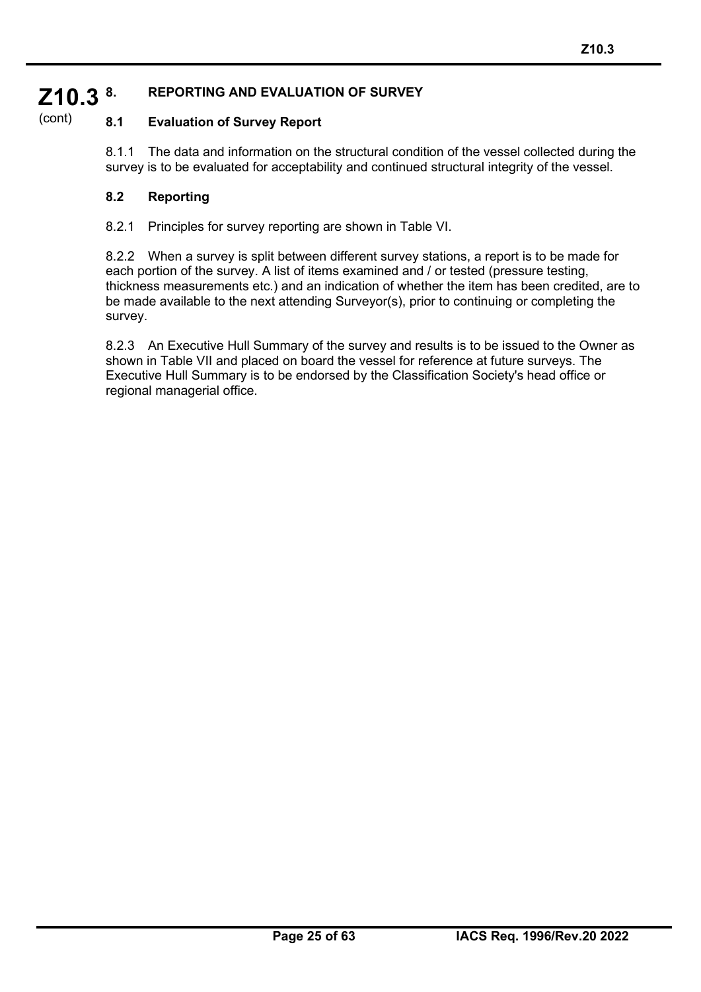#### **Z10.3 8. REPORTING AND EVALUATION OF SURVEY**

#### (cont) **8.1 Evaluation of Survey Report**

8.1.1 The data and information on the structural condition of the vessel collected during the survey is to be evaluated for acceptability and continued structural integrity of the vessel.

## **8.2 Reporting**

8.2.1 Principles for survey reporting are shown in Table VI.

8.2.2 When a survey is split between different survey stations, a report is to be made for each portion of the survey. A list of items examined and / or tested (pressure testing, thickness measurements etc.) and an indication of whether the item has been credited, are to be made available to the next attending Surveyor(s), prior to continuing or completing the survey.

8.2.3 An Executive Hull Summary of the survey and results is to be issued to the Owner as shown in Table VII and placed on board the vessel for reference at future surveys. The Executive Hull Summary is to be endorsed by the Classification Society's head office or regional managerial office.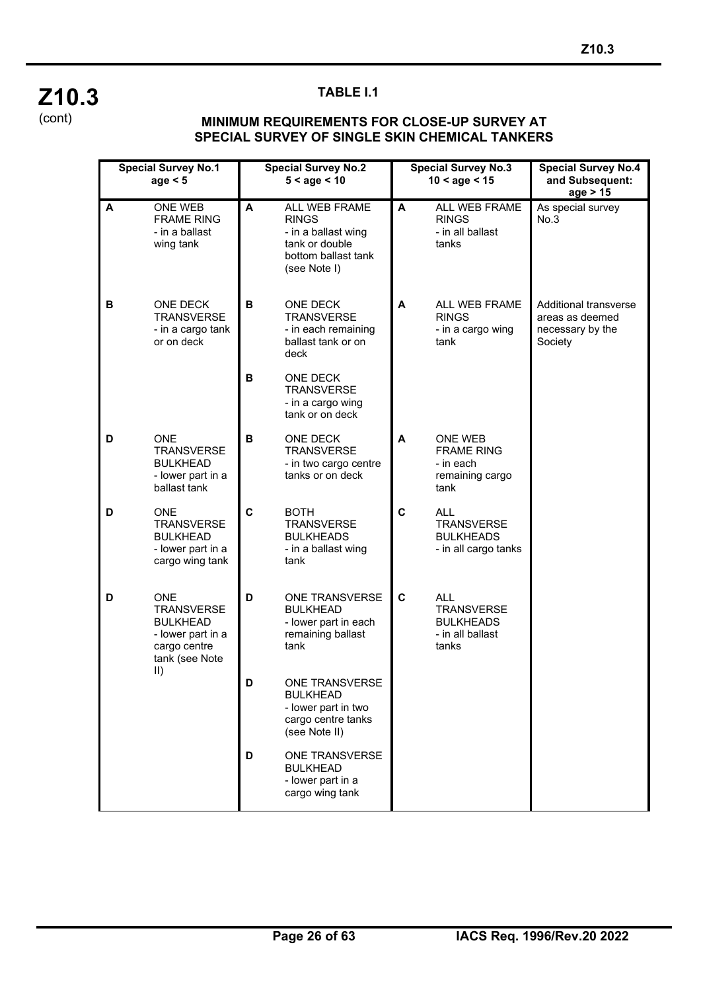

### **TABLE I.1**

#### **MINIMUM REQUIREMENTS FOR CLOSE-UP SURVEY AT SPECIAL SURVEY OF SINGLE SKIN CHEMICAL TANKERS**

|   | <b>Special Survey No.1</b><br>age $< 5$                                                                                   |        | <b>Special Survey No.2</b><br>$5 <$ age $< 10$                                                                |   | <b>Special Survey No.3</b><br>$10 <$ age $< 15$                                  | <b>Special Survey No.4</b><br>and Subsequent:<br>age > 15               |
|---|---------------------------------------------------------------------------------------------------------------------------|--------|---------------------------------------------------------------------------------------------------------------|---|----------------------------------------------------------------------------------|-------------------------------------------------------------------------|
| A | ONE WEB<br><b>FRAME RING</b><br>- in a ballast<br>wing tank                                                               | A      | ALL WEB FRAME<br><b>RINGS</b><br>- in a ballast wing<br>tank or double<br>bottom ballast tank<br>(see Note I) | A | ALL WEB FRAME<br><b>RINGS</b><br>- in all ballast<br>tanks                       | As special survey<br>No.3                                               |
| в | ONE DECK<br><b>TRANSVERSE</b><br>- in a cargo tank<br>or on deck                                                          | B<br>В | ONE DECK<br><b>TRANSVERSE</b><br>- in each remaining<br>ballast tank or on<br>deck<br><b>ONE DECK</b>         | A | ALL WEB FRAME<br><b>RINGS</b><br>- in a cargo wing<br>tank                       | Additional transverse<br>areas as deemed<br>necessary by the<br>Society |
|   |                                                                                                                           |        | <b>TRANSVERSE</b><br>- in a cargo wing<br>tank or on deck                                                     |   |                                                                                  |                                                                         |
| D | <b>ONE</b><br><b>TRANSVERSE</b><br><b>BULKHEAD</b><br>- lower part in a<br>ballast tank                                   | В      | ONE DECK<br><b>TRANSVERSE</b><br>- in two cargo centre<br>tanks or on deck                                    | A | ONE WEB<br><b>FRAME RING</b><br>- in each<br>remaining cargo<br>tank             |                                                                         |
| D | <b>ONE</b><br><b>TRANSVERSE</b><br><b>BULKHEAD</b><br>- lower part in a<br>cargo wing tank                                | C      | <b>BOTH</b><br><b>TRANSVERSE</b><br><b>BULKHEADS</b><br>- in a ballast wing<br>tank                           | C | <b>ALL</b><br><b>TRANSVERSE</b><br><b>BULKHEADS</b><br>- in all cargo tanks      |                                                                         |
| D | <b>ONE</b><br><b>TRANSVERSE</b><br><b>BULKHEAD</b><br>- lower part in a<br>cargo centre<br>tank (see Note<br>$\mathbb{I}$ | D      | ONE TRANSVERSE<br><b>BULKHEAD</b><br>- lower part in each<br>remaining ballast<br>tank                        | C | <b>ALL</b><br><b>TRANSVERSE</b><br><b>BULKHEADS</b><br>- in all ballast<br>tanks |                                                                         |
|   |                                                                                                                           | D      | ONE TRANSVERSE<br><b>BULKHEAD</b><br>- lower part in two<br>cargo centre tanks<br>(see Note II)               |   |                                                                                  |                                                                         |
|   |                                                                                                                           | D      | ONE TRANSVERSE<br><b>BULKHEAD</b><br>- lower part in a<br>cargo wing tank                                     |   |                                                                                  |                                                                         |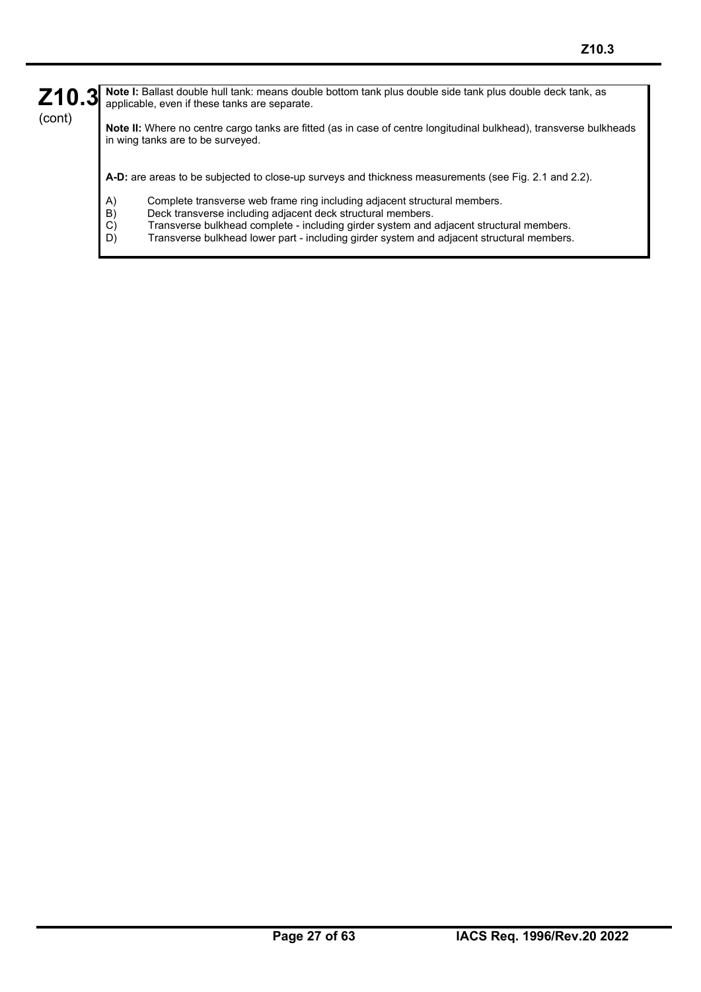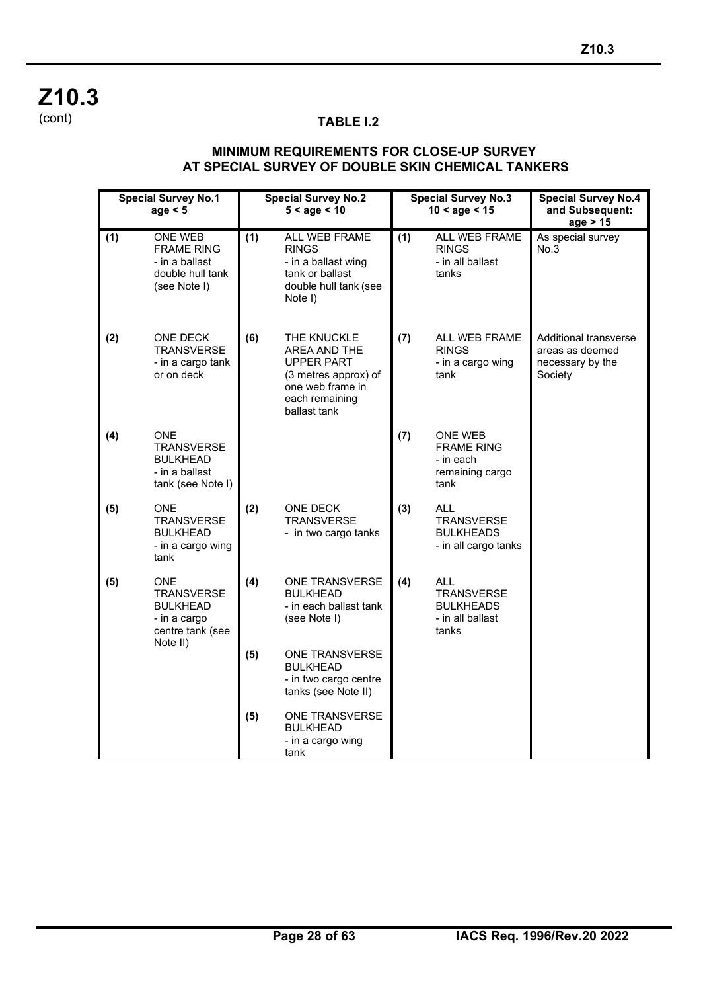**Z10.3** (cont)

### **TABLE I.2**

#### **MINIMUM REQUIREMENTS FOR CLOSE-UP SURVEY AT SPECIAL SURVEY OF DOUBLE SKIN CHEMICAL TANKERS**

|     | <b>Special Survey No.1</b><br>age $< 5$                                                            | <b>Special Survey No.2</b><br>$5 <$ age $< 10$ |                                                                                                                                | <b>Special Survey No.3</b><br>$10 <$ age $< 15$ |                                                                                  | <b>Special Survey No.4</b><br>and Subsequent:<br>age > 15                      |
|-----|----------------------------------------------------------------------------------------------------|------------------------------------------------|--------------------------------------------------------------------------------------------------------------------------------|-------------------------------------------------|----------------------------------------------------------------------------------|--------------------------------------------------------------------------------|
| (1) | ONE WEB<br><b>FRAME RING</b><br>- in a ballast<br>double hull tank<br>(see Note I)                 | (1)                                            | ALL WEB FRAME<br><b>RINGS</b><br>- in a ballast wing<br>tank or ballast<br>double hull tank (see<br>Note I)                    | (1)                                             | ALL WEB FRAME<br><b>RINGS</b><br>- in all ballast<br>tanks                       | As special survey<br>No.3                                                      |
| (2) | ONE DECK<br><b>TRANSVERSE</b><br>- in a cargo tank<br>or on deck                                   | (6)                                            | THE KNUCKLE<br>AREA AND THE<br><b>UPPER PART</b><br>(3 metres approx) of<br>one web frame in<br>each remaining<br>ballast tank | (7)                                             | ALL WEB FRAME<br><b>RINGS</b><br>- in a cargo wing<br>tank                       | <b>Additional transverse</b><br>areas as deemed<br>necessary by the<br>Society |
| (4) | <b>ONE</b><br><b>TRANSVERSE</b><br><b>BULKHEAD</b><br>- in a ballast<br>tank (see Note I)          |                                                |                                                                                                                                | (7)                                             | ONE WEB<br><b>FRAME RING</b><br>- in each<br>remaining cargo<br>tank             |                                                                                |
| (5) | ONE.<br><b>TRANSVERSE</b><br><b>BULKHEAD</b><br>- in a cargo wing<br>tank                          | (2)                                            | ONE DECK<br><b>TRANSVERSE</b><br>- in two cargo tanks                                                                          | (3)                                             | ALL<br><b>TRANSVERSE</b><br><b>BULKHEADS</b><br>- in all cargo tanks             |                                                                                |
| (5) | <b>ONE</b><br><b>TRANSVERSE</b><br><b>BULKHEAD</b><br>- in a cargo<br>centre tank (see<br>Note II) | (4)                                            | ONE TRANSVERSE<br><b>BULKHEAD</b><br>- in each ballast tank<br>(see Note I)                                                    | (4)                                             | <b>ALL</b><br><b>TRANSVERSE</b><br><b>BULKHEADS</b><br>- in all ballast<br>tanks |                                                                                |
|     |                                                                                                    | (5)                                            | ONE TRANSVERSE<br><b>BULKHEAD</b><br>- in two cargo centre<br>tanks (see Note II)                                              |                                                 |                                                                                  |                                                                                |
|     |                                                                                                    | (5)                                            | ONE TRANSVERSE<br><b>BULKHEAD</b><br>- in a cargo wing<br>tank                                                                 |                                                 |                                                                                  |                                                                                |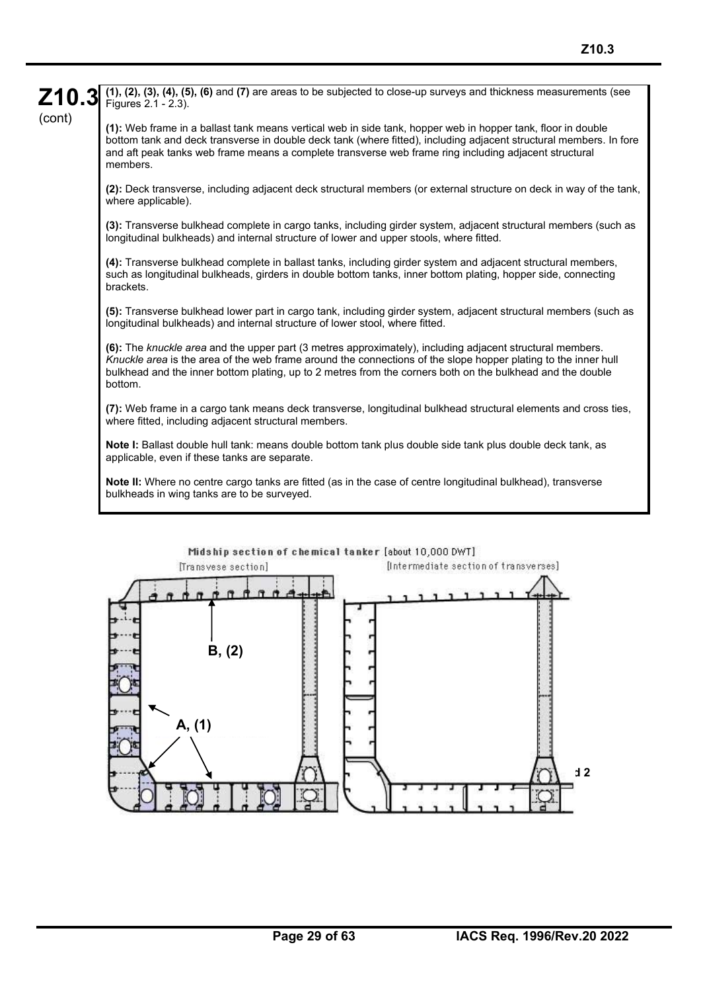**Note I:** Ballast double hull tank: means double bottom tank plus double side tank plus double deck tank, as applicable, even if these tanks are separate.

**Note II:** Where no centre cargo tanks are fitted (as in the case of centre longitudinal bulkhead), transverse bulkheads in wing tanks are to be surveyed.



**Z10.3**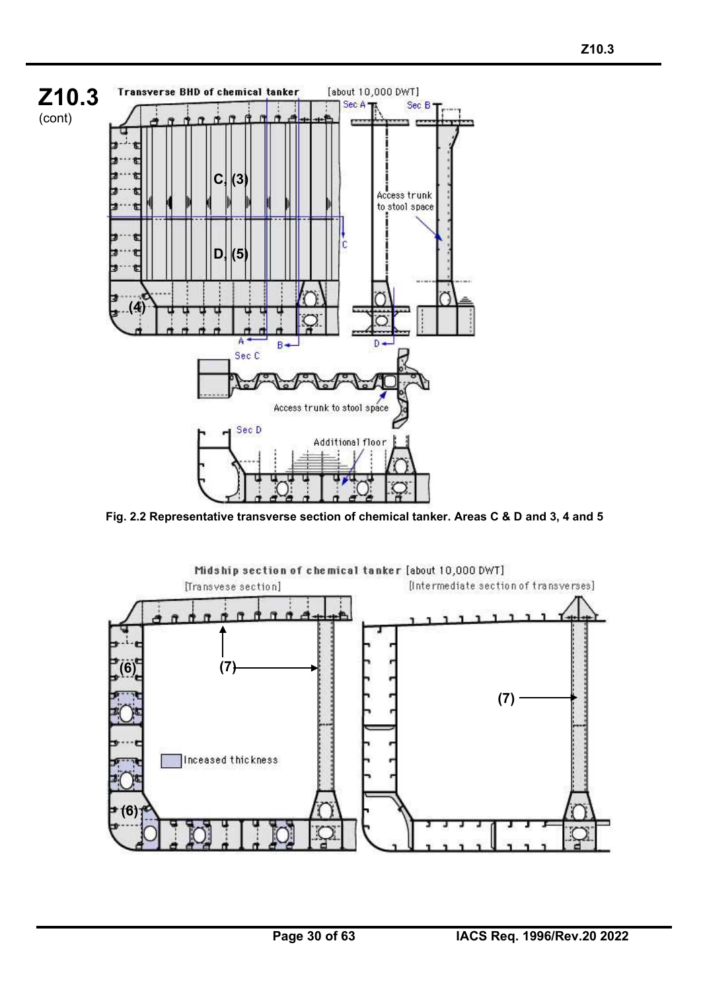

**Fig. 2.2 Representative transverse section of chemical tanker. Areas C & D and 3, 4 and 5**

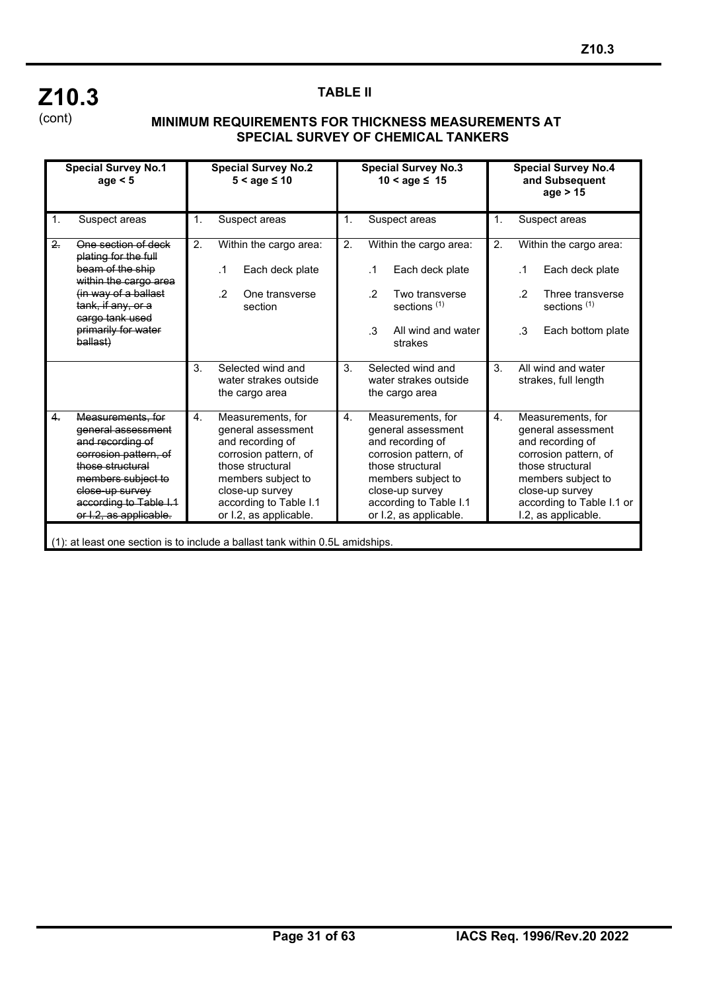## **Z10.3** (cont)

֦

#### **TABLE II**

#### **MINIMUM REQUIREMENTS FOR THICKNESS MEASUREMENTS AT SPECIAL SURVEY OF CHEMICAL TANKERS**

|    | <b>Special Survey No.1</b><br>age $< 5$                                                                                                                                                               |                | <b>Special Survey No.2</b><br>$5 <$ age $\leq 10$                                                                                                                                                     |                |                | <b>Special Survey No.3</b><br>$10 <$ age $\leq 15$                                                                                                                                                    |    | <b>Special Survey No.4</b><br>and Subsequent<br>age $> 15$                                                                                                                                            |
|----|-------------------------------------------------------------------------------------------------------------------------------------------------------------------------------------------------------|----------------|-------------------------------------------------------------------------------------------------------------------------------------------------------------------------------------------------------|----------------|----------------|-------------------------------------------------------------------------------------------------------------------------------------------------------------------------------------------------------|----|-------------------------------------------------------------------------------------------------------------------------------------------------------------------------------------------------------|
| 1. | Suspect areas                                                                                                                                                                                         | 1.             | Suspect areas                                                                                                                                                                                         | 1.             |                | Suspect areas                                                                                                                                                                                         | 1. | Suspect areas                                                                                                                                                                                         |
| 2. | One section of deck<br>plating for the full<br>beam of the ship                                                                                                                                       | 2.             | Within the cargo area:<br>$\cdot$ 1<br>Each deck plate                                                                                                                                                | 2.             |                | Within the cargo area:<br>Each deck plate                                                                                                                                                             | 2. | Within the cargo area:<br>Each deck plate<br>.1                                                                                                                                                       |
|    | within the cargo area<br>(in way of a ballast<br>tank, if any, or a<br>cargo tank used                                                                                                                |                | $\cdot$ .2<br>One transverse<br>section                                                                                                                                                               |                | $\overline{2}$ | Two transverse<br>sections $(1)$                                                                                                                                                                      |    | $\cdot$ .2<br>Three transverse<br>sections $(1)$                                                                                                                                                      |
|    | primarily for water<br>ballast)                                                                                                                                                                       |                |                                                                                                                                                                                                       |                | $\mathcal{S}$  | All wind and water<br>strakes                                                                                                                                                                         |    | $\cdot$ 3<br>Each bottom plate                                                                                                                                                                        |
|    |                                                                                                                                                                                                       | 3 <sub>1</sub> | Selected wind and<br>water strakes outside<br>the cargo area                                                                                                                                          | 3 <sub>1</sub> |                | Selected wind and<br>water strakes outside<br>the cargo area                                                                                                                                          | 3. | All wind and water<br>strakes, full length                                                                                                                                                            |
| 4. | Measurements, for<br>general assessment<br>and recording of<br>corrosion pattern, of<br>those structural<br>members subject to<br>close-up survey<br>according to Table I.1<br>or I.2, as applicable. | 4.             | Measurements, for<br>general assessment<br>and recording of<br>corrosion pattern, of<br>those structural<br>members subject to<br>close-up survey<br>according to Table I.1<br>or I.2, as applicable. | $\mathbf{4}$ . |                | Measurements, for<br>general assessment<br>and recording of<br>corrosion pattern, of<br>those structural<br>members subject to<br>close-up survey<br>according to Table I.1<br>or I.2, as applicable. | 4. | Measurements, for<br>general assessment<br>and recording of<br>corrosion pattern, of<br>those structural<br>members subject to<br>close-up survey<br>according to Table I.1 or<br>I.2, as applicable. |
|    | (1): at least one section is to include a ballast tank within 0.5L amidships.                                                                                                                         |                |                                                                                                                                                                                                       |                |                |                                                                                                                                                                                                       |    |                                                                                                                                                                                                       |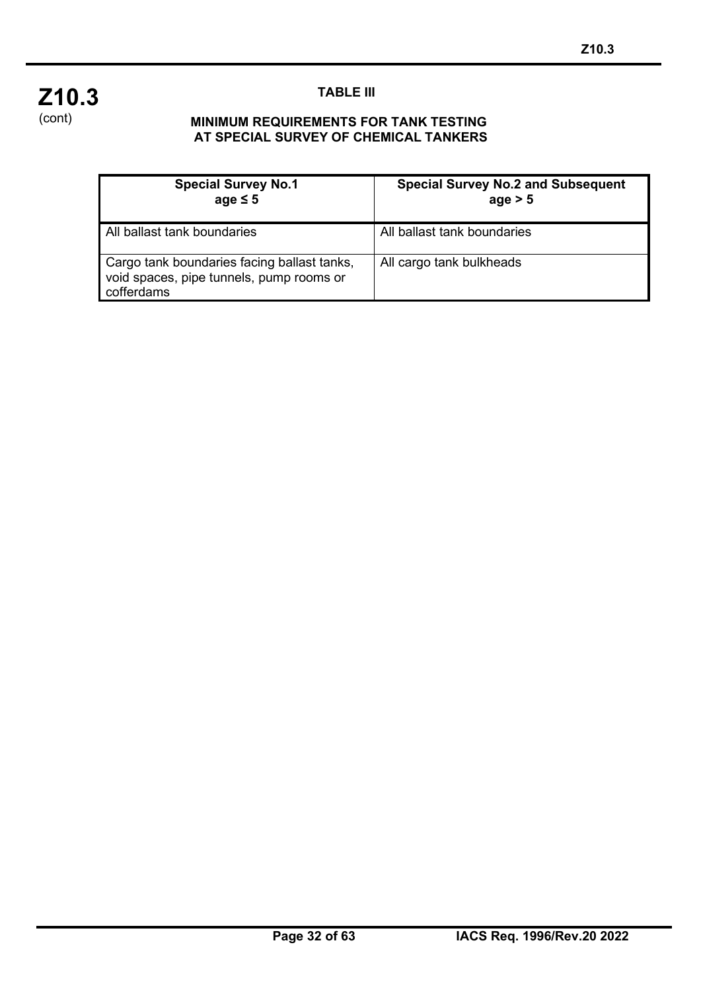

## **TABLE III**

#### **MINIMUM REQUIREMENTS FOR TANK TESTING AT SPECIAL SURVEY OF CHEMICAL TANKERS**

| <b>Special Survey No.1</b><br>age $\leq 5$                                                            | <b>Special Survey No.2 and Subsequent</b><br>age > 5 |
|-------------------------------------------------------------------------------------------------------|------------------------------------------------------|
| All ballast tank boundaries                                                                           | All ballast tank boundaries                          |
| Cargo tank boundaries facing ballast tanks,<br>void spaces, pipe tunnels, pump rooms or<br>cofferdams | All cargo tank bulkheads                             |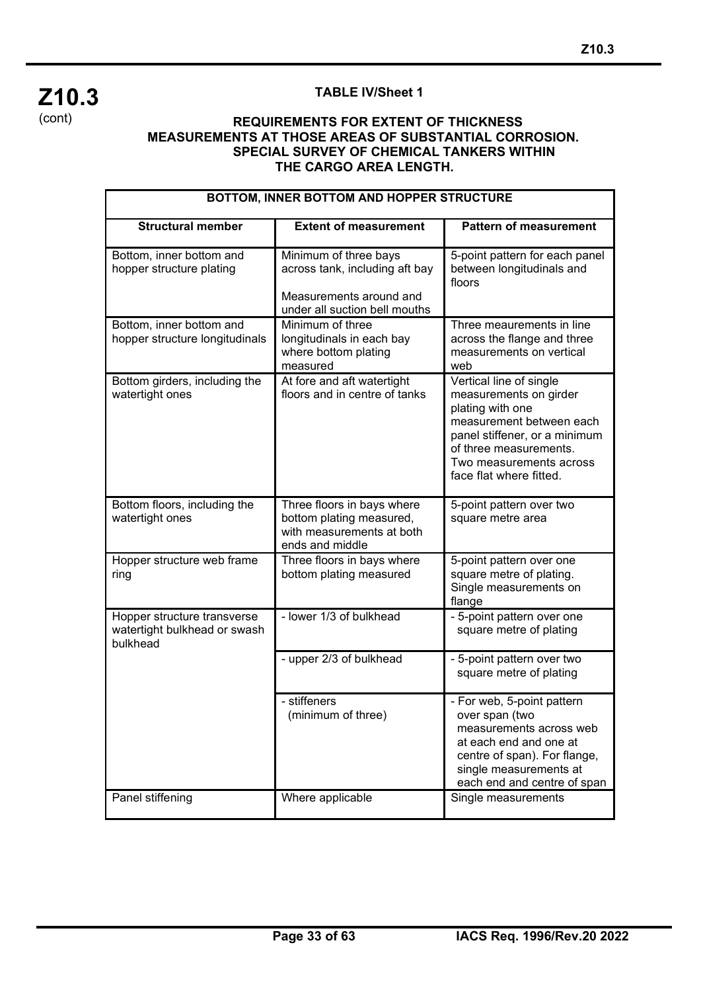

### **TABLE IV/Sheet 1**

#### **REQUIREMENTS FOR EXTENT OF THICKNESS MEASUREMENTS AT THOSE AREAS OF SUBSTANTIAL CORROSION. SPECIAL SURVEY OF CHEMICAL TANKERS WITHIN THE CARGO AREA LENGTH.**

| BOTTOM, INNER BOTTOM AND HOPPER STRUCTURE                               |                                                                                                                     |                                                                                                                                                                                                                    |  |  |  |
|-------------------------------------------------------------------------|---------------------------------------------------------------------------------------------------------------------|--------------------------------------------------------------------------------------------------------------------------------------------------------------------------------------------------------------------|--|--|--|
| <b>Structural member</b>                                                | <b>Extent of measurement</b>                                                                                        | <b>Pattern of measurement</b>                                                                                                                                                                                      |  |  |  |
| Bottom, inner bottom and<br>hopper structure plating                    | Minimum of three bays<br>across tank, including aft bay<br>Measurements around and<br>under all suction bell mouths | 5-point pattern for each panel<br>between longitudinals and<br>floors                                                                                                                                              |  |  |  |
| Bottom, inner bottom and<br>hopper structure longitudinals              | Minimum of three<br>longitudinals in each bay<br>where bottom plating<br>measured                                   | Three meaurements in line<br>across the flange and three<br>measurements on vertical<br>web                                                                                                                        |  |  |  |
| Bottom girders, including the<br>watertight ones                        | At fore and aft watertight<br>floors and in centre of tanks                                                         | Vertical line of single<br>measurements on girder<br>plating with one<br>measurement between each<br>panel stiffener, or a minimum<br>of three measurements.<br>Two measurements across<br>face flat where fitted. |  |  |  |
| Bottom floors, including the<br>watertight ones                         | Three floors in bays where<br>bottom plating measured,<br>with measurements at both<br>ends and middle              | 5-point pattern over two<br>square metre area                                                                                                                                                                      |  |  |  |
| Hopper structure web frame<br>ring                                      | Three floors in bays where<br>bottom plating measured                                                               | 5-point pattern over one<br>square metre of plating.<br>Single measurements on<br>flange                                                                                                                           |  |  |  |
| Hopper structure transverse<br>watertight bulkhead or swash<br>bulkhead | - lower 1/3 of bulkhead                                                                                             | - 5-point pattern over one<br>square metre of plating                                                                                                                                                              |  |  |  |
|                                                                         | - upper 2/3 of bulkhead                                                                                             | - 5-point pattern over two<br>square metre of plating                                                                                                                                                              |  |  |  |
| Panel stiffening                                                        | - stiffeners<br>(minimum of three)<br>Where applicable                                                              | - For web, 5-point pattern<br>over span (two<br>measurements across web<br>at each end and one at<br>centre of span). For flange,<br>single measurements at<br>each end and centre of span<br>Single measurements  |  |  |  |
|                                                                         |                                                                                                                     |                                                                                                                                                                                                                    |  |  |  |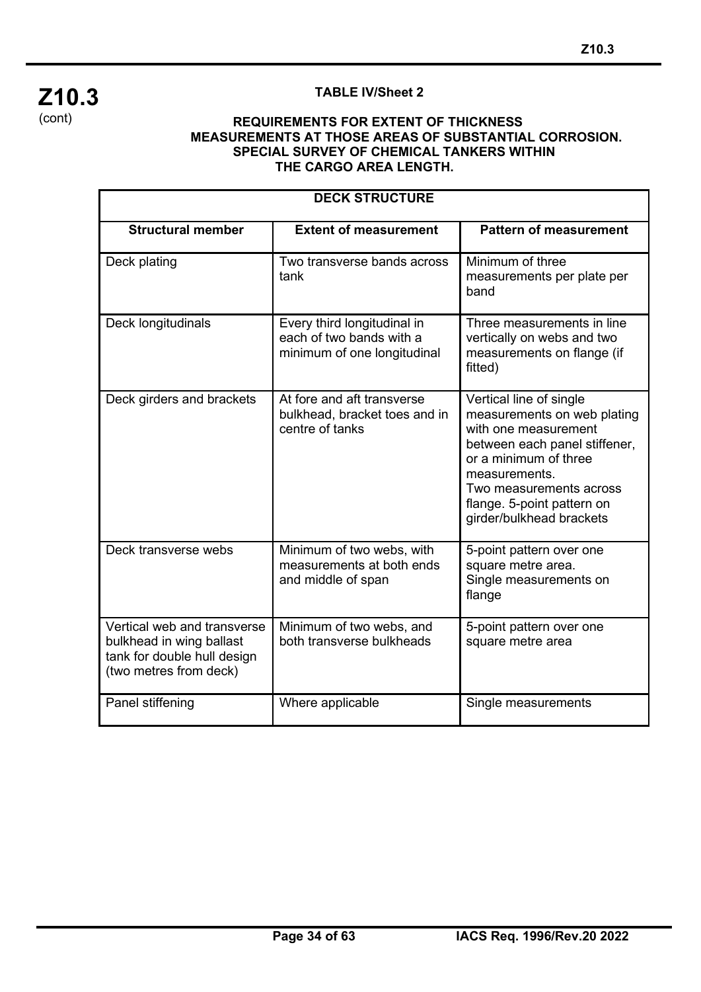## **Z10.3** (cont)

## **TABLE IV/Sheet 2**

#### **REQUIREMENTS FOR EXTENT OF THICKNESS MEASUREMENTS AT THOSE AREAS OF SUBSTANTIAL CORROSION. SPECIAL SURVEY OF CHEMICAL TANKERS WITHIN THE CARGO AREA LENGTH.**

| <b>DECK STRUCTURE</b>                                                                                            |                                                                                        |                                                                                                                                                                                                                                                |  |  |
|------------------------------------------------------------------------------------------------------------------|----------------------------------------------------------------------------------------|------------------------------------------------------------------------------------------------------------------------------------------------------------------------------------------------------------------------------------------------|--|--|
| <b>Structural member</b>                                                                                         | <b>Extent of measurement</b>                                                           | <b>Pattern of measurement</b>                                                                                                                                                                                                                  |  |  |
| Deck plating                                                                                                     | Two transverse bands across<br>tank                                                    | Minimum of three<br>measurements per plate per<br>band                                                                                                                                                                                         |  |  |
| Deck longitudinals                                                                                               | Every third longitudinal in<br>each of two bands with a<br>minimum of one longitudinal | Three measurements in line<br>vertically on webs and two<br>measurements on flange (if<br>fitted)                                                                                                                                              |  |  |
| Deck girders and brackets                                                                                        | At fore and aft transverse<br>bulkhead, bracket toes and in<br>centre of tanks         | Vertical line of single<br>measurements on web plating<br>with one measurement<br>between each panel stiffener,<br>or a minimum of three<br>measurements.<br>Two measurements across<br>flange. 5-point pattern on<br>girder/bulkhead brackets |  |  |
| Deck transverse webs                                                                                             | Minimum of two webs, with<br>measurements at both ends<br>and middle of span           | 5-point pattern over one<br>square metre area.<br>Single measurements on<br>flange                                                                                                                                                             |  |  |
| Vertical web and transverse<br>bulkhead in wing ballast<br>tank for double hull design<br>(two metres from deck) | Minimum of two webs, and<br>both transverse bulkheads                                  | 5-point pattern over one<br>square metre area                                                                                                                                                                                                  |  |  |
| Panel stiffening                                                                                                 | Where applicable                                                                       | Single measurements                                                                                                                                                                                                                            |  |  |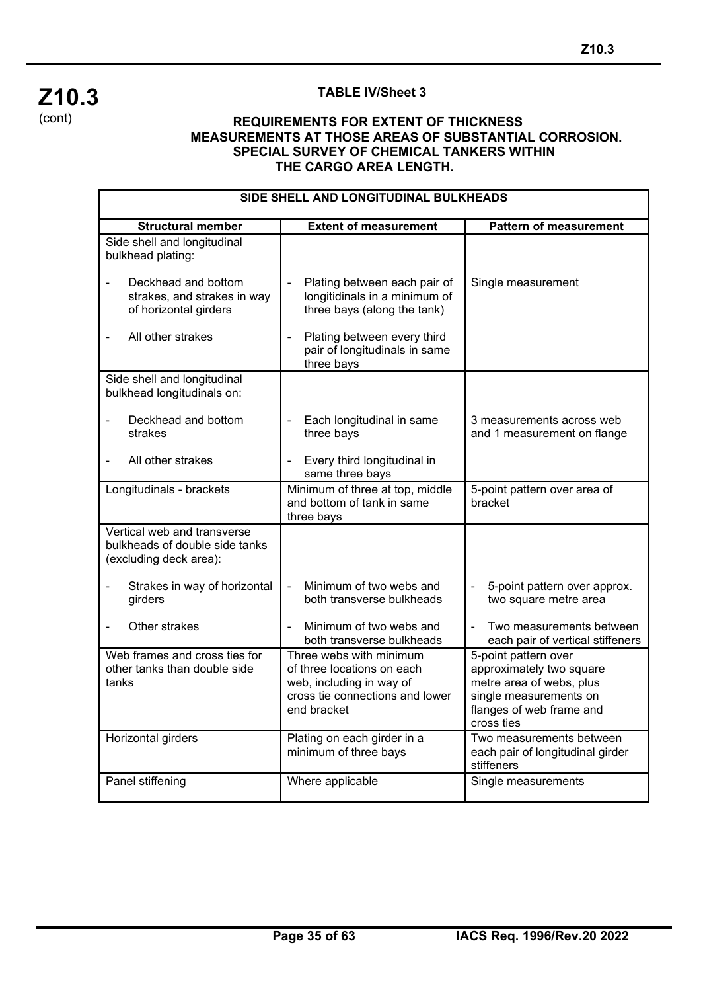

#### **TABLE IV/Sheet 3**

#### **REQUIREMENTS FOR EXTENT OF THICKNESS MEASUREMENTS AT THOSE AREAS OF SUBSTANTIAL CORROSION. SPECIAL SURVEY OF CHEMICAL TANKERS WITHIN THE CARGO AREA LENGTH.**

| SIDE SHELL AND LONGITUDINAL BULKHEADS                                                   |                                                                                                                                     |                                                                                                                                                  |  |  |
|-----------------------------------------------------------------------------------------|-------------------------------------------------------------------------------------------------------------------------------------|--------------------------------------------------------------------------------------------------------------------------------------------------|--|--|
| <b>Structural member</b>                                                                | <b>Extent of measurement</b>                                                                                                        | <b>Pattern of measurement</b>                                                                                                                    |  |  |
| Side shell and longitudinal<br>bulkhead plating:                                        |                                                                                                                                     |                                                                                                                                                  |  |  |
| Deckhead and bottom<br>strakes, and strakes in way<br>of horizontal girders             | Plating between each pair of<br>$\blacksquare$<br>longitidinals in a minimum of<br>three bays (along the tank)                      | Single measurement                                                                                                                               |  |  |
| All other strakes                                                                       | Plating between every third<br>pair of longitudinals in same<br>three bays                                                          |                                                                                                                                                  |  |  |
| Side shell and longitudinal<br>bulkhead longitudinals on:                               |                                                                                                                                     |                                                                                                                                                  |  |  |
| Deckhead and bottom<br>strakes                                                          | Each longitudinal in same<br>÷,<br>three bays                                                                                       | 3 measurements across web<br>and 1 measurement on flange                                                                                         |  |  |
| All other strakes                                                                       | Every third longitudinal in<br>same three bays                                                                                      |                                                                                                                                                  |  |  |
| Longitudinals - brackets                                                                | Minimum of three at top, middle<br>and bottom of tank in same<br>three bays                                                         | 5-point pattern over area of<br>bracket                                                                                                          |  |  |
| Vertical web and transverse<br>bulkheads of double side tanks<br>(excluding deck area): |                                                                                                                                     |                                                                                                                                                  |  |  |
| Strakes in way of horizontal<br>girders                                                 | Minimum of two webs and<br>$\blacksquare$<br>both transverse bulkheads                                                              | 5-point pattern over approx.<br>two square metre area                                                                                            |  |  |
| Other strakes                                                                           | Minimum of two webs and<br>both transverse bulkheads                                                                                | Two measurements between<br>each pair of vertical stiffeners                                                                                     |  |  |
| Web frames and cross ties for<br>other tanks than double side<br>tanks                  | Three webs with minimum<br>of three locations on each<br>web, including in way of<br>cross tie connections and lower<br>end bracket | 5-point pattern over<br>approximately two square<br>metre area of webs, plus<br>single measurements on<br>flanges of web frame and<br>cross ties |  |  |
| Horizontal girders                                                                      | Plating on each girder in a<br>minimum of three bays                                                                                | Two measurements between<br>each pair of longitudinal girder<br>stiffeners                                                                       |  |  |
| Panel stiffening                                                                        | Where applicable                                                                                                                    | Single measurements                                                                                                                              |  |  |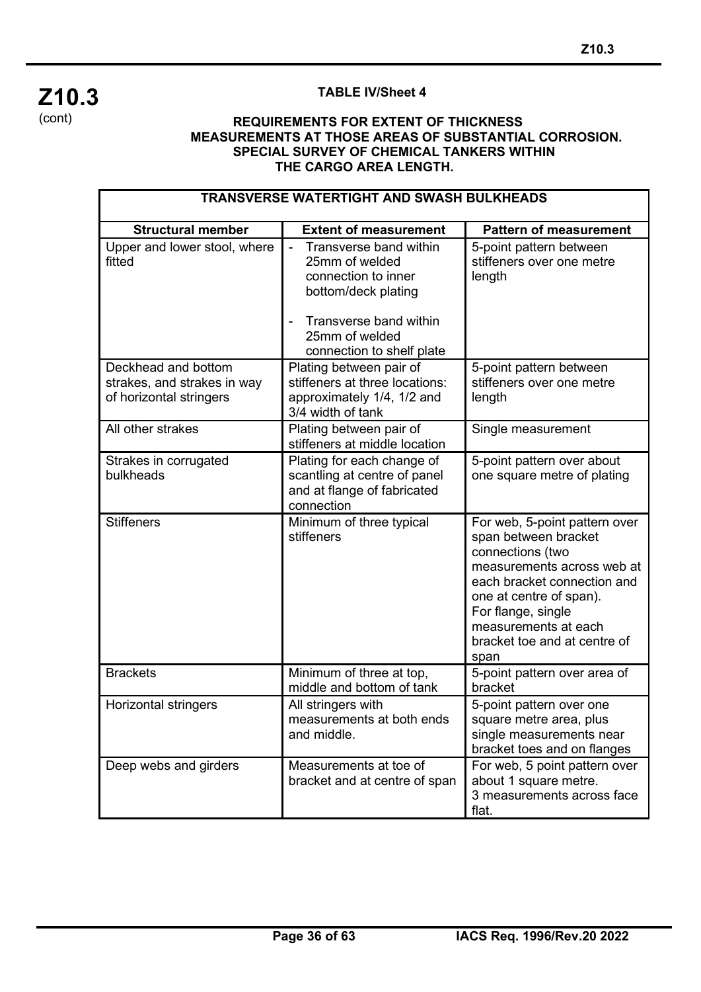## **Z10.3** (cont)

## **TABLE IV/Sheet 4**

#### **REQUIREMENTS FOR EXTENT OF THICKNESS MEASUREMENTS AT THOSE AREAS OF SUBSTANTIAL CORROSION. SPECIAL SURVEY OF CHEMICAL TANKERS WITHIN THE CARGO AREA LENGTH.**

| <b>TRANSVERSE WATERTIGHT AND SWASH BULKHEADS</b>                              |                                                                                                                                                                                                     |                                                                                                                                                                                                                                                         |  |  |
|-------------------------------------------------------------------------------|-----------------------------------------------------------------------------------------------------------------------------------------------------------------------------------------------------|---------------------------------------------------------------------------------------------------------------------------------------------------------------------------------------------------------------------------------------------------------|--|--|
| <b>Structural member</b>                                                      | <b>Extent of measurement</b>                                                                                                                                                                        | <b>Pattern of measurement</b>                                                                                                                                                                                                                           |  |  |
| Upper and lower stool, where<br>fitted                                        | Transverse band within<br>$\blacksquare$<br>25mm of welded<br>connection to inner<br>bottom/deck plating<br>Transverse band within<br>$\blacksquare$<br>25mm of welded<br>connection to shelf plate | 5-point pattern between<br>stiffeners over one metre<br>length                                                                                                                                                                                          |  |  |
| Deckhead and bottom<br>strakes, and strakes in way<br>of horizontal stringers | Plating between pair of<br>stiffeners at three locations:<br>approximately 1/4, 1/2 and<br>3/4 width of tank                                                                                        | 5-point pattern between<br>stiffeners over one metre<br>length                                                                                                                                                                                          |  |  |
| All other strakes                                                             | Plating between pair of<br>stiffeners at middle location                                                                                                                                            | Single measurement                                                                                                                                                                                                                                      |  |  |
| Strakes in corrugated<br>bulkheads                                            | Plating for each change of<br>scantling at centre of panel<br>and at flange of fabricated<br>connection                                                                                             | 5-point pattern over about<br>one square metre of plating                                                                                                                                                                                               |  |  |
| <b>Stiffeners</b>                                                             | Minimum of three typical<br>stiffeners                                                                                                                                                              | For web, 5-point pattern over<br>span between bracket<br>connections (two<br>measurements across web at<br>each bracket connection and<br>one at centre of span).<br>For flange, single<br>measurements at each<br>bracket toe and at centre of<br>span |  |  |
| <b>Brackets</b>                                                               | Minimum of three at top,<br>middle and bottom of tank                                                                                                                                               | 5-point pattern over area of<br>bracket                                                                                                                                                                                                                 |  |  |
| Horizontal stringers                                                          | All stringers with<br>measurements at both ends<br>and middle.                                                                                                                                      | 5-point pattern over one<br>square metre area, plus<br>single measurements near<br>bracket toes and on flanges                                                                                                                                          |  |  |
| Deep webs and girders                                                         | Measurements at toe of<br>bracket and at centre of span                                                                                                                                             | For web, 5 point pattern over<br>about 1 square metre.<br>3 measurements across face<br>flat.                                                                                                                                                           |  |  |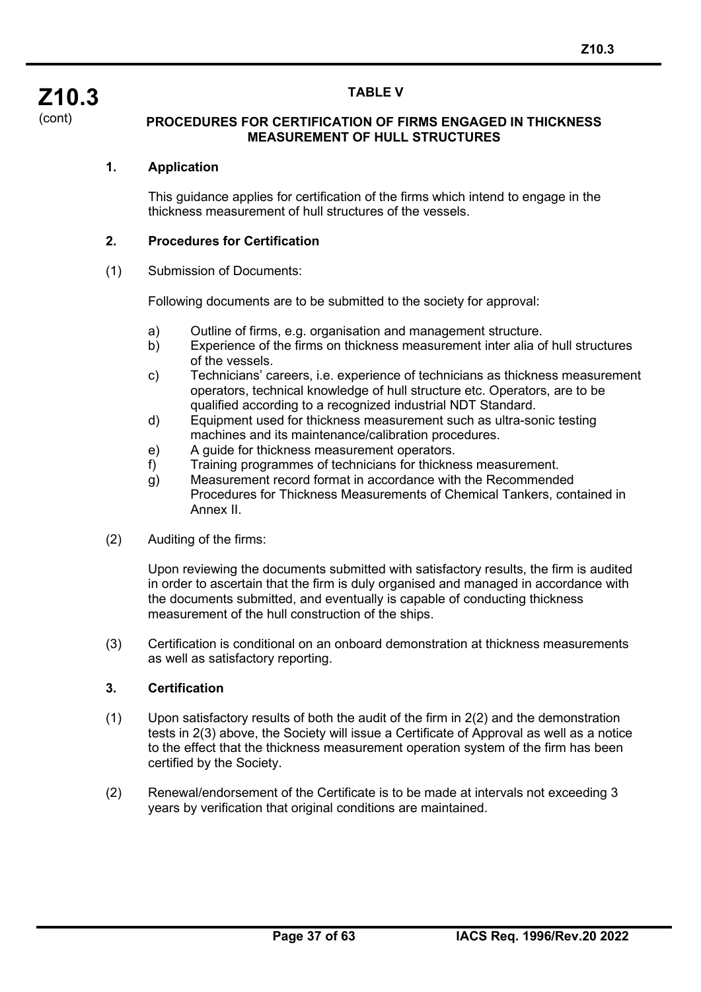#### **TABLE V**

**Z10.3** (cont)

#### **PROCEDURES FOR CERTIFICATION OF FIRMS ENGAGED IN THICKNESS MEASUREMENT OF HULL STRUCTURES**

#### **1. Application**

This guidance applies for certification of the firms which intend to engage in the thickness measurement of hull structures of the vessels.

#### **2. Procedures for Certification**

#### (1) Submission of Documents:

Following documents are to be submitted to the society for approval:

- a) Outline of firms, e.g. organisation and management structure.<br>b) Experience of the firms on thickness measurement inter alia o
- Experience of the firms on thickness measurement inter alia of hull structures of the vessels.
- c) Technicians' careers, i.e. experience of technicians as thickness measurement operators, technical knowledge of hull structure etc. Operators, are to be qualified according to a recognized industrial NDT Standard.
- d) Equipment used for thickness measurement such as ultra-sonic testing machines and its maintenance/calibration procedures.
- e) A guide for thickness measurement operators.
- f) Training programmes of technicians for thickness measurement.
- g) Measurement record format in accordance with the Recommended Procedures for Thickness Measurements of Chemical Tankers, contained in Annex II.
- (2) Auditing of the firms:

Upon reviewing the documents submitted with satisfactory results, the firm is audited in order to ascertain that the firm is duly organised and managed in accordance with the documents submitted, and eventually is capable of conducting thickness measurement of the hull construction of the ships.

(3) Certification is conditional on an onboard demonstration at thickness measurements as well as satisfactory reporting.

#### **3. Certification**

- (1) Upon satisfactory results of both the audit of the firm in 2(2) and the demonstration tests in 2(3) above, the Society will issue a Certificate of Approval as well as a notice to the effect that the thickness measurement operation system of the firm has been certified by the Society.
- (2) Renewal/endorsement of the Certificate is to be made at intervals not exceeding 3 years by verification that original conditions are maintained.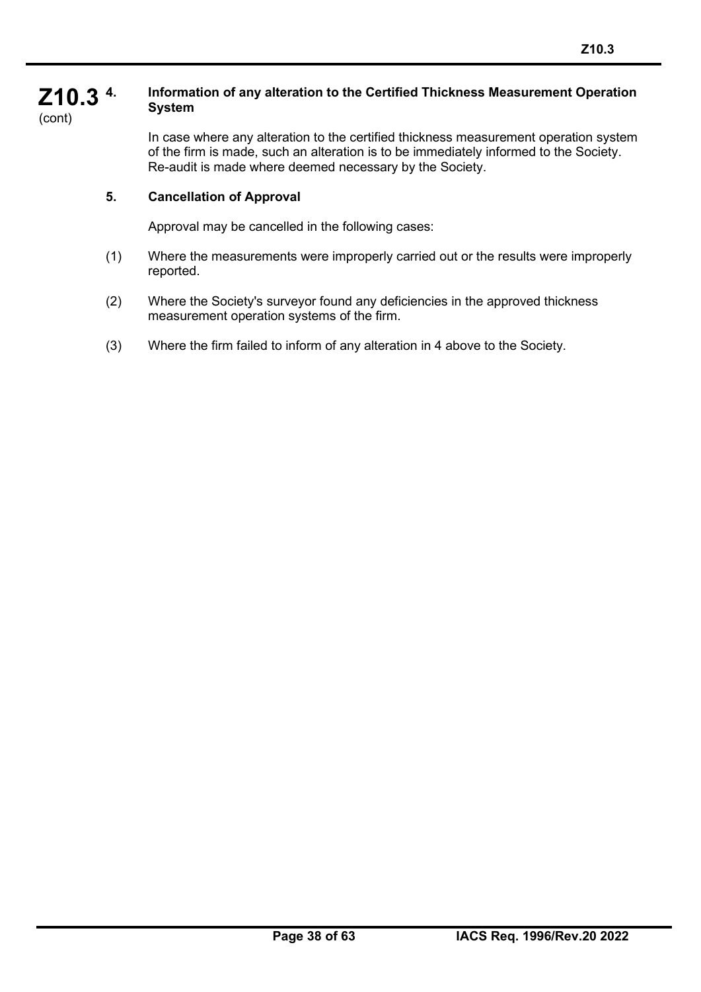#### **Z10.3 4. Information of any alteration to the Certified Thickness Measurement Operation System**

(cont)

In case where any alteration to the certified thickness measurement operation system of the firm is made, such an alteration is to be immediately informed to the Society. Re-audit is made where deemed necessary by the Society.

## **5. Cancellation of Approval**

Approval may be cancelled in the following cases:

- (1) Where the measurements were improperly carried out or the results were improperly reported.
- (2) Where the Society's surveyor found any deficiencies in the approved thickness measurement operation systems of the firm.
- (3) Where the firm failed to inform of any alteration in 4 above to the Society.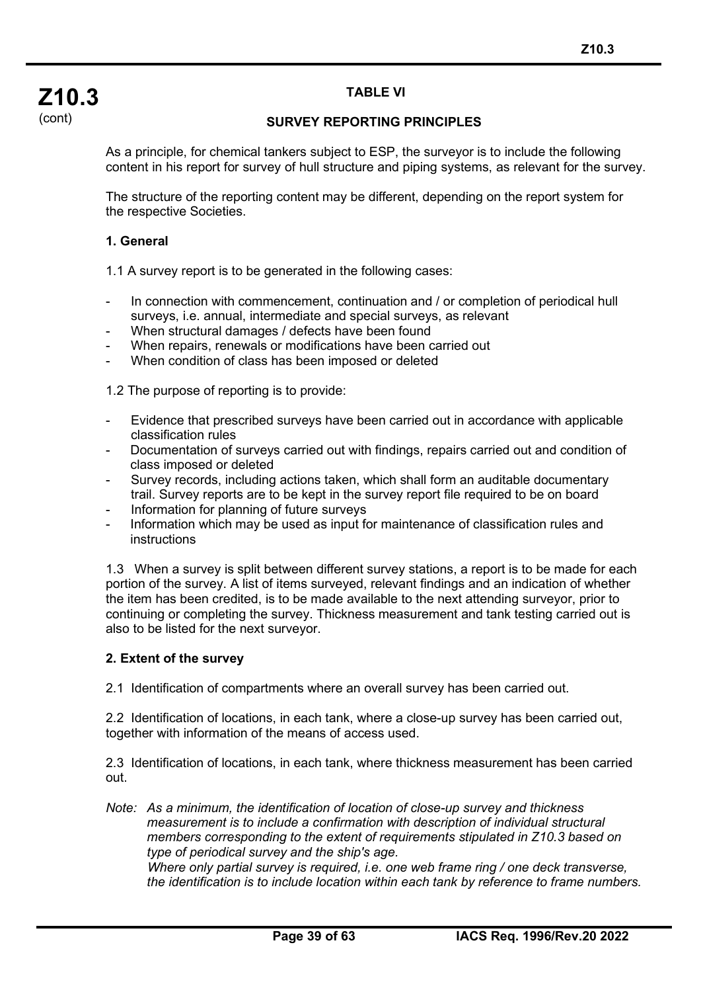## **TABLE VI**

#### **SURVEY REPORTING PRINCIPLES**

As a principle, for chemical tankers subject to ESP, the surveyor is to include the following content in his report for survey of hull structure and piping systems, as relevant for the survey.

The structure of the reporting content may be different, depending on the report system for the respective Societies.

#### **1. General**

1.1 A survey report is to be generated in the following cases:

- In connection with commencement, continuation and / or completion of periodical hull surveys, i.e. annual, intermediate and special surveys, as relevant
- When structural damages / defects have been found
- When repairs, renewals or modifications have been carried out
- When condition of class has been imposed or deleted

1.2 The purpose of reporting is to provide:

- Evidence that prescribed surveys have been carried out in accordance with applicable classification rules
- Documentation of surveys carried out with findings, repairs carried out and condition of class imposed or deleted
- Survey records, including actions taken, which shall form an auditable documentary trail. Survey reports are to be kept in the survey report file required to be on board
- Information for planning of future surveys
- Information which may be used as input for maintenance of classification rules and instructions

1.3 When a survey is split between different survey stations, a report is to be made for each portion of the survey. A list of items surveyed, relevant findings and an indication of whether the item has been credited, is to be made available to the next attending surveyor, prior to continuing or completing the survey. Thickness measurement and tank testing carried out is also to be listed for the next surveyor.

#### **2. Extent of the survey**

2.1 Identification of compartments where an overall survey has been carried out.

2.2 Identification of locations, in each tank, where a close-up survey has been carried out, together with information of the means of access used.

2.3 Identification of locations, in each tank, where thickness measurement has been carried out.

*Note: As a minimum, the identification of location of close-up survey and thickness measurement is to include a confirmation with description of individual structural members corresponding to the extent of requirements stipulated in Z10.3 based on type of periodical survey and the ship's age.*

*Where only partial survey is required, i.e. one web frame ring / one deck transverse, the identification is to include location within each tank by reference to frame numbers.*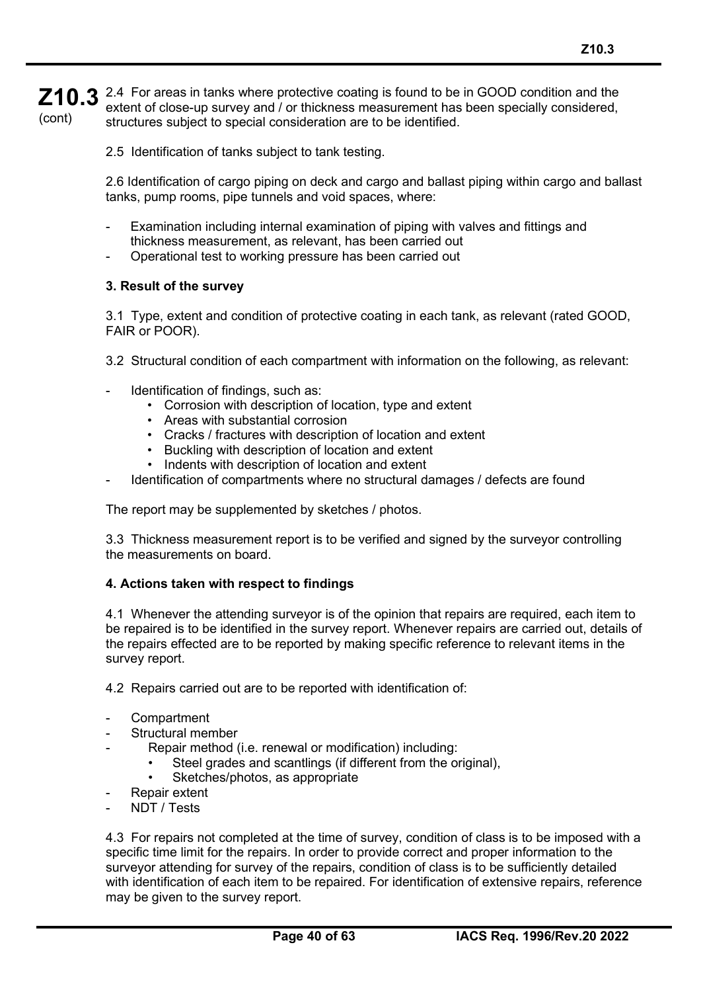**Z10.3** 2.4 For areas in tanks where protective coating is found to be in GOOD condition and the  $\overline{\phantom{a}}$ (cont) extent of close-up survey and / or thickness measurement has been specially considered, structures subject to special consideration are to be identified.

2.5 Identification of tanks subject to tank testing.

2.6 Identification of cargo piping on deck and cargo and ballast piping within cargo and ballast tanks, pump rooms, pipe tunnels and void spaces, where:

- Examination including internal examination of piping with valves and fittings and thickness measurement, as relevant, has been carried out
- Operational test to working pressure has been carried out

#### **3. Result of the survey**

3.1 Type, extent and condition of protective coating in each tank, as relevant (rated GOOD, FAIR or POOR).

- 3.2 Structural condition of each compartment with information on the following, as relevant:
- Identification of findings, such as:
	- Corrosion with description of location, type and extent
	- Areas with substantial corrosion
	- Cracks / fractures with description of location and extent
	- Buckling with description of location and extent
	- Indents with description of location and extent
- Identification of compartments where no structural damages / defects are found

The report may be supplemented by sketches / photos.

3.3 Thickness measurement report is to be verified and signed by the surveyor controlling the measurements on board.

#### **4. Actions taken with respect to findings**

4.1 Whenever the attending surveyor is of the opinion that repairs are required, each item to be repaired is to be identified in the survey report. Whenever repairs are carried out, details of the repairs effected are to be reported by making specific reference to relevant items in the survey report.

4.2 Repairs carried out are to be reported with identification of:

- **Compartment**
- Structural member
- Repair method (i.e. renewal or modification) including:
	- Steel grades and scantlings (if different from the original),
	- Sketches/photos, as appropriate
- Repair extent
- NDT / Tests

4.3 For repairs not completed at the time of survey, condition of class is to be imposed with a specific time limit for the repairs. In order to provide correct and proper information to the surveyor attending for survey of the repairs, condition of class is to be sufficiently detailed with identification of each item to be repaired. For identification of extensive repairs, reference may be given to the survey report.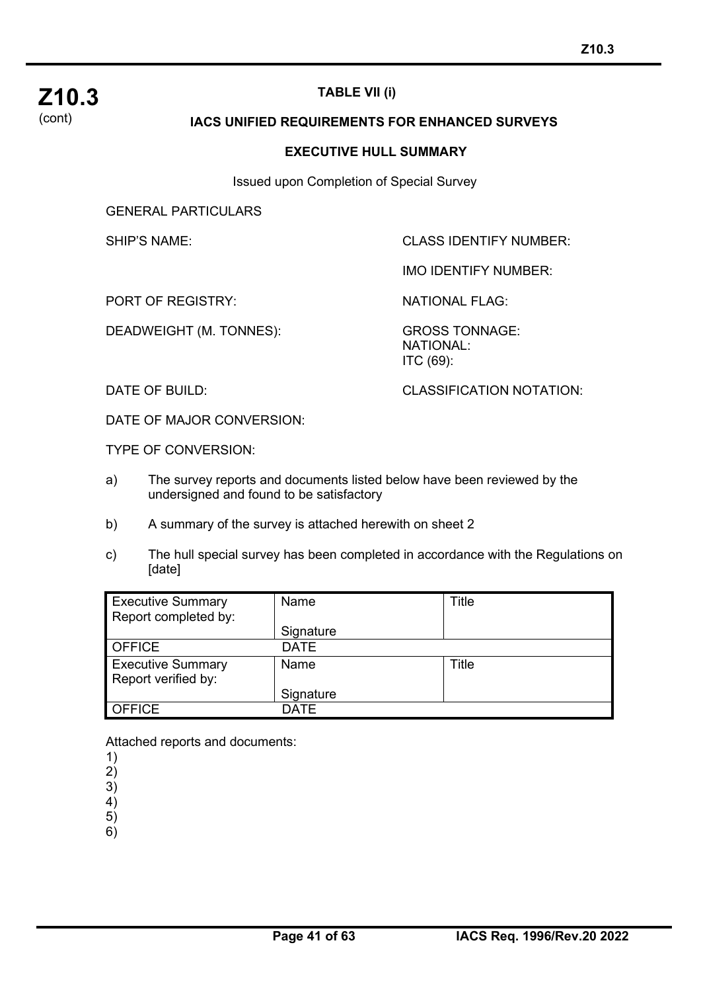

## **TABLE VII (i)**

#### **IACS UNIFIED REQUIREMENTS FOR ENHANCED SURVEYS**

#### **EXECUTIVE HULL SUMMARY**

Issued upon Completion of Special Survey

GENERAL PARTICULARS

SHIP'S NAME: SHIP'S NAME:

IMO IDENTIFY NUMBER:

PORT OF REGISTRY: NATIONAL FLAG:

DEADWEIGHT (M. TONNES): GROSS TONNAGE:

NATIONAL: ITC (69):

DATE OF BUILD: CLASSIFICATION NOTATION:

DATE OF MAJOR CONVERSION:

TYPE OF CONVERSION:

- a) The survey reports and documents listed below have been reviewed by the undersigned and found to be satisfactory
- b) A summary of the survey is attached herewith on sheet 2
- c) The hull special survey has been completed in accordance with the Regulations on [date]

| <b>Executive Summary</b><br>Report completed by: | Name        | Title |
|--------------------------------------------------|-------------|-------|
|                                                  | Signature   |       |
| <b>OFFICE</b>                                    | <b>DATE</b> |       |
| <b>Executive Summary</b><br>Report verified by:  | Name        | Title |
|                                                  | Signature   |       |
| <b>OFFICE</b>                                    | <b>DATF</b> |       |

Attached reports and documents:

1)

2)

3)

4) 5)

6)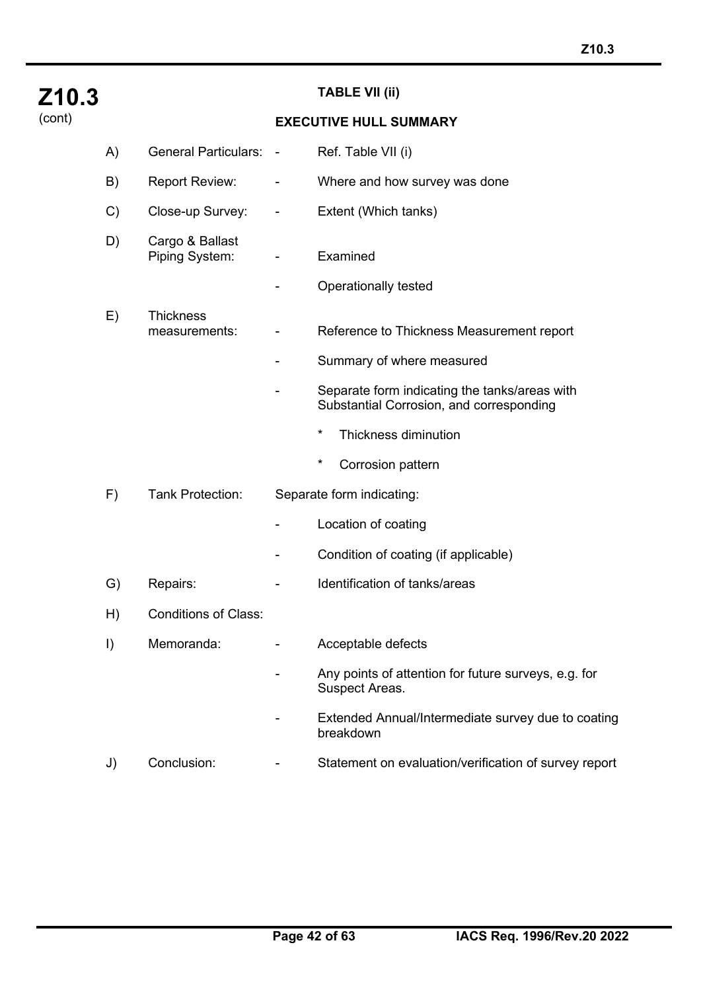| Z10.3  |         |                                   |                | <b>TABLE VII (ii)</b>                                                                     |
|--------|---------|-----------------------------------|----------------|-------------------------------------------------------------------------------------------|
| (cont) |         |                                   |                | <b>EXECUTIVE HULL SUMMARY</b>                                                             |
|        | A)      | <b>General Particulars:</b>       | $\blacksquare$ | Ref. Table VII (i)                                                                        |
|        | B)      | <b>Report Review:</b>             | -              | Where and how survey was done                                                             |
|        | C)      | Close-up Survey:                  | ۰              | Extent (Which tanks)                                                                      |
|        | D)      | Cargo & Ballast<br>Piping System: |                | Examined                                                                                  |
|        |         |                                   | -              | Operationally tested                                                                      |
|        | E)      | <b>Thickness</b><br>measurements: |                | Reference to Thickness Measurement report                                                 |
|        |         |                                   |                | Summary of where measured                                                                 |
|        |         |                                   |                | Separate form indicating the tanks/areas with<br>Substantial Corrosion, and corresponding |
|        |         |                                   |                | $\star$<br>Thickness diminution                                                           |
|        |         |                                   |                | $\ast$<br>Corrosion pattern                                                               |
|        | F)      | <b>Tank Protection:</b>           |                | Separate form indicating:                                                                 |
|        |         |                                   |                | Location of coating                                                                       |
|        |         |                                   |                | Condition of coating (if applicable)                                                      |
|        | G)      | Repairs:                          |                | Identification of tanks/areas                                                             |
|        | H)      | <b>Conditions of Class:</b>       |                |                                                                                           |
|        | $\vert$ | Memoranda:                        |                | Acceptable defects                                                                        |
|        |         |                                   |                | Any points of attention for future surveys, e.g. for<br>Suspect Areas.                    |
|        |         |                                   |                | Extended Annual/Intermediate survey due to coating<br>breakdown                           |
|        | J)      | Conclusion:                       |                | Statement on evaluation/verification of survey report                                     |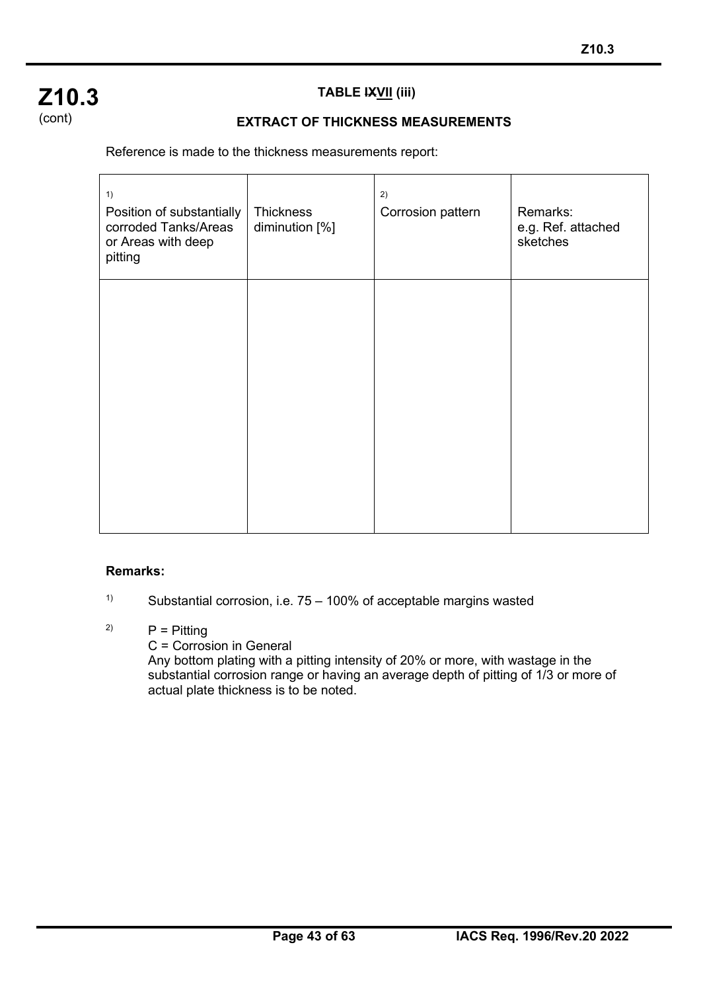## **Z10.3** (cont)

## **TABLE IXVII (iii)**

### **EXTRACT OF THICKNESS MEASUREMENTS**

Reference is made to the thickness measurements report:

| 1)<br>Position of substantially<br>corroded Tanks/Areas<br>or Areas with deep<br>pitting | Thickness<br>diminution [%] | 2)<br>Corrosion pattern | Remarks:<br>e.g. Ref. attached<br>sketches |
|------------------------------------------------------------------------------------------|-----------------------------|-------------------------|--------------------------------------------|
|                                                                                          |                             |                         |                                            |

#### **Remarks:**

֦

<sup>1)</sup> Substantial corrosion, i.e.  $75 - 100\%$  of acceptable margins wasted

## <sup>2)</sup>  $P =$  Pitting

C = Corrosion in General

Any bottom plating with a pitting intensity of 20% or more, with wastage in the substantial corrosion range or having an average depth of pitting of 1/3 or more of actual plate thickness is to be noted.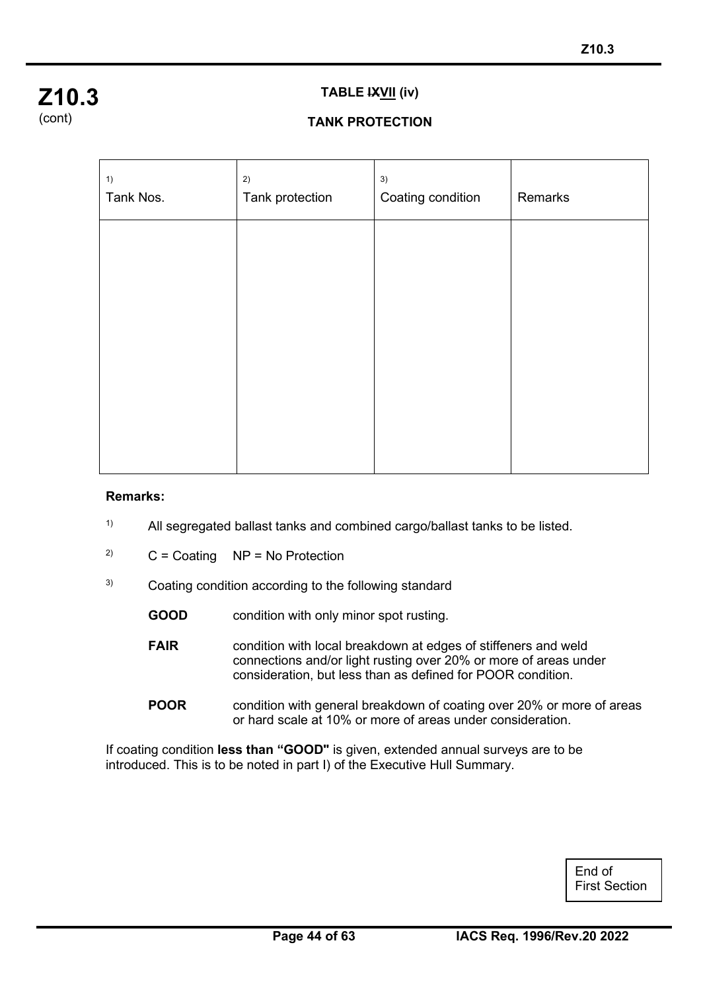

#### **TABLE IXVII (iv)**

## **TANK PROTECTION**

| 1)<br>Tank Nos. | 2)<br>Tank protection | 3)<br>Coating condition | Remarks |
|-----------------|-----------------------|-------------------------|---------|
|                 |                       |                         |         |
|                 |                       |                         |         |
|                 |                       |                         |         |
|                 |                       |                         |         |
|                 |                       |                         |         |

#### **Remarks:**

֦

- <sup>1)</sup> All segregated ballast tanks and combined cargo/ballast tanks to be listed.
- <sup>2)</sup>  $C = Coating NP = No Protection$
- <sup>3)</sup> Coating condition according to the following standard
	- **GOOD** condition with only minor spot rusting.
	- **FAIR** condition with local breakdown at edges of stiffeners and weld connections and/or light rusting over 20% or more of areas under consideration, but less than as defined for POOR condition.
	- **POOR** condition with general breakdown of coating over 20% or more of areas or hard scale at 10% or more of areas under consideration.

If coating condition **less than "GOOD"** is given, extended annual surveys are to be introduced. This is to be noted in part I) of the Executive Hull Summary.

> End of First Section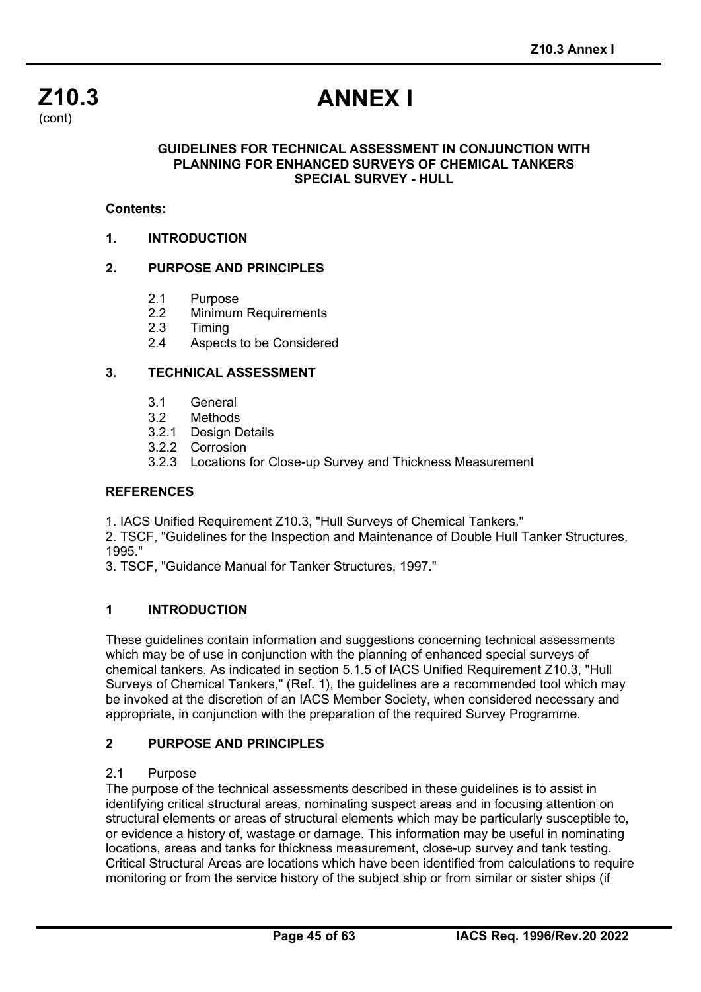

# **ANNEX I**

#### **GUIDELINES FOR TECHNICAL ASSESSMENT IN CONJUNCTION WITH PLANNING FOR ENHANCED SURVEYS OF CHEMICAL TANKERS SPECIAL SURVEY - HULL**

#### **Contents:**

**1. INTRODUCTION**

#### **2. PURPOSE AND PRINCIPLES**

- 2.1 Purpose<br>2.2 Minimum
- 2.2 Minimum Requirements<br>2.3 Timing
- 2.3 Timing<br>2.4 Aspect
- Aspects to be Considered

#### **3. TECHNICAL ASSESSMENT**

- 3.1 General<br>3.2 Methods
- **Methods**
- 3.2.1 Design Details
- 3.2.2 Corrosion
- 3.2.3 Locations for Close-up Survey and Thickness Measurement

#### **REFERENCES**

1. IACS Unified Requirement Z10.3, "Hull Surveys of Chemical Tankers."

2. TSCF, "Guidelines for the Inspection and Maintenance of Double Hull Tanker Structures, 1995."

3. TSCF, "Guidance Manual for Tanker Structures, 1997."

#### **1 INTRODUCTION**

These guidelines contain information and suggestions concerning technical assessments which may be of use in conjunction with the planning of enhanced special surveys of chemical tankers. As indicated in section 5.1.5 of IACS Unified Requirement Z10.3, "Hull Surveys of Chemical Tankers," (Ref. 1), the guidelines are a recommended tool which may be invoked at the discretion of an IACS Member Society, when considered necessary and appropriate, in conjunction with the preparation of the required Survey Programme.

#### **2 PURPOSE AND PRINCIPLES**

#### 2.1 Purpose

The purpose of the technical assessments described in these guidelines is to assist in identifying critical structural areas, nominating suspect areas and in focusing attention on structural elements or areas of structural elements which may be particularly susceptible to, or evidence a history of, wastage or damage. This information may be useful in nominating locations, areas and tanks for thickness measurement, close-up survey and tank testing. Critical Structural Areas are locations which have been identified from calculations to require monitoring or from the service history of the subject ship or from similar or sister ships (if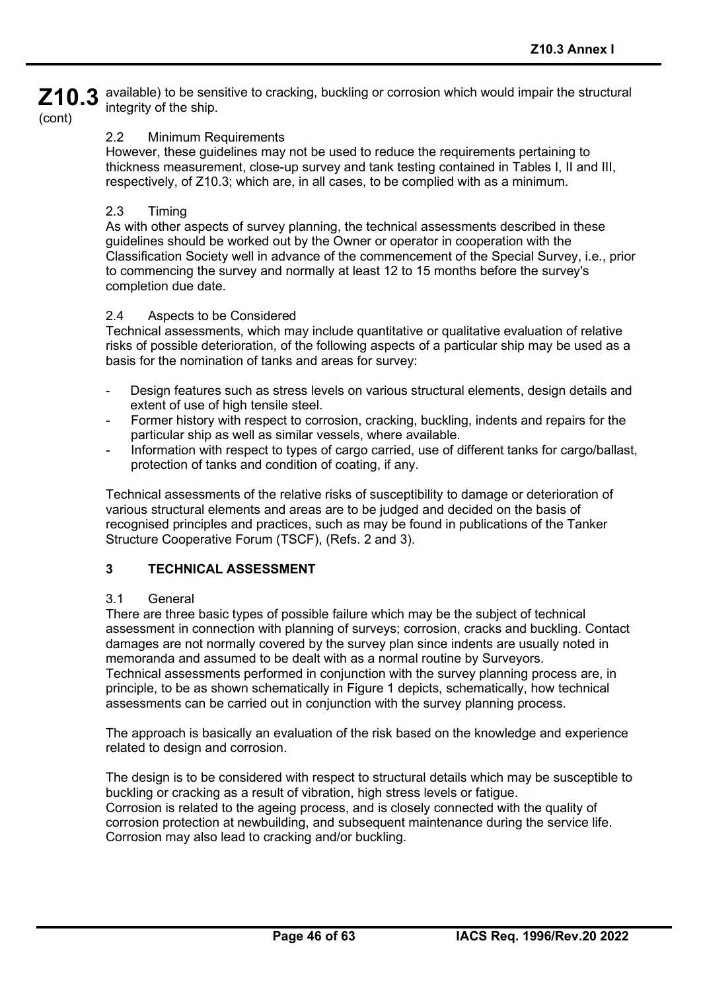**Z10.3** available) to be sensitive to cracking, buckling or corrosion which would impair the structural integrity of the ship.

## (cont)

#### 2.2 Minimum Requirements

However, these guidelines may not be used to reduce the requirements pertaining to thickness measurement, close-up survey and tank testing contained in Tables I, II and III, respectively, of Z10.3; which are, in all cases, to be complied with as a minimum.

#### 2.3 Timing

As with other aspects of survey planning, the technical assessments described in these guidelines should be worked out by the Owner or operator in cooperation with the Classification Society well in advance of the commencement of the Special Survey, i.e., prior to commencing the survey and normally at least 12 to 15 months before the survey's completion due date.

#### 2.4 Aspects to be Considered

Technical assessments, which may include quantitative or qualitative evaluation of relative risks of possible deterioration, of the following aspects of a particular ship may be used as a basis for the nomination of tanks and areas for survey:

- Design features such as stress levels on various structural elements, design details and extent of use of high tensile steel.
- Former history with respect to corrosion, cracking, buckling, indents and repairs for the particular ship as well as similar vessels, where available.
- Information with respect to types of cargo carried, use of different tanks for cargo/ballast, protection of tanks and condition of coating, if any.

Technical assessments of the relative risks of susceptibility to damage or deterioration of various structural elements and areas are to be judged and decided on the basis of recognised principles and practices, such as may be found in publications of the Tanker Structure Cooperative Forum (TSCF), (Refs. 2 and 3).

#### **3 TECHNICAL ASSESSMENT**

#### 3.1 General

There are three basic types of possible failure which may be the subject of technical assessment in connection with planning of surveys; corrosion, cracks and buckling. Contact damages are not normally covered by the survey plan since indents are usually noted in memoranda and assumed to be dealt with as a normal routine by Surveyors. Technical assessments performed in conjunction with the survey planning process are, in principle, to be as shown schematically in Figure 1 depicts, schematically, how technical assessments can be carried out in conjunction with the survey planning process.

The approach is basically an evaluation of the risk based on the knowledge and experience related to design and corrosion.

The design is to be considered with respect to structural details which may be susceptible to buckling or cracking as a result of vibration, high stress levels or fatigue. Corrosion is related to the ageing process, and is closely connected with the quality of corrosion protection at newbuilding, and subsequent maintenance during the service life. Corrosion may also lead to cracking and/or buckling.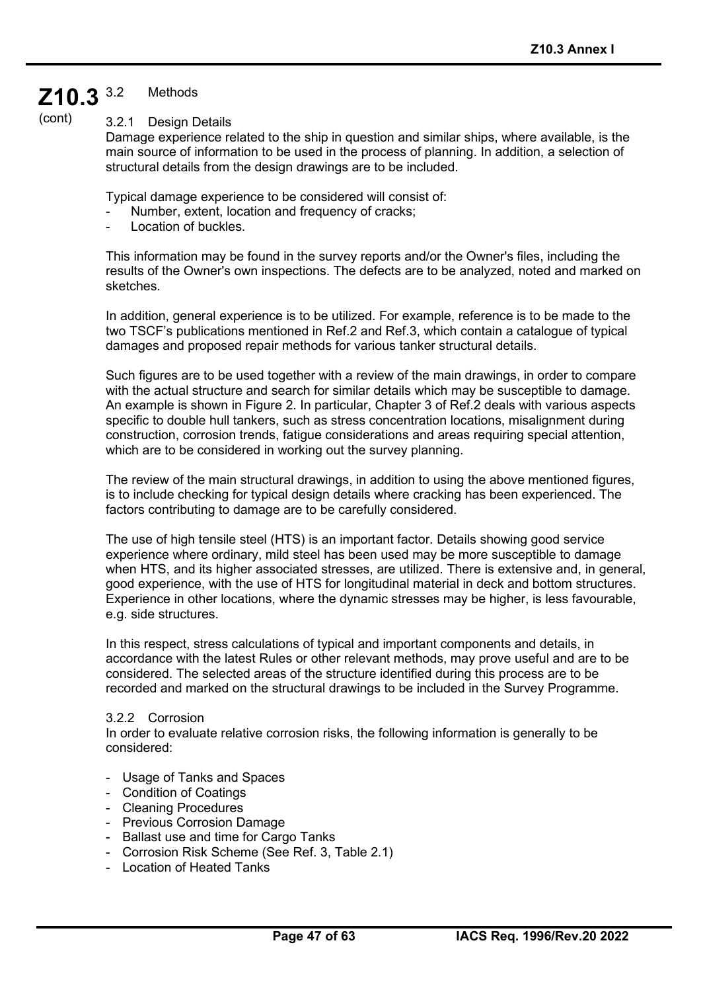#### **Z10.3 Methods**

(cont)

3.2.1 Design Details

Damage experience related to the ship in question and similar ships, where available, is the main source of information to be used in the process of planning. In addition, a selection of structural details from the design drawings are to be included.

Typical damage experience to be considered will consist of:

- Number, extent, location and frequency of cracks;
- Location of buckles.

This information may be found in the survey reports and/or the Owner's files, including the results of the Owner's own inspections. The defects are to be analyzed, noted and marked on sketches.

In addition, general experience is to be utilized. For example, reference is to be made to the two TSCF's publications mentioned in Ref.2 and Ref.3, which contain a catalogue of typical damages and proposed repair methods for various tanker structural details.

Such figures are to be used together with a review of the main drawings, in order to compare with the actual structure and search for similar details which may be susceptible to damage. An example is shown in Figure 2. In particular, Chapter 3 of Ref.2 deals with various aspects specific to double hull tankers, such as stress concentration locations, misalignment during construction, corrosion trends, fatigue considerations and areas requiring special attention, which are to be considered in working out the survey planning.

The review of the main structural drawings, in addition to using the above mentioned figures, is to include checking for typical design details where cracking has been experienced. The factors contributing to damage are to be carefully considered.

The use of high tensile steel (HTS) is an important factor. Details showing good service experience where ordinary, mild steel has been used may be more susceptible to damage when HTS, and its higher associated stresses, are utilized. There is extensive and, in general, good experience, with the use of HTS for longitudinal material in deck and bottom structures. Experience in other locations, where the dynamic stresses may be higher, is less favourable, e.g. side structures.

In this respect, stress calculations of typical and important components and details, in accordance with the latest Rules or other relevant methods, may prove useful and are to be considered. The selected areas of the structure identified during this process are to be recorded and marked on the structural drawings to be included in the Survey Programme.

#### 3.2.2 Corrosion

In order to evaluate relative corrosion risks, the following information is generally to be considered:

- Usage of Tanks and Spaces
- Condition of Coatings
- Cleaning Procedures
- Previous Corrosion Damage
- Ballast use and time for Cargo Tanks
- Corrosion Risk Scheme (See Ref. 3, Table 2.1)
- Location of Heated Tanks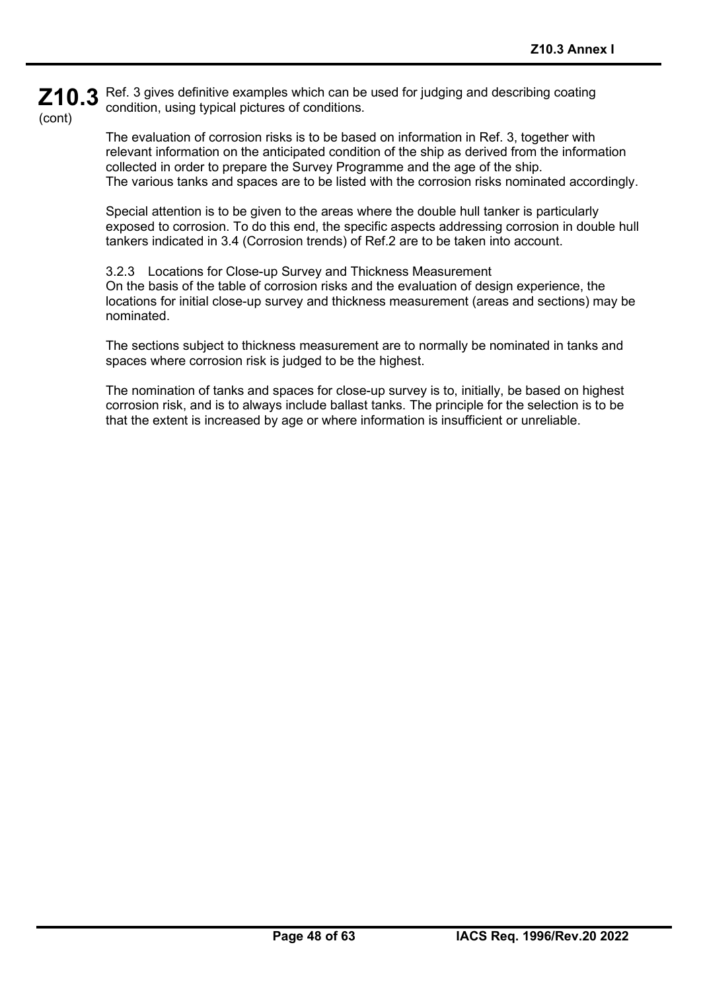**Z10.3** Ref. 3 gives definitive examples which can be used for judging and describing coating (cont) condition, using typical pictures of conditions.

> The evaluation of corrosion risks is to be based on information in Ref. 3, together with relevant information on the anticipated condition of the ship as derived from the information collected in order to prepare the Survey Programme and the age of the ship. The various tanks and spaces are to be listed with the corrosion risks nominated accordingly.

> Special attention is to be given to the areas where the double hull tanker is particularly exposed to corrosion. To do this end, the specific aspects addressing corrosion in double hull tankers indicated in 3.4 (Corrosion trends) of Ref.2 are to be taken into account.

> 3.2.3 Locations for Close-up Survey and Thickness Measurement On the basis of the table of corrosion risks and the evaluation of design experience, the locations for initial close-up survey and thickness measurement (areas and sections) may be nominated.

The sections subject to thickness measurement are to normally be nominated in tanks and spaces where corrosion risk is judged to be the highest.

The nomination of tanks and spaces for close-up survey is to, initially, be based on highest corrosion risk, and is to always include ballast tanks. The principle for the selection is to be that the extent is increased by age or where information is insufficient or unreliable.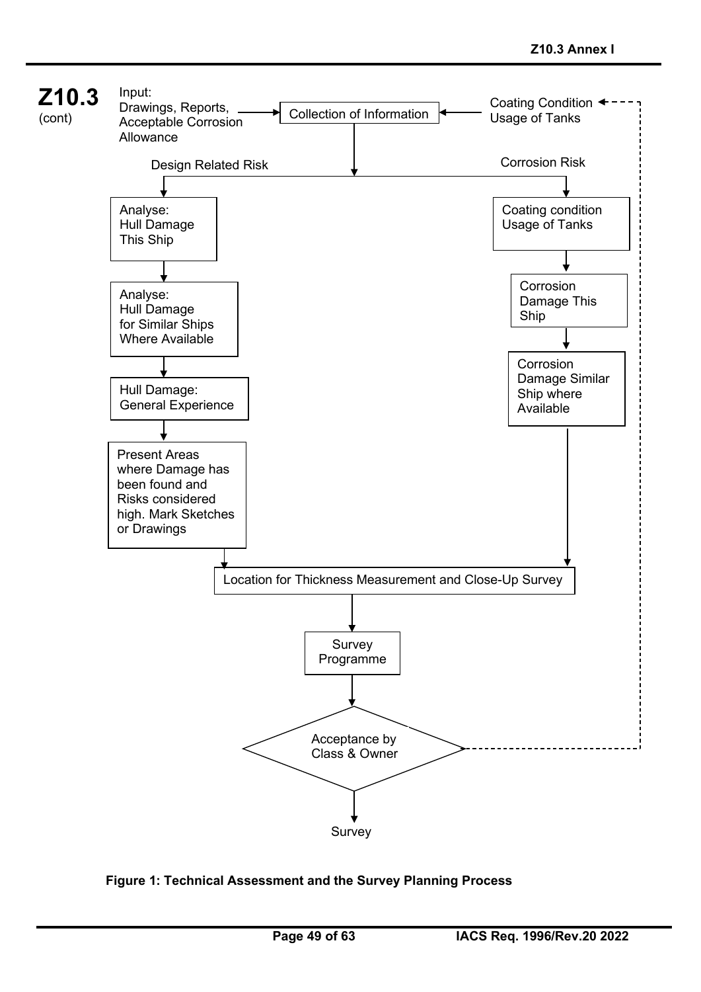

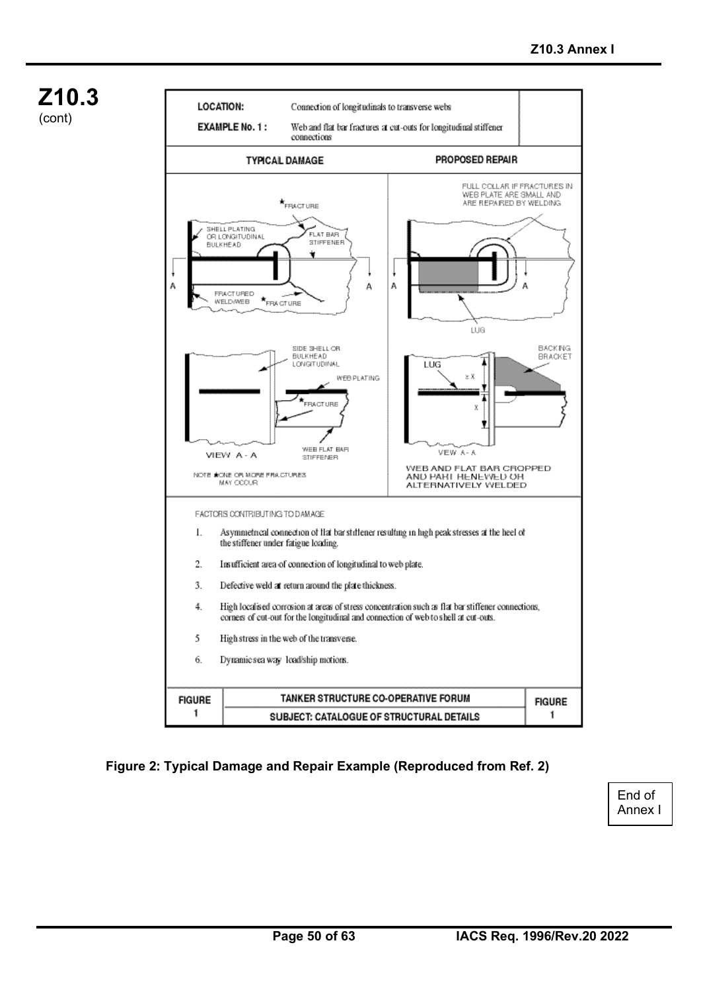



#### **Figure 2: Typical Damage and Repair Example (Reproduced from Ref. 2)**

End of Annex I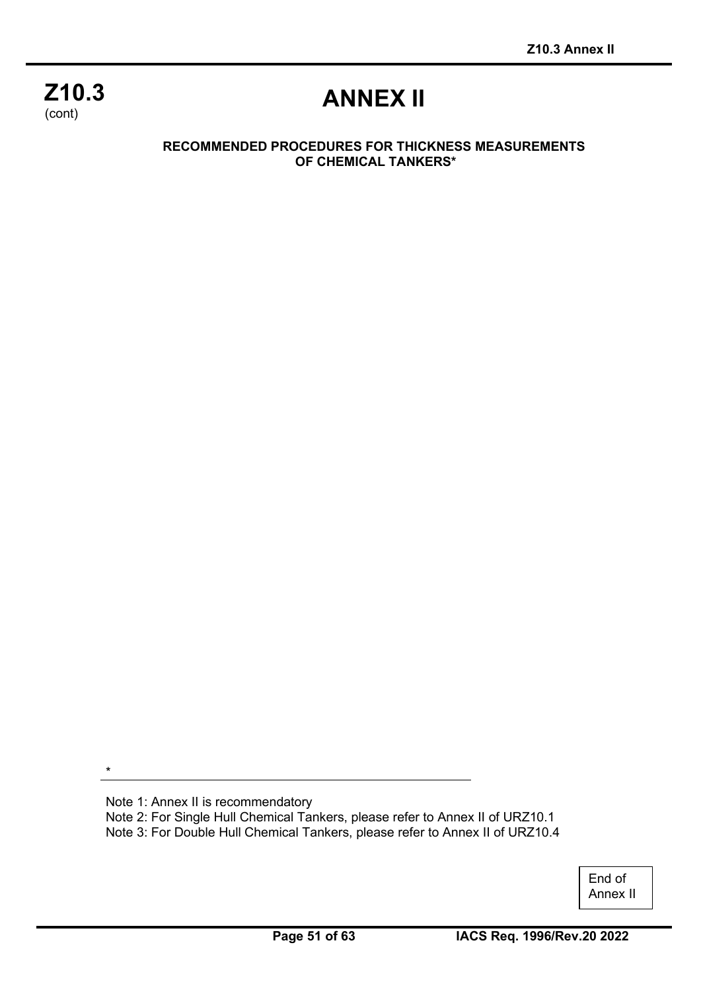## **Z10.3** (cont)

# **ANNEX II**

#### **RECOMMENDED PROCEDURES FOR THICKNESS MEASUREMENTS OF CHEMICAL TANKERS\***

\*

Note 1: Annex II is recommendatory Note 2: For Single Hull Chemical Tankers, please refer to Annex II of URZ10.1 Note 3: For Double Hull Chemical Tankers, please refer to Annex II of URZ10.4

> End of Annex II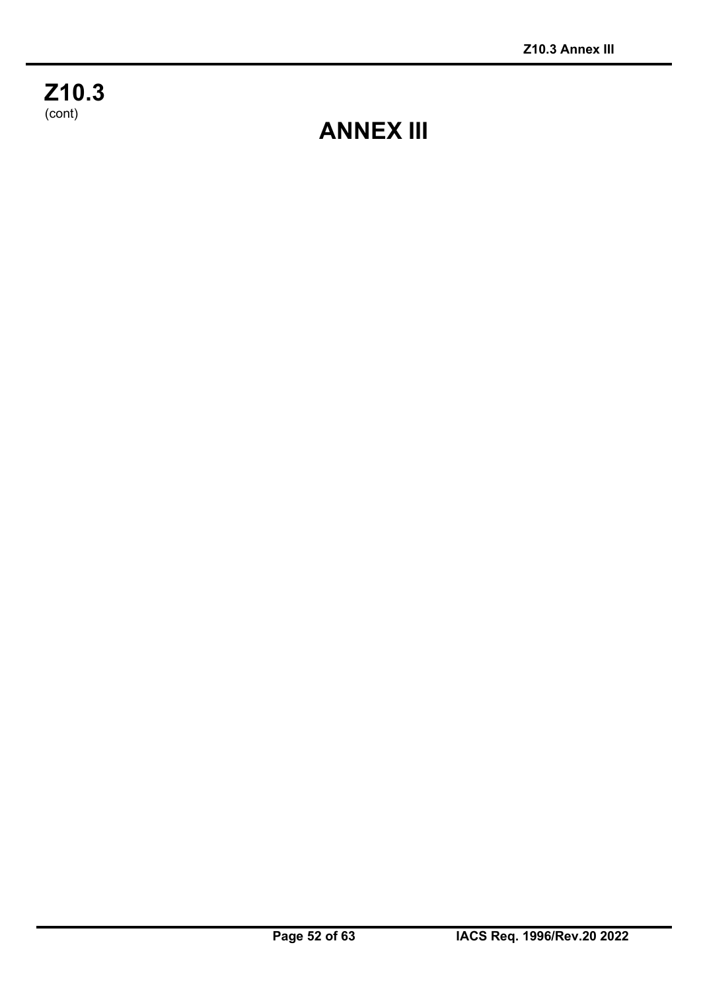**Z10.3**  $\frac{1}{(cont)}$ 

**ANNEX III**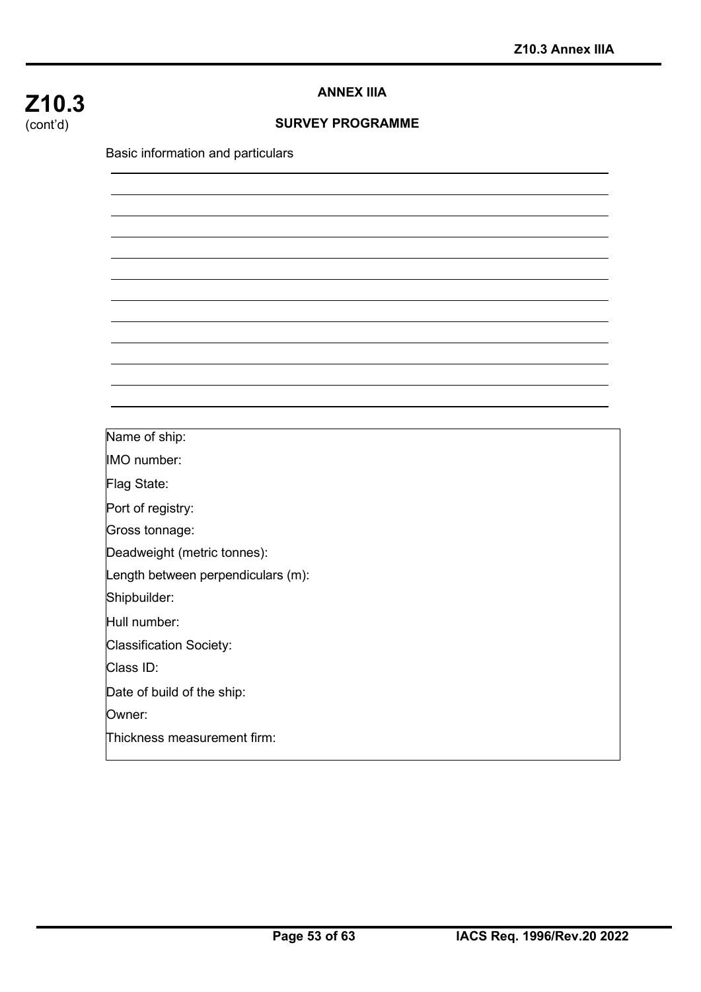## **Z10.3** (cont'd)

#### **ANNEX IIIA**

#### **SURVEY PROGRAMME**

Basic information and particulars

Name of ship:

IMO number:

Flag State:

Port of registry:

Gross tonnage:

Deadweight (metric tonnes):

Length between perpendiculars (m):

Shipbuilder:

Hull number:

Classification Society:

Class ID:

Date of build of the ship:

Owner:

Thickness measurement firm: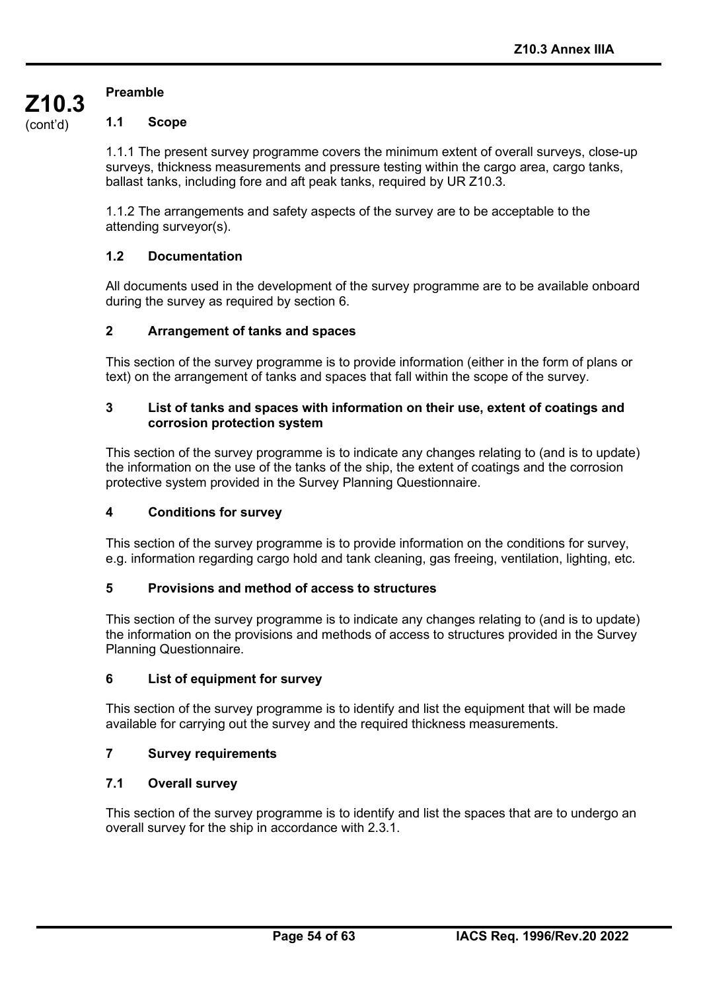### **Preamble**

**Z10.3** (cont'd)

#### **1.1 Scope**

1.1.1 The present survey programme covers the minimum extent of overall surveys, close-up surveys, thickness measurements and pressure testing within the cargo area, cargo tanks, ballast tanks, including fore and aft peak tanks, required by UR Z10.3.

1.1.2 The arrangements and safety aspects of the survey are to be acceptable to the attending surveyor(s).

#### **1.2 Documentation**

All documents used in the development of the survey programme are to be available onboard during the survey as required by section 6.

#### **2 Arrangement of tanks and spaces**

This section of the survey programme is to provide information (either in the form of plans or text) on the arrangement of tanks and spaces that fall within the scope of the survey.

#### **3 List of tanks and spaces with information on their use, extent of coatings and corrosion protection system**

This section of the survey programme is to indicate any changes relating to (and is to update) the information on the use of the tanks of the ship, the extent of coatings and the corrosion protective system provided in the Survey Planning Questionnaire.

#### **4 Conditions for survey**

This section of the survey programme is to provide information on the conditions for survey, e.g. information regarding cargo hold and tank cleaning, gas freeing, ventilation, lighting, etc.

#### **5 Provisions and method of access to structures**

This section of the survey programme is to indicate any changes relating to (and is to update) the information on the provisions and methods of access to structures provided in the Survey Planning Questionnaire.

#### **6 List of equipment for survey**

This section of the survey programme is to identify and list the equipment that will be made available for carrying out the survey and the required thickness measurements.

#### **7 Survey requirements**

#### **7.1 Overall survey**

This section of the survey programme is to identify and list the spaces that are to undergo an overall survey for the ship in accordance with 2.3.1.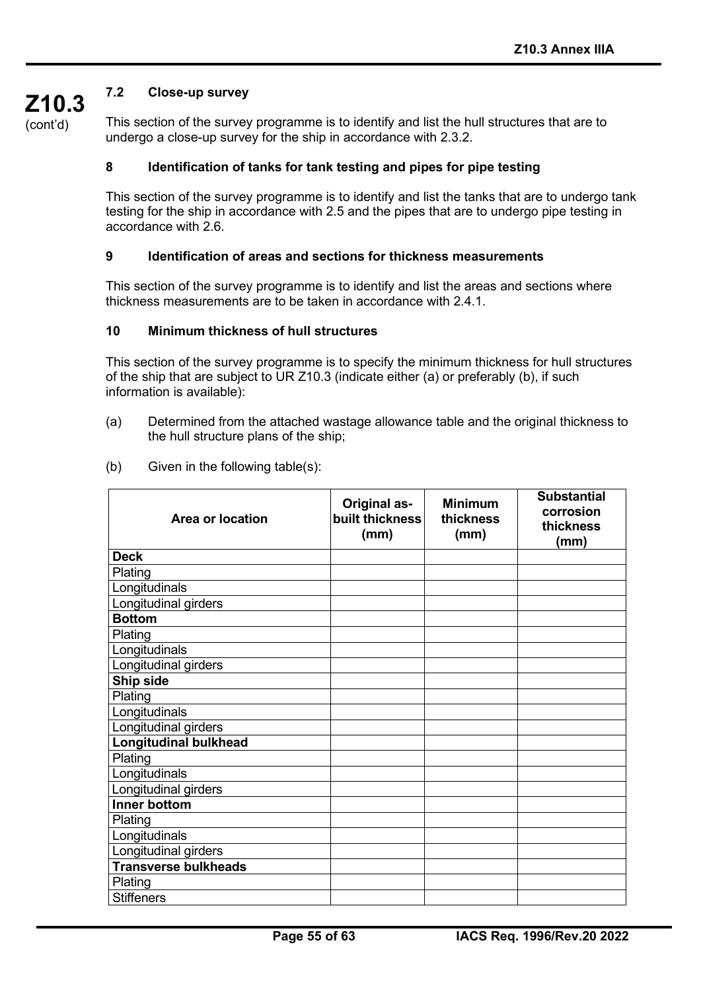## **7.2 Close-up survey**

(cont'd)

**Z10.3**

This section of the survey programme is to identify and list the hull structures that are to undergo a close-up survey for the ship in accordance with 2.3.2.

#### **8 Identification of tanks for tank testing and pipes for pipe testing**

This section of the survey programme is to identify and list the tanks that are to undergo tank testing for the ship in accordance with 2.5 and the pipes that are to undergo pipe testing in accordance with 2.6.

#### **9 Identification of areas and sections for thickness measurements**

This section of the survey programme is to identify and list the areas and sections where thickness measurements are to be taken in accordance with 2.4.1.

#### **10 Minimum thickness of hull structures**

This section of the survey programme is to specify the minimum thickness for hull structures of the ship that are subject to UR Z10.3 (indicate either (a) or preferably (b), if such information is available):

- (a) Determined from the attached wastage allowance table and the original thickness to the hull structure plans of the ship;
- (b) Given in the following table(s):

| <b>Area or location</b>      | <b>Original as-</b><br>built thickness<br>(mm) | <b>Minimum</b><br>thickness<br>(mm) | <b>Substantial</b><br>corrosion<br>thickness<br>(mm) |
|------------------------------|------------------------------------------------|-------------------------------------|------------------------------------------------------|
| <b>Deck</b>                  |                                                |                                     |                                                      |
| Plating                      |                                                |                                     |                                                      |
| Longitudinals                |                                                |                                     |                                                      |
| Longitudinal girders         |                                                |                                     |                                                      |
| <b>Bottom</b>                |                                                |                                     |                                                      |
| Plating                      |                                                |                                     |                                                      |
| Longitudinals                |                                                |                                     |                                                      |
| Longitudinal girders         |                                                |                                     |                                                      |
| Ship side                    |                                                |                                     |                                                      |
| Plating                      |                                                |                                     |                                                      |
| Longitudinals                |                                                |                                     |                                                      |
| Longitudinal girders         |                                                |                                     |                                                      |
| <b>Longitudinal bulkhead</b> |                                                |                                     |                                                      |
| Plating                      |                                                |                                     |                                                      |
| Longitudinals                |                                                |                                     |                                                      |
| Longitudinal girders         |                                                |                                     |                                                      |
| <b>Inner bottom</b>          |                                                |                                     |                                                      |
| Plating                      |                                                |                                     |                                                      |
| Longitudinals                |                                                |                                     |                                                      |
| Longitudinal girders         |                                                |                                     |                                                      |
| <b>Transverse bulkheads</b>  |                                                |                                     |                                                      |
| Plating                      |                                                |                                     |                                                      |
| <b>Stiffeners</b>            |                                                |                                     |                                                      |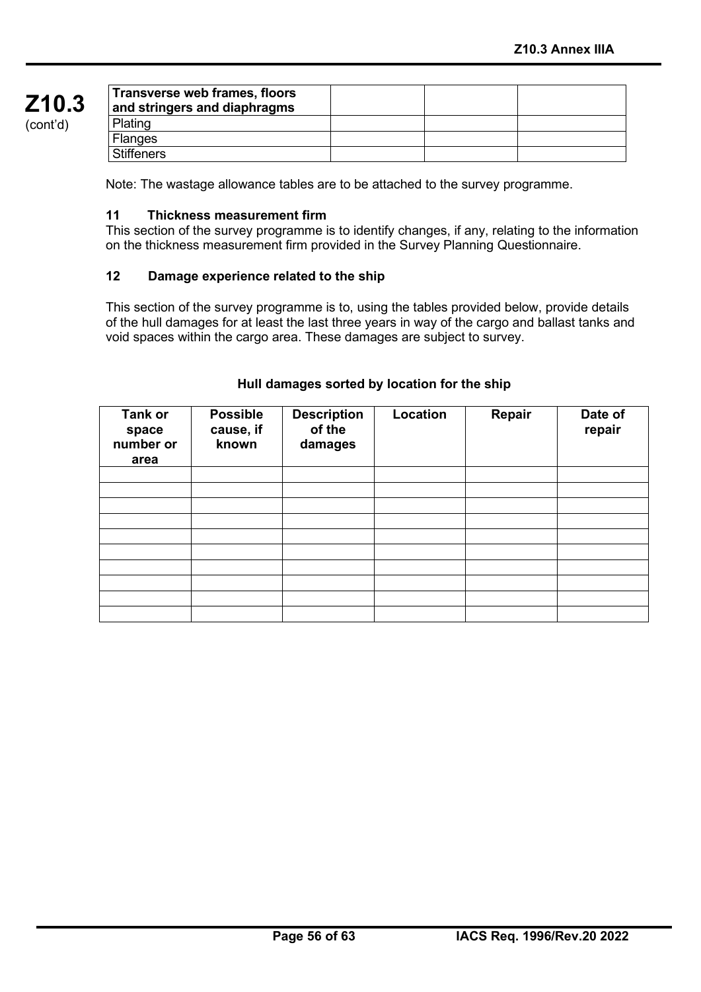| Transverse web frames, floors<br>and stringers and diaphragms |  |  |
|---------------------------------------------------------------|--|--|
| Plating                                                       |  |  |
| <b>Flanges</b>                                                |  |  |
| <b>Stiffeners</b>                                             |  |  |

Note: The wastage allowance tables are to be attached to the survey programme.

#### **11 Thickness measurement firm**

This section of the survey programme is to identify changes, if any, relating to the information on the thickness measurement firm provided in the Survey Planning Questionnaire.

#### **12 Damage experience related to the ship**

This section of the survey programme is to, using the tables provided below, provide details of the hull damages for at least the last three years in way of the cargo and ballast tanks and void spaces within the cargo area. These damages are subject to survey.

| <b>Tank or</b><br>space<br>number or<br>area | <b>Possible</b><br>cause, if<br>known | <b>Description</b><br>of the<br>damages | Location | Repair | Date of<br>repair |
|----------------------------------------------|---------------------------------------|-----------------------------------------|----------|--------|-------------------|
|                                              |                                       |                                         |          |        |                   |
|                                              |                                       |                                         |          |        |                   |
|                                              |                                       |                                         |          |        |                   |
|                                              |                                       |                                         |          |        |                   |
|                                              |                                       |                                         |          |        |                   |
|                                              |                                       |                                         |          |        |                   |
|                                              |                                       |                                         |          |        |                   |
|                                              |                                       |                                         |          |        |                   |
|                                              |                                       |                                         |          |        |                   |
|                                              |                                       |                                         |          |        |                   |

#### **Hull damages sorted by location for the ship**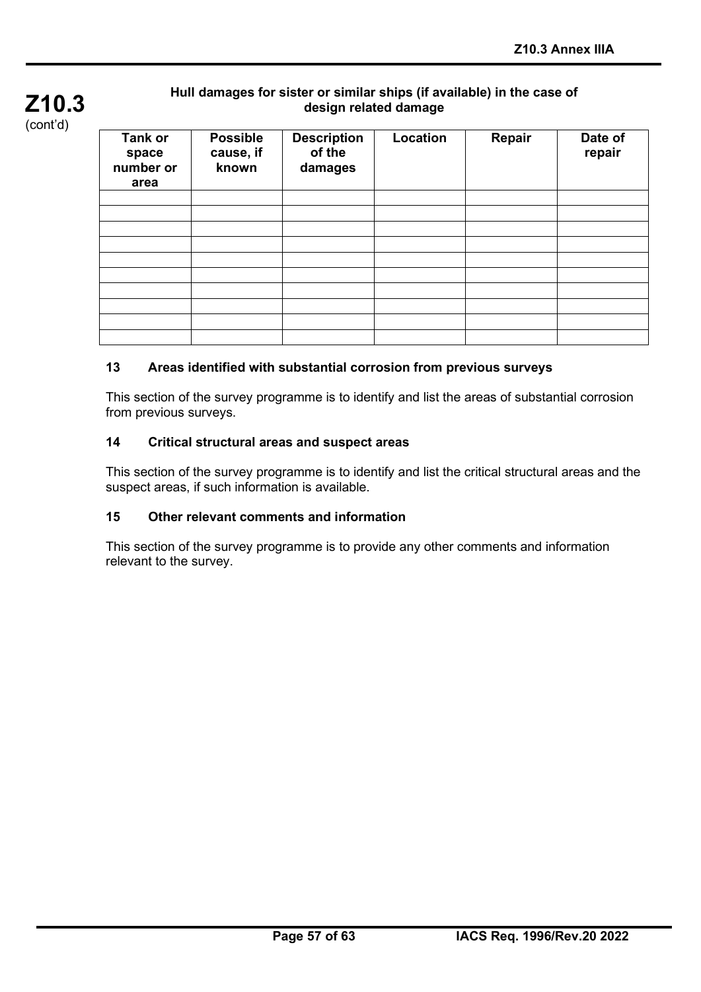

## **Hull damages for sister or similar ships (if available) in the case of design related damage**

| Tank or<br>space<br>number or<br>area | <b>Possible</b><br>cause, if<br>known | <b>Description</b><br>of the<br>damages | Location | Repair | Date of<br>repair |
|---------------------------------------|---------------------------------------|-----------------------------------------|----------|--------|-------------------|
|                                       |                                       |                                         |          |        |                   |
|                                       |                                       |                                         |          |        |                   |
|                                       |                                       |                                         |          |        |                   |
|                                       |                                       |                                         |          |        |                   |
|                                       |                                       |                                         |          |        |                   |
|                                       |                                       |                                         |          |        |                   |
|                                       |                                       |                                         |          |        |                   |
|                                       |                                       |                                         |          |        |                   |
|                                       |                                       |                                         |          |        |                   |
|                                       |                                       |                                         |          |        |                   |

## **13 Areas identified with substantial corrosion from previous surveys**

This section of the survey programme is to identify and list the areas of substantial corrosion from previous surveys.

#### **14 Critical structural areas and suspect areas**

This section of the survey programme is to identify and list the critical structural areas and the suspect areas, if such information is available.

#### **15 Other relevant comments and information**

This section of the survey programme is to provide any other comments and information relevant to the survey.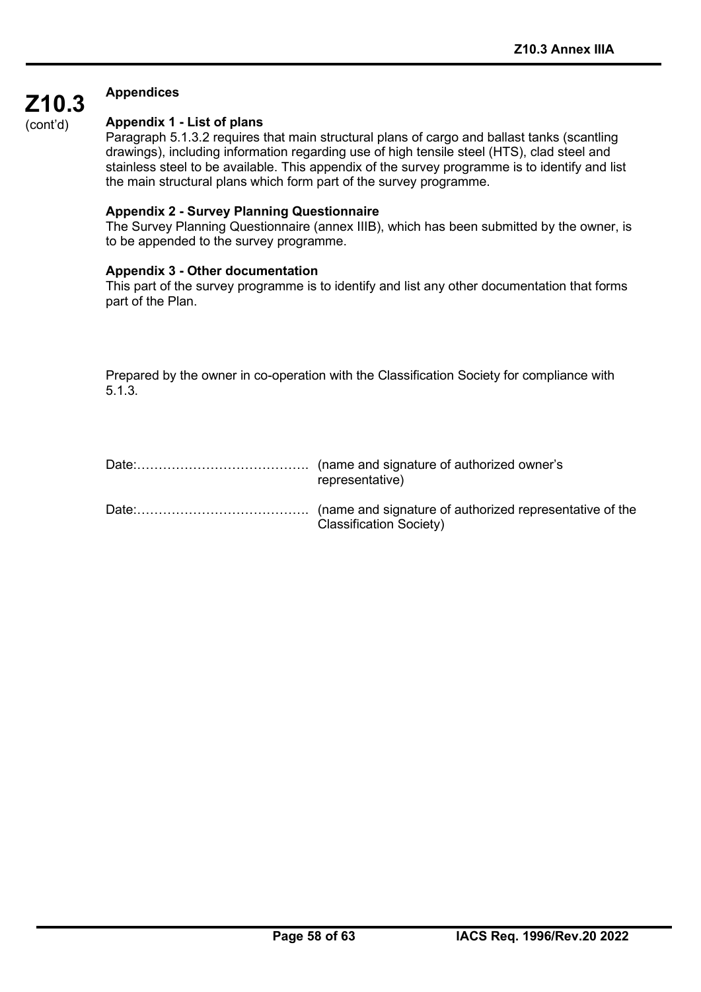#### **Appendices**

(cont'd)

**Z10.3**

#### **Appendix 1 - List of plans**

Paragraph 5.1.3.2 requires that main structural plans of cargo and ballast tanks (scantling drawings), including information regarding use of high tensile steel (HTS), clad steel and stainless steel to be available. This appendix of the survey programme is to identify and list the main structural plans which form part of the survey programme.

#### **Appendix 2 - Survey Planning Questionnaire**

The Survey Planning Questionnaire (annex IIIB), which has been submitted by the owner, is to be appended to the survey programme.

#### **Appendix 3 - Other documentation**

This part of the survey programme is to identify and list any other documentation that forms part of the Plan.

Prepared by the owner in co-operation with the Classification Society for compliance with 5.1.3.

| representative)         |
|-------------------------|
| Classification Society) |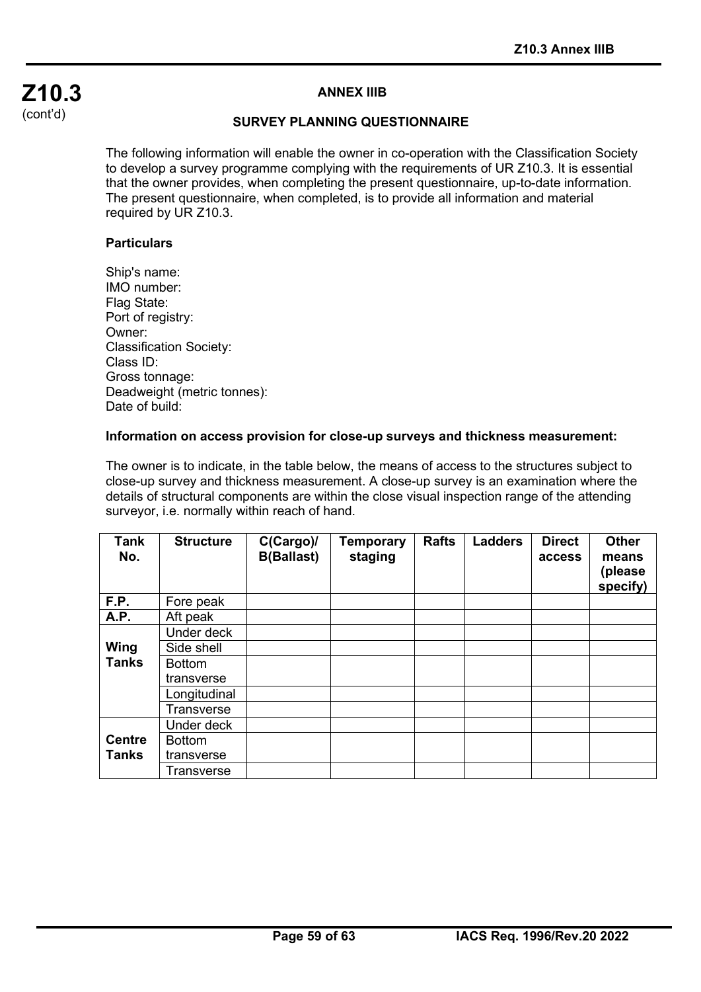## **Z10.3** (cont'd)

#### **ANNEX IIIB**

#### **SURVEY PLANNING QUESTIONNAIRE**

The following information will enable the owner in co-operation with the Classification Society to develop a survey programme complying with the requirements of UR Z10.3. It is essential that the owner provides, when completing the present questionnaire, up-to-date information. The present questionnaire, when completed, is to provide all information and material required by UR Z10.3.

#### **Particulars**

Ship's name: IMO number: Flag State: Port of registry: Owner: Classification Society: Class ID: Gross tonnage: Deadweight (metric tonnes): Date of build:

#### **Information on access provision for close-up surveys and thickness measurement:**

The owner is to indicate, in the table below, the means of access to the structures subject to close-up survey and thickness measurement. A close-up survey is an examination where the details of structural components are within the close visual inspection range of the attending surveyor, i.e. normally within reach of hand.

| Tank<br>No.   | <b>Structure</b>  | C(Cargo)/<br><b>B(Ballast)</b> | <b>Temporary</b><br>staging | <b>Rafts</b> | <b>Ladders</b> | <b>Direct</b><br>access | <b>Other</b><br>means<br>(please<br>specify) |
|---------------|-------------------|--------------------------------|-----------------------------|--------------|----------------|-------------------------|----------------------------------------------|
| F.P.          | Fore peak         |                                |                             |              |                |                         |                                              |
| A.P.          | Aft peak          |                                |                             |              |                |                         |                                              |
|               | Under deck        |                                |                             |              |                |                         |                                              |
| Wing          | Side shell        |                                |                             |              |                |                         |                                              |
| <b>Tanks</b>  | <b>Bottom</b>     |                                |                             |              |                |                         |                                              |
|               | transverse        |                                |                             |              |                |                         |                                              |
|               | Longitudinal      |                                |                             |              |                |                         |                                              |
|               | <b>Transverse</b> |                                |                             |              |                |                         |                                              |
|               | Under deck        |                                |                             |              |                |                         |                                              |
| <b>Centre</b> | <b>Bottom</b>     |                                |                             |              |                |                         |                                              |
| <b>Tanks</b>  | transverse        |                                |                             |              |                |                         |                                              |
|               | Transverse        |                                |                             |              |                |                         |                                              |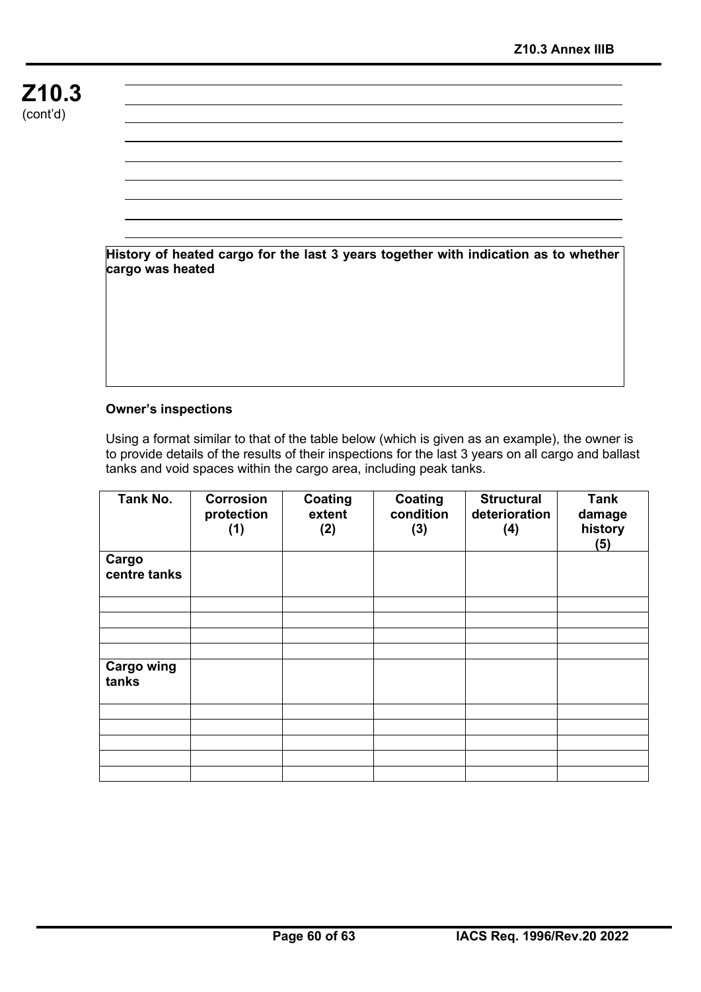**History of heated cargo for the last 3 years together with indication as to whether cargo was heated**

#### **Owner's inspections**

Using a format similar to that of the table below (which is given as an example), the owner is to provide details of the results of their inspections for the last 3 years on all cargo and ballast tanks and void spaces within the cargo area, including peak tanks.

| Tank No.                   | <b>Corrosion</b><br>protection<br>(1) | Coating<br>extent<br>(2) | Coating<br>condition<br>(3) | <b>Structural</b><br>deterioration<br>(4) | <b>Tank</b><br>damage<br>history<br>(5) |
|----------------------------|---------------------------------------|--------------------------|-----------------------------|-------------------------------------------|-----------------------------------------|
| Cargo<br>centre tanks      |                                       |                          |                             |                                           |                                         |
|                            |                                       |                          |                             |                                           |                                         |
|                            |                                       |                          |                             |                                           |                                         |
|                            |                                       |                          |                             |                                           |                                         |
| <b>Cargo wing</b><br>tanks |                                       |                          |                             |                                           |                                         |
|                            |                                       |                          |                             |                                           |                                         |
|                            |                                       |                          |                             |                                           |                                         |
|                            |                                       |                          |                             |                                           |                                         |
|                            |                                       |                          |                             |                                           |                                         |
|                            |                                       |                          |                             |                                           |                                         |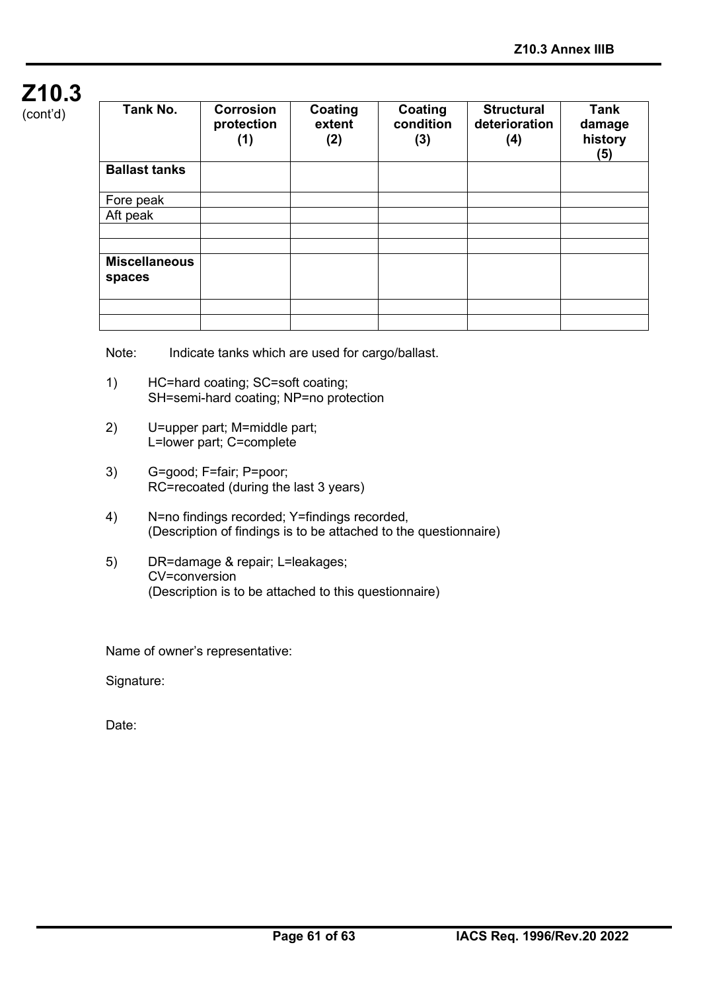## **Z10.3**  $(const'd)$

| cont a |  |  |
|--------|--|--|
|        |  |  |

| Tank No.             | <b>Corrosion</b><br>protection<br>(1) | Coating<br>extent<br>(2) | Coating<br>condition<br>(3) | <b>Structural</b><br>deterioration<br>(4) | <b>Tank</b><br>damage<br>history<br>(5) |
|----------------------|---------------------------------------|--------------------------|-----------------------------|-------------------------------------------|-----------------------------------------|
| <b>Ballast tanks</b> |                                       |                          |                             |                                           |                                         |
| Fore peak            |                                       |                          |                             |                                           |                                         |
| Aft peak             |                                       |                          |                             |                                           |                                         |
|                      |                                       |                          |                             |                                           |                                         |
|                      |                                       |                          |                             |                                           |                                         |
| <b>Miscellaneous</b> |                                       |                          |                             |                                           |                                         |
| spaces               |                                       |                          |                             |                                           |                                         |
|                      |                                       |                          |                             |                                           |                                         |
|                      |                                       |                          |                             |                                           |                                         |
|                      |                                       |                          |                             |                                           |                                         |

Note: Indicate tanks which are used for cargo/ballast.

- 1) HC=hard coating; SC=soft coating; SH=semi-hard coating; NP=no protection
- 2) U=upper part; M=middle part; L=lower part; C=complete
- 3) G=good; F=fair; P=poor; RC=recoated (during the last 3 years)
- 4) N=no findings recorded; Y=findings recorded, (Description of findings is to be attached to the questionnaire)
- 5) DR=damage & repair; L=leakages; CV=conversion (Description is to be attached to this questionnaire)

Name of owner's representative:

Signature:

Date: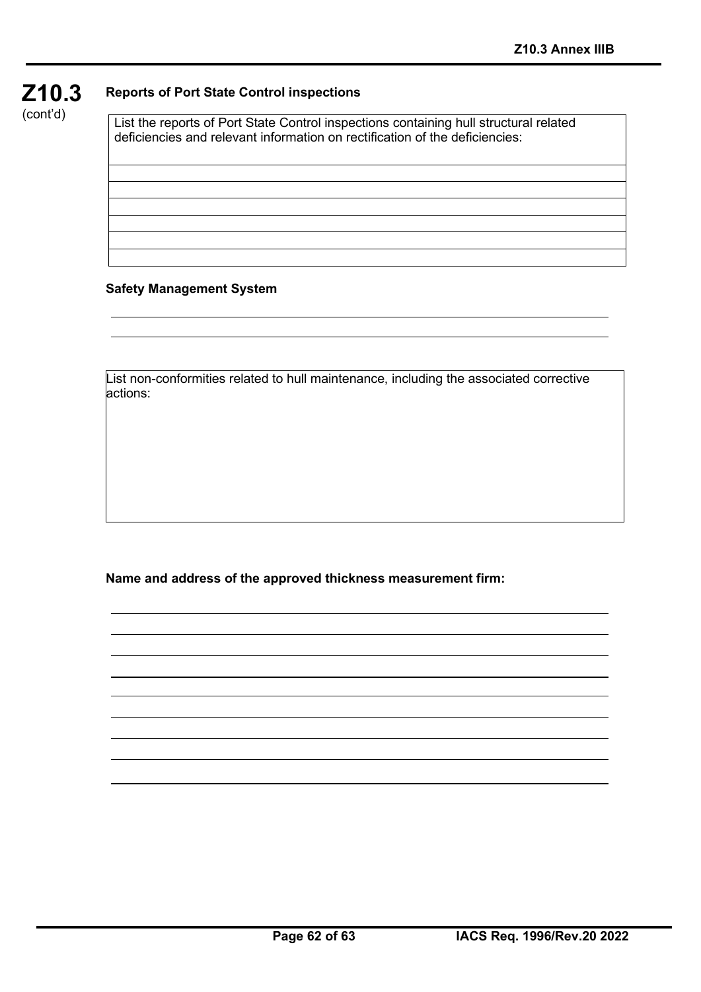

(cont'd)

List the reports of Port State Control inspections containing hull structural related deficiencies and relevant information on rectification of the deficiencies:

#### **Safety Management System**

List non-conformities related to hull maintenance, including the associated corrective actions:

**Name and address of the approved thickness measurement firm:**